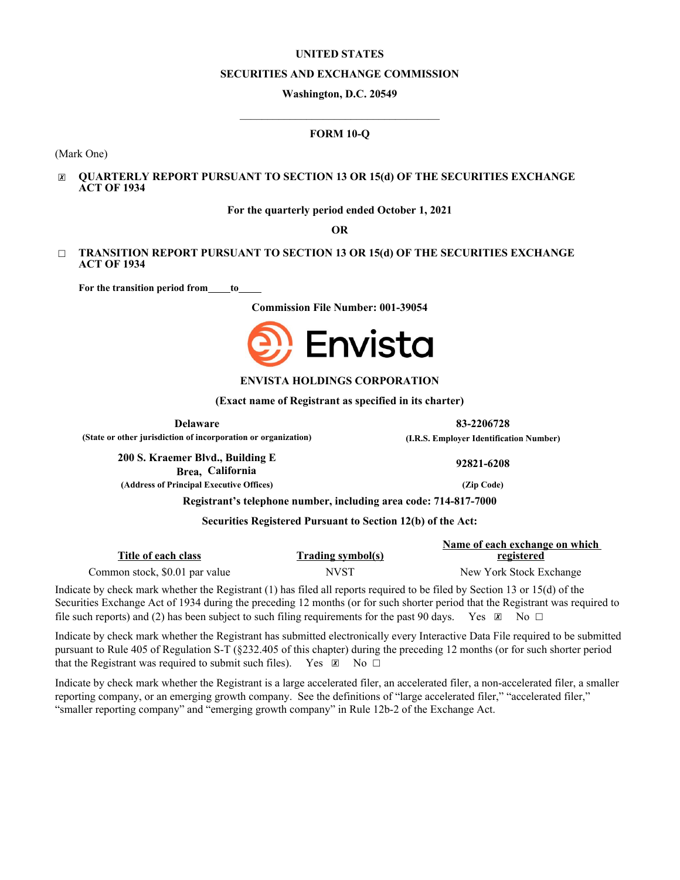#### **UNITED STATES**

#### **SECURITIES AND EXCHANGE COMMISSION**

#### **Washington, D.C. 20549**

# $\mathcal{L}_\text{max}$  and  $\mathcal{L}_\text{max}$  and  $\mathcal{L}_\text{max}$  and  $\mathcal{L}_\text{max}$ **FORM 10-Q**

(Mark One)

#### ☒ **QUARTERLY REPORT PURSUANT TO SECTION 13 OR 15(d) OF THE SECURITIES EXCHANGE ACT OF 1934**

#### **For the quarterly period ended October 1, 2021**

**OR**

#### ☐ **TRANSITION REPORT PURSUANT TO SECTION 13 OR 15(d) OF THE SECURITIES EXCHANGE ACT OF 1934**

For the transition period from to

**Commission File Number: 001-39054**



### **ENVISTA HOLDINGS CORPORATION**

**(Exact name of Registrant as specified in its charter)**

| <b>Delaware</b>                                                  | 83-2206728                              |
|------------------------------------------------------------------|-----------------------------------------|
| (State or other jurisdiction of incorporation or organization)   | (I.R.S. Employer Identification Number) |
| 200 S. Kraemer Blvd., Building E<br>Brea, California             | 92821-6208                              |
| (Address of Principal Executive Offices)                         | (Zip Code)                              |
| Registrant's telephone number, including area code: 714-817-7000 |                                         |
|                                                                  |                                         |

#### **Securities Registered Pursuant to Section 12(b) of the Act:**

|                                |                          | Name of each exchange on which |
|--------------------------------|--------------------------|--------------------------------|
| Title of each class            | <b>Trading symbol(s)</b> | registered                     |
| Common stock, \$0.01 par value | <b>NVST</b>              | New York Stock Exchange        |

Indicate by check mark whether the Registrant (1) has filed all reports required to be filed by Section 13 or 15(d) of the Securities Exchange Act of 1934 during the preceding 12 months (or for such shorter period that the Registrant was required to file such reports) and (2) has been subject to such filing requirements for the past 90 days. Yes  $\boxtimes$  No  $\Box$ 

Indicate by check mark whether the Registrant has submitted electronically every Interactive Data File required to be submitted pursuant to Rule 405 of Regulation S-T (§232.405 of this chapter) during the preceding 12 months (or for such shorter period that the Registrant was required to submit such files). Yes  $\boxtimes$  No  $\Box$ 

Indicate by check mark whether the Registrant is a large accelerated filer, an accelerated filer, a non-accelerated filer, a smaller reporting company, or an emerging growth company. See the definitions of "large accelerated filer," "accelerated filer," "smaller reporting company" and "emerging growth company" in Rule 12b-2 of the Exchange Act.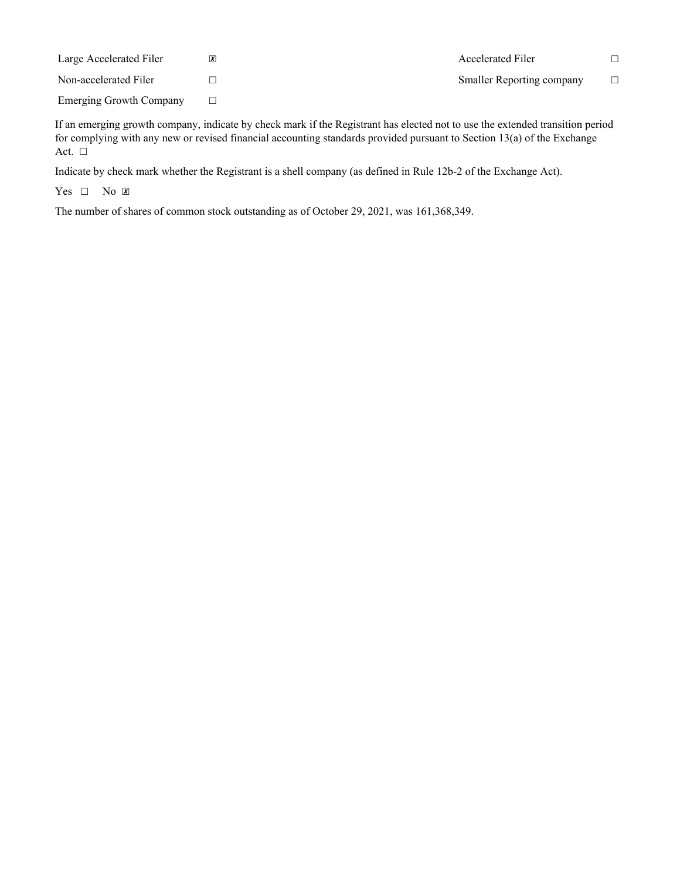| Large Accelerated Filer        | $\boldsymbol{x}$ | Accelerated Filer                |  |
|--------------------------------|------------------|----------------------------------|--|
| Non-accelerated Filer          |                  | <b>Smaller Reporting company</b> |  |
| <b>Emerging Growth Company</b> |                  |                                  |  |

If an emerging growth company, indicate by check mark if the Registrant has elected not to use the extended transition period for complying with any new or revised financial accounting standards provided pursuant to Section 13(a) of the Exchange Act. □

Indicate by check mark whether the Registrant is a shell company (as defined in Rule 12b-2 of the Exchange Act).

Yes □ No **x** 

The number of shares of common stock outstanding as of October 29, 2021, was 161,368,349.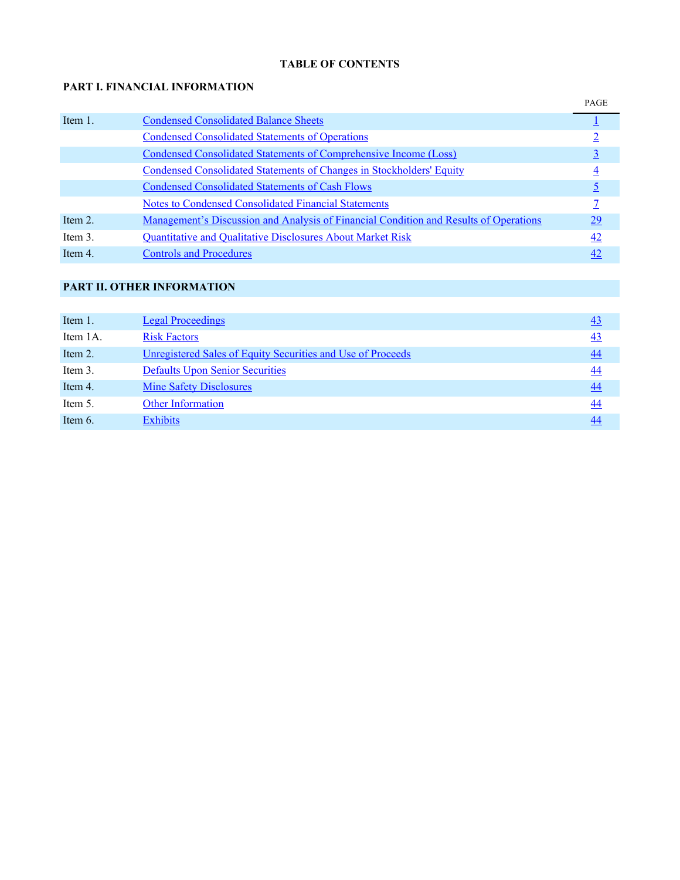# **TABLE OF CONTENTS**

# **PART I. FINANCIAL INFORMATION**

|         |                                                                                       | <b>PAGE</b>     |
|---------|---------------------------------------------------------------------------------------|-----------------|
| Item 1. | <b>Condensed Consolidated Balance Sheets</b>                                          |                 |
|         | <b>Condensed Consolidated Statements of Operations</b>                                |                 |
|         | <b>Condensed Consolidated Statements of Comprehensive Income (Loss)</b>               |                 |
|         | <b>Condensed Consolidated Statements of Changes in Stockholders' Equity</b>           | 4               |
|         | <b>Condensed Consolidated Statements of Cash Flows</b>                                |                 |
|         | <b>Notes to Condensed Consolidated Financial Statements</b>                           |                 |
| Item 2. | Management's Discussion and Analysis of Financial Condition and Results of Operations | $\overline{29}$ |
| Item 3. | Quantitative and Qualitative Disclosures About Market Risk                            | 42              |
| Item 4. | <b>Controls and Procedures</b>                                                        | 42              |

# **PART II. OTHER INFORMATION**

| Item 1.  | <b>Legal Proceedings</b>                                    | <u>43</u>       |
|----------|-------------------------------------------------------------|-----------------|
| Item 1A. | <b>Risk Factors</b>                                         | 43              |
| Item 2.  | Unregistered Sales of Equity Securities and Use of Proceeds | $\overline{44}$ |
| Item 3.  | <b>Defaults Upon Senior Securities</b>                      | $\overline{44}$ |
| Item 4.  | <b>Mine Safety Disclosures</b>                              | $\overline{44}$ |
| Item 5.  | <b>Other Information</b>                                    | $\overline{44}$ |
| Item 6.  | <b>Exhibits</b>                                             | $\overline{44}$ |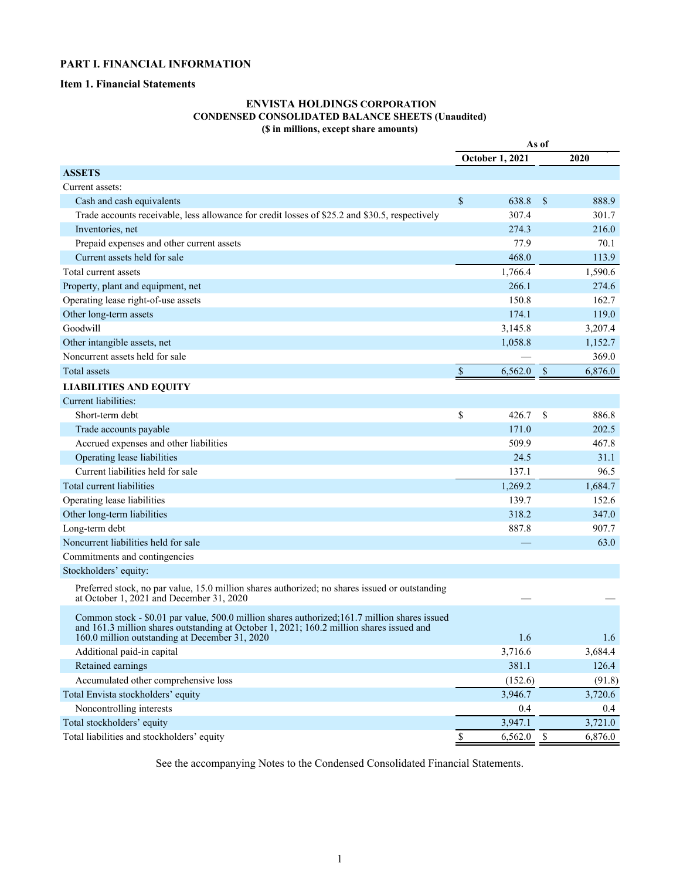# <span id="page-3-0"></span>**PART I. FINANCIAL INFORMATION**

### **Item 1. Financial Statements**

### **ENVISTA HOLDINGS CORPORATION CONDENSED CONSOLIDATED BALANCE SHEETS (Unaudited) (\$ in millions, except share amounts)**

|                                                                                                                                                                                           | As of        |                        |               |         |
|-------------------------------------------------------------------------------------------------------------------------------------------------------------------------------------------|--------------|------------------------|---------------|---------|
|                                                                                                                                                                                           |              | <b>October 1, 2021</b> |               | 2020    |
| <b>ASSETS</b>                                                                                                                                                                             |              |                        |               |         |
| Current assets:                                                                                                                                                                           |              |                        |               |         |
| Cash and cash equivalents                                                                                                                                                                 | \$           | 638.8                  | <sup>\$</sup> | 888.9   |
| Trade accounts receivable, less allowance for credit losses of \$25.2 and \$30.5, respectively                                                                                            |              | 307.4                  |               | 301.7   |
| Inventories, net                                                                                                                                                                          |              | 274.3                  |               | 216.0   |
| Prepaid expenses and other current assets                                                                                                                                                 |              | 77.9                   |               | 70.1    |
| Current assets held for sale                                                                                                                                                              |              | 468.0                  |               | 113.9   |
| Total current assets                                                                                                                                                                      |              | 1,766.4                |               | 1,590.6 |
| Property, plant and equipment, net                                                                                                                                                        |              | 266.1                  |               | 274.6   |
| Operating lease right-of-use assets                                                                                                                                                       |              | 150.8                  |               | 162.7   |
| Other long-term assets                                                                                                                                                                    |              | 174.1                  |               | 119.0   |
| Goodwill                                                                                                                                                                                  |              | 3,145.8                |               | 3,207.4 |
| Other intangible assets, net                                                                                                                                                              |              | 1,058.8                |               | 1,152.7 |
| Noncurrent assets held for sale                                                                                                                                                           |              |                        |               | 369.0   |
| Total assets                                                                                                                                                                              | \$           | 6,562.0                | $\mathcal{S}$ | 6,876.0 |
| <b>LIABILITIES AND EQUITY</b>                                                                                                                                                             |              |                        |               |         |
| Current liabilities:                                                                                                                                                                      |              |                        |               |         |
| Short-term debt                                                                                                                                                                           | \$           | 426.7                  | -S            | 886.8   |
| Trade accounts payable                                                                                                                                                                    |              | 171.0                  |               | 202.5   |
| Accrued expenses and other liabilities                                                                                                                                                    |              | 509.9                  |               | 467.8   |
| Operating lease liabilities                                                                                                                                                               |              | 24.5                   |               | 31.1    |
| Current liabilities held for sale                                                                                                                                                         |              | 137.1                  |               | 96.5    |
| Total current liabilities                                                                                                                                                                 |              | 1,269.2                |               | 1,684.7 |
| Operating lease liabilities                                                                                                                                                               |              | 139.7                  |               | 152.6   |
| Other long-term liabilities                                                                                                                                                               |              | 318.2                  |               | 347.0   |
| Long-term debt                                                                                                                                                                            |              | 887.8                  |               | 907.7   |
| Noncurrent liabilities held for sale                                                                                                                                                      |              |                        |               | 63.0    |
| Commitments and contingencies                                                                                                                                                             |              |                        |               |         |
| Stockholders' equity:                                                                                                                                                                     |              |                        |               |         |
| Preferred stock, no par value, 15.0 million shares authorized; no shares issued or outstanding<br>at October 1, 2021 and December 31, 2020                                                |              |                        |               |         |
| Common stock - \$0.01 par value, 500.0 million shares authorized; 161.7 million shares issued<br>and 161.3 million shares outstanding at October 1, 2021; 160.2 million shares issued and |              |                        |               |         |
| 160.0 million outstanding at December 31, 2020                                                                                                                                            |              | 1.6                    |               | 1.6     |
| Additional paid-in capital                                                                                                                                                                |              | 3,716.6                |               | 3,684.4 |
| Retained earnings                                                                                                                                                                         |              | 381.1                  |               | 126.4   |
| Accumulated other comprehensive loss                                                                                                                                                      |              | (152.6)                |               | (91.8)  |
| Total Envista stockholders' equity                                                                                                                                                        |              | 3,946.7                |               | 3,720.6 |
| Noncontrolling interests                                                                                                                                                                  |              | 0.4                    |               | 0.4     |
| Total stockholders' equity                                                                                                                                                                |              | 3,947.1                |               | 3,721.0 |
| Total liabilities and stockholders' equity                                                                                                                                                | $\mathbb{S}$ | 6,562.0                | $\mathbb{S}$  | 6,876.0 |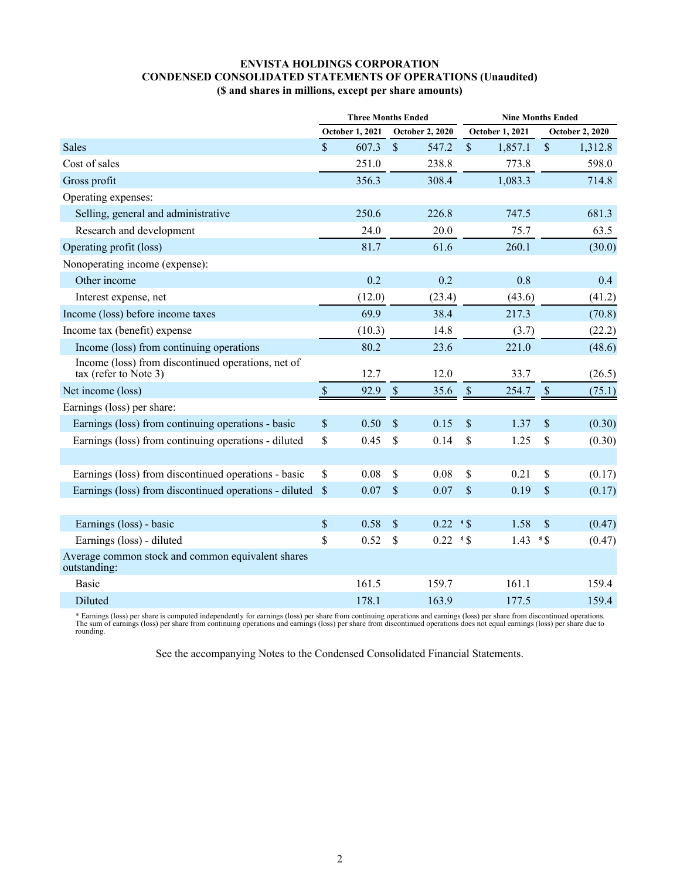### **ENVISTA HOLDINGS CORPORATION CONDENSED CONSOLIDATED STATEMENTS OF OPERATIONS (Unaudited) (\$ and shares in millions, except per share amounts)**

<span id="page-4-0"></span>

|                                                                             |                        | <b>Three Months Ended</b> | <b>Nine Months Ended</b> |                         |  |
|-----------------------------------------------------------------------------|------------------------|---------------------------|--------------------------|-------------------------|--|
|                                                                             | <b>October 1, 2021</b> | <b>October 2, 2020</b>    | <b>October 1, 2021</b>   | <b>October 2, 2020</b>  |  |
| Sales                                                                       | \$<br>607.3            | \$<br>547.2               | \$<br>1,857.1            | $\$$<br>1,312.8         |  |
| Cost of sales                                                               | 251.0                  | 238.8                     | 773.8                    | 598.0                   |  |
| Gross profit                                                                | 356.3                  | 308.4                     | 1,083.3                  | 714.8                   |  |
| Operating expenses:                                                         |                        |                           |                          |                         |  |
| Selling, general and administrative                                         | 250.6                  | 226.8                     | 747.5                    | 681.3                   |  |
| Research and development                                                    | 24.0                   | 20.0                      | 75.7                     | 63.5                    |  |
| Operating profit (loss)                                                     | 81.7                   | 61.6                      | 260.1                    | (30.0)                  |  |
| Nonoperating income (expense):                                              |                        |                           |                          |                         |  |
| Other income                                                                | 0.2                    | 0.2                       | 0.8                      | 0.4                     |  |
| Interest expense, net                                                       | (12.0)                 | (23.4)                    | (43.6)                   | (41.2)                  |  |
| Income (loss) before income taxes                                           | 69.9                   | 38.4                      | 217.3                    | (70.8)                  |  |
| Income tax (benefit) expense                                                | (10.3)                 | 14.8                      | (3.7)                    | (22.2)                  |  |
| Income (loss) from continuing operations                                    | 80.2                   | 23.6                      | 221.0                    | (48.6)                  |  |
| Income (loss) from discontinued operations, net of<br>tax (refer to Note 3) | 12.7                   | 12.0                      | 33.7                     | (26.5)                  |  |
| Net income (loss)                                                           | $\mathcal{S}$<br>92.9  | $\mathcal{S}$<br>35.6     | $\mathcal{S}$<br>254.7   | $\mathcal{S}$<br>(75.1) |  |
| Earnings (loss) per share:                                                  |                        |                           |                          |                         |  |
| Earnings (loss) from continuing operations - basic                          | \$<br>0.50             | <sup>\$</sup><br>0.15     | \$<br>1.37               | \$<br>(0.30)            |  |
| Earnings (loss) from continuing operations - diluted                        | \$<br>0.45             | \$<br>0.14                | \$<br>1.25               | \$<br>(0.30)            |  |
|                                                                             |                        |                           |                          |                         |  |
| Earnings (loss) from discontinued operations - basic                        | \$<br>0.08             | \$<br>0.08                | \$<br>0.21               | \$<br>(0.17)            |  |
| Earnings (loss) from discontinued operations - diluted                      | $\mathcal{S}$<br>0.07  | $\mathcal{S}$<br>0.07     | \$<br>0.19               | \$<br>(0.17)            |  |
|                                                                             |                        |                           |                          |                         |  |
| Earnings (loss) - basic                                                     | \$<br>0.58             | $\$$<br>$0.22 * $$        | 1.58                     | \$<br>(0.47)            |  |
| Earnings (loss) - diluted                                                   | \$<br>0.52             | \$<br>$0.22 * $$          | 1.43                     | $*$ \$<br>(0.47)        |  |
| Average common stock and common equivalent shares<br>outstanding:           |                        |                           |                          |                         |  |
| <b>Basic</b>                                                                | 161.5                  | 159.7                     | 161.1                    | 159.4                   |  |
| Diluted                                                                     | 178.1                  | 163.9                     | 177.5                    | 159.4                   |  |

\* Earnings (loss) per share is computed independently for earnings (loss) per share from continuing operations and earnings (loss) per share from discontinued operations.<br>The sum of earnings (loss) per share from continuin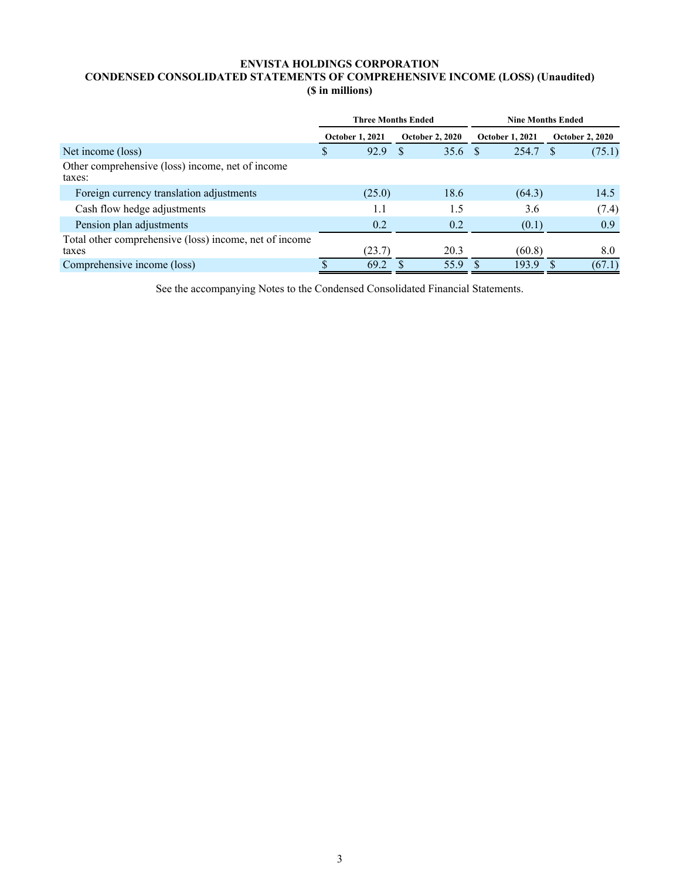# <span id="page-5-0"></span>**ENVISTA HOLDINGS CORPORATION CONDENSED CONSOLIDATED STATEMENTS OF COMPREHENSIVE INCOME (LOSS) (Unaudited) (\$ in millions)**

|                                                                 | <b>Three Months Ended</b> |        |                        |      | <b>Nine Months Ended</b> |        |                        |        |
|-----------------------------------------------------------------|---------------------------|--------|------------------------|------|--------------------------|--------|------------------------|--------|
|                                                                 | <b>October 1, 2021</b>    |        | <b>October 2, 2020</b> |      | <b>October 1, 2021</b>   |        | <b>October 2, 2020</b> |        |
| Net income (loss)                                               | S                         | 92.9   | <b>S</b>               | 35.6 |                          | 254.7  |                        | (75.1) |
| Other comprehensive (loss) income, net of income<br>taxes:      |                           |        |                        |      |                          |        |                        |        |
| Foreign currency translation adjustments                        |                           | (25.0) |                        | 18.6 |                          | (64.3) |                        | 14.5   |
| Cash flow hedge adjustments                                     |                           | 1.1    |                        | 1.5  |                          | 3.6    |                        | (7.4)  |
| Pension plan adjustments                                        |                           | 0.2    |                        | 0.2  |                          | (0.1)  |                        | 0.9    |
| Total other comprehensive (loss) income, net of income<br>taxes |                           | (23.7) |                        | 20.3 |                          | (60.8) |                        | 8.0    |
| Comprehensive income (loss)                                     |                           | 69.2   |                        | 55.9 |                          | 193.9  |                        | (67.1) |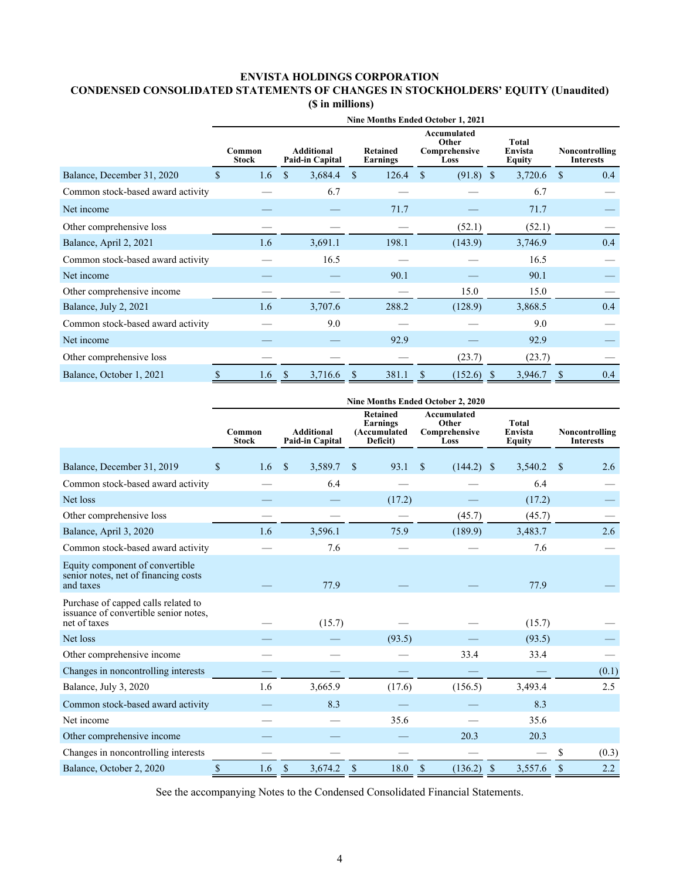# <span id="page-6-0"></span>**ENVISTA HOLDINGS CORPORATION CONDENSED CONSOLIDATED STATEMENTS OF CHANGES IN STOCKHOLDERS' EQUITY (Unaudited) (\$ in millions)**

|                                   | <b>Nine Months Ended October 1, 2021</b> |                                             |                             |                                               |                                   |                                    |  |
|-----------------------------------|------------------------------------------|---------------------------------------------|-----------------------------|-----------------------------------------------|-----------------------------------|------------------------------------|--|
|                                   | Common<br><b>Stock</b>                   | <b>Additional</b><br><b>Paid-in Capital</b> | <b>Retained</b><br>Earnings | Accumulated<br>Other<br>Comprehensive<br>Loss | <b>Total</b><br>Envista<br>Equity | Noncontrolling<br><b>Interests</b> |  |
| Balance, December 31, 2020        | \$<br>1.6                                | $\mathbf{s}$<br>3,684.4                     | 126.4<br>\$.                | <sup>\$</sup><br>$(91.8)$ \$                  | 3,720.6                           | 0.4<br><sup>\$</sup>               |  |
| Common stock-based award activity |                                          | 6.7                                         |                             |                                               | 6.7                               |                                    |  |
| Net income                        |                                          |                                             | 71.7                        |                                               | 71.7                              |                                    |  |
| Other comprehensive loss          |                                          |                                             |                             | (52.1)                                        | (52.1)                            |                                    |  |
| Balance, April 2, 2021            | 1.6                                      | 3,691.1                                     | 198.1                       | (143.9)                                       | 3,746.9                           | 0.4                                |  |
| Common stock-based award activity |                                          | 16.5                                        |                             |                                               | 16.5                              |                                    |  |
| Net income                        |                                          |                                             | 90.1                        |                                               | 90.1                              |                                    |  |
| Other comprehensive income        |                                          |                                             |                             | 15.0                                          | 15.0                              |                                    |  |
| Balance, July 2, 2021             | 1.6                                      | 3,707.6                                     | 288.2                       | (128.9)                                       | 3,868.5                           | 0.4                                |  |
| Common stock-based award activity |                                          | 9.0                                         |                             |                                               | 9.0                               |                                    |  |
| Net income                        |                                          |                                             | 92.9                        |                                               | 92.9                              |                                    |  |
| Other comprehensive loss          |                                          |                                             |                             | (23.7)                                        | (23.7)                            |                                    |  |
| Balance, October 1, 2021          | 1.6                                      | 3,716.6                                     | 381.1                       | (152.6)<br>S                                  | 3,946.7                           | 0.4                                |  |

|                                                                                              |                        | Nine Months Ended October 2, 2020 |                                      |         |                                                         |        |                                               |      |                                          |     |                                    |
|----------------------------------------------------------------------------------------------|------------------------|-----------------------------------|--------------------------------------|---------|---------------------------------------------------------|--------|-----------------------------------------------|------|------------------------------------------|-----|------------------------------------|
|                                                                                              | Common<br><b>Stock</b> |                                   | <b>Additional</b><br>Paid-in Capital |         | <b>Retained</b><br>Earnings<br>(Accumulated<br>Deficit) |        | Accumulated<br>Other<br>Comprehensive<br>Loss |      | <b>Total</b><br>Envista<br><b>Equity</b> |     | Noncontrolling<br><b>Interests</b> |
| Balance, December 31, 2019                                                                   | \$                     | 1.6                               | $\mathcal{S}$                        | 3,589.7 | $\mathbf{\$}$                                           | 93.1   | $\mathcal{S}$<br>$(144.2)$ \$                 |      | 3,540.2                                  | -\$ | 2.6                                |
| Common stock-based award activity                                                            |                        |                                   |                                      | 6.4     |                                                         |        |                                               |      | 6.4                                      |     |                                    |
| Net loss                                                                                     |                        |                                   |                                      |         |                                                         | (17.2) |                                               |      | (17.2)                                   |     |                                    |
|                                                                                              |                        |                                   |                                      |         |                                                         |        |                                               |      |                                          |     |                                    |
| Other comprehensive loss                                                                     |                        |                                   |                                      |         |                                                         |        | (45.7)                                        |      | (45.7)                                   |     |                                    |
| Balance, April 3, 2020                                                                       |                        | 1.6                               |                                      | 3,596.1 |                                                         | 75.9   | (189.9)                                       |      | 3,483.7                                  |     | 2.6                                |
| Common stock-based award activity                                                            |                        |                                   |                                      | 7.6     |                                                         |        |                                               |      | 7.6                                      |     |                                    |
| Equity component of convertible<br>senior notes, net of financing costs<br>and taxes         |                        |                                   |                                      | 77.9    |                                                         |        |                                               |      | 77.9                                     |     |                                    |
| Purchase of capped calls related to<br>issuance of convertible senior notes,<br>net of taxes |                        |                                   |                                      | (15.7)  |                                                         |        |                                               |      | (15.7)                                   |     |                                    |
| Net loss                                                                                     |                        |                                   |                                      |         |                                                         | (93.5) |                                               |      | (93.5)                                   |     |                                    |
| Other comprehensive income                                                                   |                        |                                   |                                      |         |                                                         |        | 33.4                                          |      | 33.4                                     |     |                                    |
| Changes in noncontrolling interests                                                          |                        |                                   |                                      |         |                                                         |        |                                               |      |                                          |     | (0.1)                              |
| Balance, July 3, 2020                                                                        |                        | 1.6                               |                                      | 3,665.9 |                                                         | (17.6) | (156.5)                                       |      | 3,493.4                                  |     | 2.5                                |
| Common stock-based award activity                                                            |                        |                                   |                                      | 8.3     |                                                         |        |                                               |      | 8.3                                      |     |                                    |
| Net income                                                                                   |                        |                                   |                                      |         |                                                         | 35.6   |                                               |      | 35.6                                     |     |                                    |
| Other comprehensive income                                                                   |                        |                                   |                                      |         |                                                         |        | 20.3                                          |      | 20.3                                     |     |                                    |
| Changes in noncontrolling interests                                                          |                        |                                   |                                      |         |                                                         |        |                                               |      |                                          | \$  | (0.3)                              |
| Balance, October 2, 2020                                                                     | \$                     | 1.6                               | $\mathbf{\hat{S}}$                   | 3,674.2 | $\mathbf S$                                             | 18.0   | (136.2)<br><sup>\$</sup>                      | - \$ | 3,557.6                                  | \$  | 2.2                                |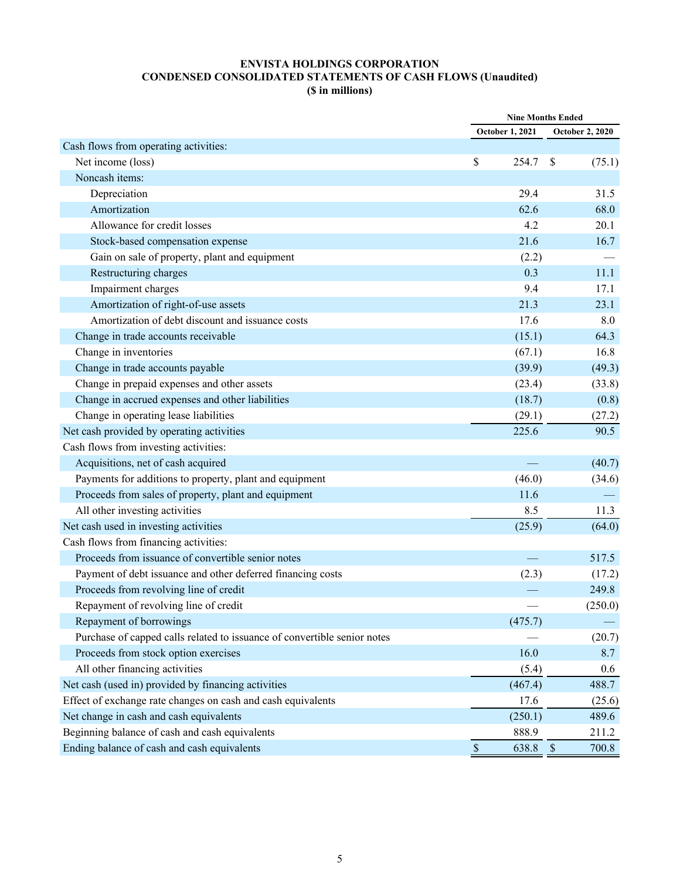# **ENVISTA HOLDINGS CORPORATION CONDENSED CONSOLIDATED STATEMENTS OF CASH FLOWS (Unaudited) (\$ in millions)**

<span id="page-7-0"></span>

|                                                                          |             | <b>Nine Months Ended</b> |            |                        |
|--------------------------------------------------------------------------|-------------|--------------------------|------------|------------------------|
|                                                                          |             | <b>October 1, 2021</b>   |            | <b>October 2, 2020</b> |
| Cash flows from operating activities:                                    |             |                          |            |                        |
| Net income (loss)                                                        | \$          | 254.7                    | -S         | (75.1)                 |
| Noncash items:                                                           |             |                          |            |                        |
| Depreciation                                                             |             | 29.4                     |            | 31.5                   |
| Amortization                                                             |             | 62.6                     |            | 68.0                   |
| Allowance for credit losses                                              |             | 4.2                      |            | 20.1                   |
| Stock-based compensation expense                                         |             | 21.6                     |            | 16.7                   |
| Gain on sale of property, plant and equipment                            |             | (2.2)                    |            |                        |
| Restructuring charges                                                    |             | 0.3                      |            | 11.1                   |
| Impairment charges                                                       |             | 9.4                      |            | 17.1                   |
| Amortization of right-of-use assets                                      |             | 21.3                     |            | 23.1                   |
| Amortization of debt discount and issuance costs                         |             | 17.6                     |            | 8.0                    |
| Change in trade accounts receivable                                      |             | (15.1)                   |            | 64.3                   |
| Change in inventories                                                    |             | (67.1)                   |            | 16.8                   |
| Change in trade accounts payable                                         |             | (39.9)                   |            | (49.3)                 |
| Change in prepaid expenses and other assets                              |             | (23.4)                   |            | (33.8)                 |
| Change in accrued expenses and other liabilities                         |             | (18.7)                   |            | (0.8)                  |
| Change in operating lease liabilities                                    |             | (29.1)                   |            | (27.2)                 |
| Net cash provided by operating activities                                |             | 225.6                    |            | 90.5                   |
| Cash flows from investing activities:                                    |             |                          |            |                        |
| Acquisitions, net of cash acquired                                       |             |                          |            | (40.7)                 |
| Payments for additions to property, plant and equipment                  |             | (46.0)                   |            | (34.6)                 |
| Proceeds from sales of property, plant and equipment                     |             | 11.6                     |            |                        |
| All other investing activities                                           |             | 8.5                      |            | 11.3                   |
| Net cash used in investing activities                                    |             | (25.9)                   |            | (64.0)                 |
| Cash flows from financing activities:                                    |             |                          |            |                        |
| Proceeds from issuance of convertible senior notes                       |             |                          |            | 517.5                  |
| Payment of debt issuance and other deferred financing costs              |             | (2.3)                    |            | (17.2)                 |
| Proceeds from revolving line of credit                                   |             |                          |            | 249.8                  |
| Repayment of revolving line of credit                                    |             |                          |            | (250.0)                |
| Repayment of borrowings                                                  |             | (475.7)                  |            |                        |
| Purchase of capped calls related to issuance of convertible senior notes |             |                          |            | (20.7)                 |
| Proceeds from stock option exercises                                     |             | 16.0                     |            | 8.7                    |
| All other financing activities                                           |             | (5.4)                    |            | 0.6                    |
| Net cash (used in) provided by financing activities                      |             | (467.4)                  |            | 488.7                  |
| Effect of exchange rate changes on cash and cash equivalents             |             | 17.6                     |            | (25.6)                 |
| Net change in cash and cash equivalents                                  |             | (250.1)                  |            | 489.6                  |
| Beginning balance of cash and cash equivalents                           |             | 888.9                    |            | 211.2                  |
| Ending balance of cash and cash equivalents                              | $\mathbb S$ | 638.8                    | $\sqrt{S}$ | 700.8                  |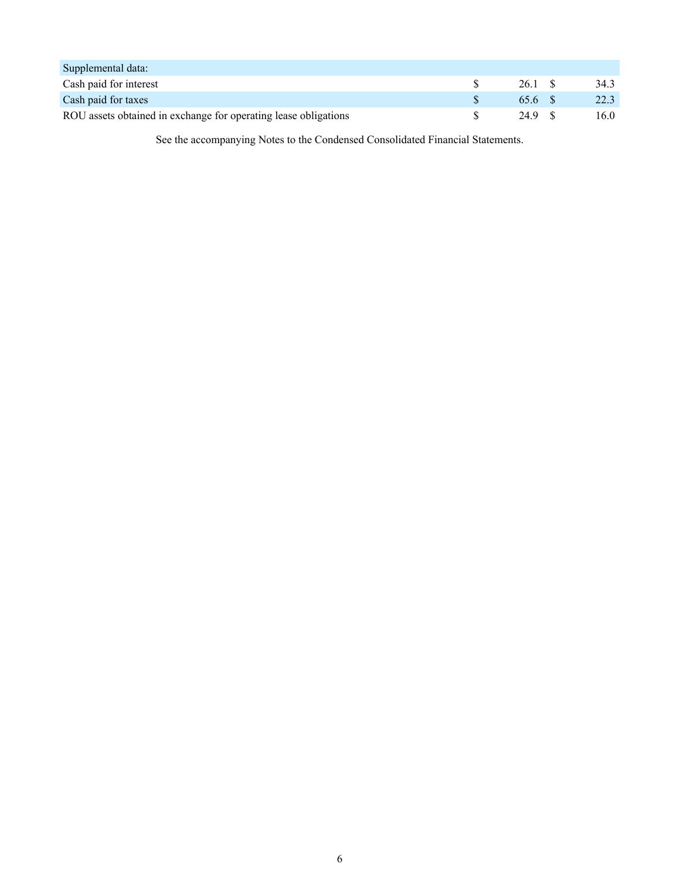| Supplemental data:                                              |        |      |
|-----------------------------------------------------------------|--------|------|
| Cash paid for interest                                          | 26.1 S | 34.3 |
| Cash paid for taxes                                             | 65.6 S | 22.3 |
| ROU assets obtained in exchange for operating lease obligations | 249 S  | 16.0 |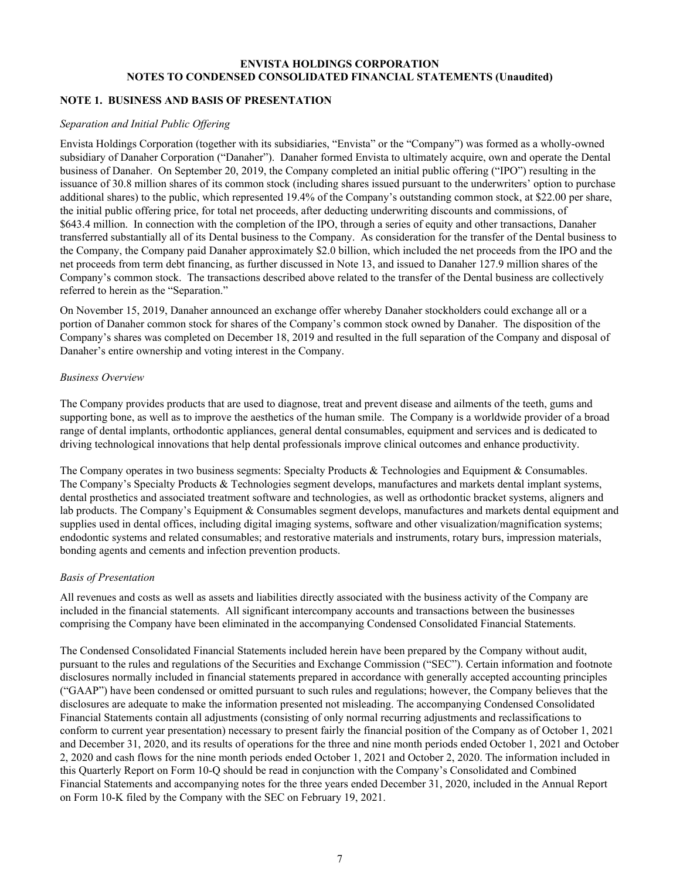### **ENVISTA HOLDINGS CORPORATION NOTES TO CONDENSED CONSOLIDATED FINANCIAL STATEMENTS (Unaudited)**

# <span id="page-9-0"></span>**NOTE 1. BUSINESS AND BASIS OF PRESENTATION**

#### *Separation and Initial Public Offering*

Envista Holdings Corporation (together with its subsidiaries, "Envista" or the "Company") was formed as a wholly-owned subsidiary of Danaher Corporation ("Danaher"). Danaher formed Envista to ultimately acquire, own and operate the Dental business of Danaher. On September 20, 2019, the Company completed an initial public offering ("IPO") resulting in the issuance of 30.8 million shares of its common stock (including shares issued pursuant to the underwriters' option to purchase additional shares) to the public, which represented 19.4% of the Company's outstanding common stock, at \$22.00 per share, the initial public offering price, for total net proceeds, after deducting underwriting discounts and commissions, of \$643.4 million. In connection with the completion of the IPO, through a series of equity and other transactions, Danaher transferred substantially all of its Dental business to the Company. As consideration for the transfer of the Dental business to the Company, the Company paid Danaher approximately \$2.0 billion, which included the net proceeds from the IPO and the net proceeds from term debt financing, as further discussed in Note 13, and issued to Danaher 127.9 million shares of the Company's common stock. The transactions described above related to the transfer of the Dental business are collectively referred to herein as the "Separation."

On November 15, 2019, Danaher announced an exchange offer whereby Danaher stockholders could exchange all or a portion of Danaher common stock for shares of the Company's common stock owned by Danaher. The disposition of the Company's shares was completed on December 18, 2019 and resulted in the full separation of the Company and disposal of Danaher's entire ownership and voting interest in the Company.

### *Business Overview*

The Company provides products that are used to diagnose, treat and prevent disease and ailments of the teeth, gums and supporting bone, as well as to improve the aesthetics of the human smile. The Company is a worldwide provider of a broad range of dental implants, orthodontic appliances, general dental consumables, equipment and services and is dedicated to driving technological innovations that help dental professionals improve clinical outcomes and enhance productivity.

The Company operates in two business segments: Specialty Products & Technologies and Equipment & Consumables. The Company's Specialty Products & Technologies segment develops, manufactures and markets dental implant systems, dental prosthetics and associated treatment software and technologies, as well as orthodontic bracket systems, aligners and lab products. The Company's Equipment & Consumables segment develops, manufactures and markets dental equipment and supplies used in dental offices, including digital imaging systems, software and other visualization/magnification systems; endodontic systems and related consumables; and restorative materials and instruments, rotary burs, impression materials, bonding agents and cements and infection prevention products.

### *Basis of Presentation*

All revenues and costs as well as assets and liabilities directly associated with the business activity of the Company are included in the financial statements. All significant intercompany accounts and transactions between the businesses comprising the Company have been eliminated in the accompanying Condensed Consolidated Financial Statements.

The Condensed Consolidated Financial Statements included herein have been prepared by the Company without audit, pursuant to the rules and regulations of the Securities and Exchange Commission ("SEC"). Certain information and footnote disclosures normally included in financial statements prepared in accordance with generally accepted accounting principles ("GAAP") have been condensed or omitted pursuant to such rules and regulations; however, the Company believes that the disclosures are adequate to make the information presented not misleading. The accompanying Condensed Consolidated Financial Statements contain all adjustments (consisting of only normal recurring adjustments and reclassifications to conform to current year presentation) necessary to present fairly the financial position of the Company as of October 1, 2021 and December 31, 2020, and its results of operations for the three and nine month periods ended October 1, 2021 and October 2, 2020 and cash flows for the nine month periods ended October 1, 2021 and October 2, 2020. The information included in this Quarterly Report on Form 10-Q should be read in conjunction with the Company's Consolidated and Combined Financial Statements and accompanying notes for the three years ended December 31, 2020, included in the Annual Report on Form 10-K filed by the Company with the SEC on February 19, 2021.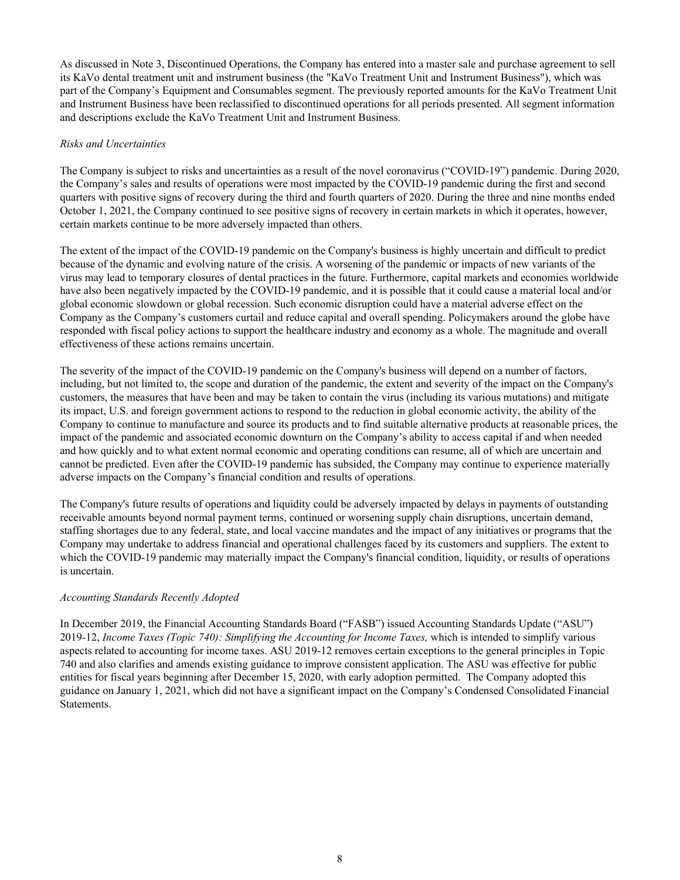As discussed in Note 3, Discontinued Operations, the Company has entered into a master sale and purchase agreement to sell its KaVo dental treatment unit and instrument business (the "KaVo Treatment Unit and Instrument Business"), which was part of the Company's Equipment and Consumables segment. The previously reported amounts for the KaVo Treatment Unit and Instrument Business have been reclassified to discontinued operations for all periods presented. All segment information and descriptions exclude the KaVo Treatment Unit and Instrument Business.

# *Risks and Uncertainties*

The Company is subject to risks and uncertainties as a result of the novel coronavirus ("COVID-19") pandemic. During 2020, the Company's sales and results of operations were most impacted by the COVID-19 pandemic during the first and second quarters with positive signs of recovery during the third and fourth quarters of 2020. During the three and nine months ended October 1, 2021, the Company continued to see positive signs of recovery in certain markets in which it operates, however, certain markets continue to be more adversely impacted than others.

The extent of the impact of the COVID-19 pandemic on the Company's business is highly uncertain and difficult to predict because of the dynamic and evolving nature of the crisis. A worsening of the pandemic or impacts of new variants of the virus may lead to temporary closures of dental practices in the future. Furthermore, capital markets and economies worldwide have also been negatively impacted by the COVID-19 pandemic, and it is possible that it could cause a material local and/or global economic slowdown or global recession. Such economic disruption could have a material adverse effect on the Company as the Company's customers curtail and reduce capital and overall spending. Policymakers around the globe have responded with fiscal policy actions to support the healthcare industry and economy as a whole. The magnitude and overall effectiveness of these actions remains uncertain.

The severity of the impact of the COVID-19 pandemic on the Company's business will depend on a number of factors, including, but not limited to, the scope and duration of the pandemic, the extent and severity of the impact on the Company's customers, the measures that have been and may be taken to contain the virus (including its various mutations) and mitigate its impact, U.S. and foreign government actions to respond to the reduction in global economic activity, the ability of the Company to continue to manufacture and source its products and to find suitable alternative products at reasonable prices, the impact of the pandemic and associated economic downturn on the Company's ability to access capital if and when needed and how quickly and to what extent normal economic and operating conditions can resume, all of which are uncertain and cannot be predicted. Even after the COVID-19 pandemic has subsided, the Company may continue to experience materially adverse impacts on the Company's financial condition and results of operations.

The Company's future results of operations and liquidity could be adversely impacted by delays in payments of outstanding receivable amounts beyond normal payment terms, continued or worsening supply chain disruptions, uncertain demand, staffing shortages due to any federal, state, and local vaccine mandates and the impact of any initiatives or programs that the Company may undertake to address financial and operational challenges faced by its customers and suppliers. The extent to which the COVID-19 pandemic may materially impact the Company's financial condition, liquidity, or results of operations is uncertain.

### *Accounting Standards Recently Adopted*

In December 2019, the Financial Accounting Standards Board ("FASB") issued Accounting Standards Update ("ASU") 2019-12, *Income Taxes (Topic 740): Simplifying the Accounting for Income Taxes,* which is intended to simplify various aspects related to accounting for income taxes. ASU 2019-12 removes certain exceptions to the general principles in Topic 740 and also clarifies and amends existing guidance to improve consistent application. The ASU was effective for public entities for fiscal years beginning after December 15, 2020, with early adoption permitted. The Company adopted this guidance on January 1, 2021, which did not have a significant impact on the Company's Condensed Consolidated Financial Statements.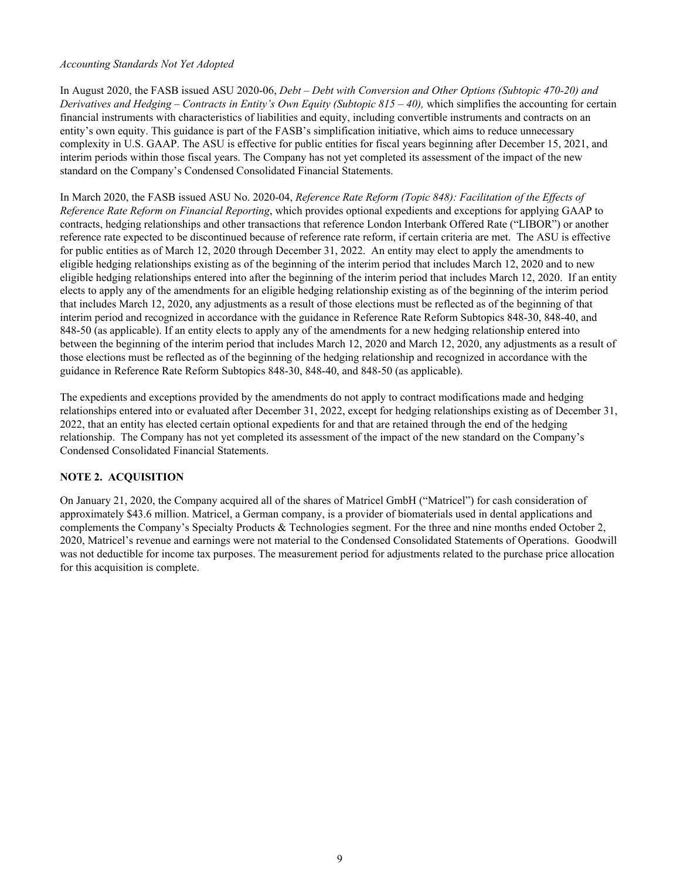#### *Accounting Standards Not Yet Adopted*

In August 2020, the FASB issued ASU 2020-06, *Debt – Debt with Conversion and Other Options (Subtopic 470-20) and Derivatives and Hedging – Contracts in Entity's Own Equity (Subtopic 815 – 40),* which simplifies the accounting for certain financial instruments with characteristics of liabilities and equity, including convertible instruments and contracts on an entity's own equity. This guidance is part of the FASB's simplification initiative, which aims to reduce unnecessary complexity in U.S. GAAP. The ASU is effective for public entities for fiscal years beginning after December 15, 2021, and interim periods within those fiscal years. The Company has not yet completed its assessment of the impact of the new standard on the Company's Condensed Consolidated Financial Statements.

In March 2020, the FASB issued ASU No. 2020-04, *Reference Rate Reform (Topic 848): Facilitation of the Effects of Reference Rate Reform on Financial Reporting*, which provides optional expedients and exceptions for applying GAAP to contracts, hedging relationships and other transactions that reference London Interbank Offered Rate ("LIBOR") or another reference rate expected to be discontinued because of reference rate reform, if certain criteria are met. The ASU is effective for public entities as of March 12, 2020 through December 31, 2022. An entity may elect to apply the amendments to eligible hedging relationships existing as of the beginning of the interim period that includes March 12, 2020 and to new eligible hedging relationships entered into after the beginning of the interim period that includes March 12, 2020. If an entity elects to apply any of the amendments for an eligible hedging relationship existing as of the beginning of the interim period that includes March 12, 2020, any adjustments as a result of those elections must be reflected as of the beginning of that interim period and recognized in accordance with the guidance in Reference Rate Reform Subtopics 848-30, 848-40, and 848-50 (as applicable). If an entity elects to apply any of the amendments for a new hedging relationship entered into between the beginning of the interim period that includes March 12, 2020 and March 12, 2020, any adjustments as a result of those elections must be reflected as of the beginning of the hedging relationship and recognized in accordance with the guidance in Reference Rate Reform Subtopics 848-30, 848-40, and 848-50 (as applicable).

The expedients and exceptions provided by the amendments do not apply to contract modifications made and hedging relationships entered into or evaluated after December 31, 2022, except for hedging relationships existing as of December 31, 2022, that an entity has elected certain optional expedients for and that are retained through the end of the hedging relationship. The Company has not yet completed its assessment of the impact of the new standard on the Company's Condensed Consolidated Financial Statements.

### **NOTE 2. ACQUISITION**

On January 21, 2020, the Company acquired all of the shares of Matricel GmbH ("Matricel") for cash consideration of approximately \$43.6 million. Matricel, a German company, is a provider of biomaterials used in dental applications and complements the Company's Specialty Products & Technologies segment. For the three and nine months ended October 2, 2020, Matricel's revenue and earnings were not material to the Condensed Consolidated Statements of Operations. Goodwill was not deductible for income tax purposes. The measurement period for adjustments related to the purchase price allocation for this acquisition is complete.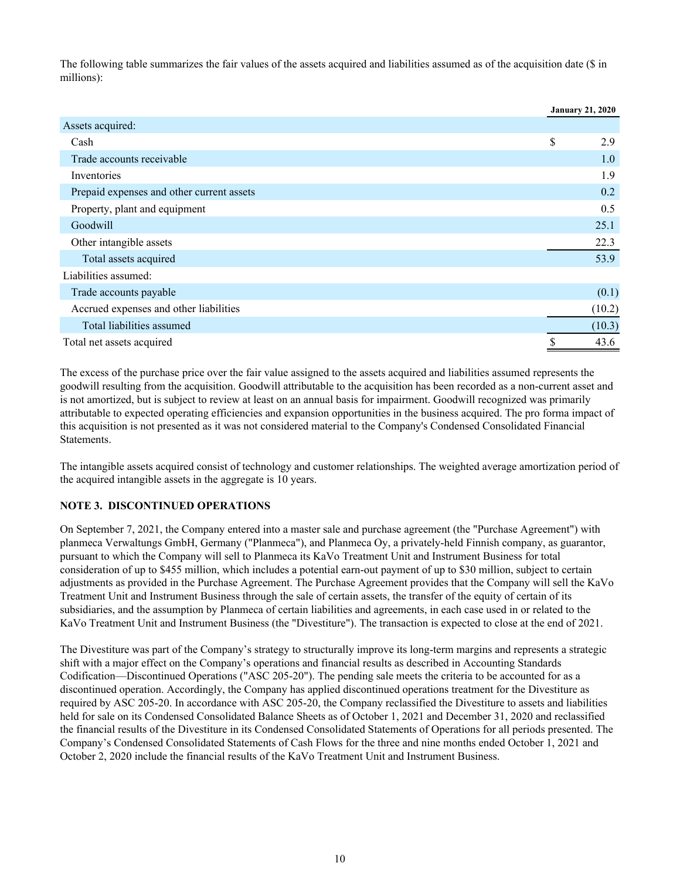The following table summarizes the fair values of the assets acquired and liabilities assumed as of the acquisition date (\$ in millions):

|                                           | <b>January 21, 2020</b> |
|-------------------------------------------|-------------------------|
| Assets acquired:                          |                         |
| Cash                                      | \$<br>2.9               |
| Trade accounts receivable                 | 1.0                     |
| Inventories                               | 1.9                     |
| Prepaid expenses and other current assets | 0.2                     |
| Property, plant and equipment             | 0.5                     |
| Goodwill                                  | 25.1                    |
| Other intangible assets                   | 22.3                    |
| Total assets acquired                     | 53.9                    |
| Liabilities assumed:                      |                         |
| Trade accounts payable                    | (0.1)                   |
| Accrued expenses and other liabilities    | (10.2)                  |
| Total liabilities assumed                 | (10.3)                  |
| Total net assets acquired                 | 43.6                    |

The excess of the purchase price over the fair value assigned to the assets acquired and liabilities assumed represents the goodwill resulting from the acquisition. Goodwill attributable to the acquisition has been recorded as a non-current asset and is not amortized, but is subject to review at least on an annual basis for impairment. Goodwill recognized was primarily attributable to expected operating efficiencies and expansion opportunities in the business acquired. The pro forma impact of this acquisition is not presented as it was not considered material to the Company's Condensed Consolidated Financial Statements.

The intangible assets acquired consist of technology and customer relationships. The weighted average amortization period of the acquired intangible assets in the aggregate is 10 years.

### **NOTE 3. DISCONTINUED OPERATIONS**

On September 7, 2021, the Company entered into a master sale and purchase agreement (the "Purchase Agreement") with planmeca Verwaltungs GmbH, Germany ("Planmeca"), and Planmeca Oy, a privately-held Finnish company, as guarantor, pursuant to which the Company will sell to Planmeca its KaVo Treatment Unit and Instrument Business for total consideration of up to \$455 million, which includes a potential earn-out payment of up to \$30 million, subject to certain adjustments as provided in the Purchase Agreement. The Purchase Agreement provides that the Company will sell the KaVo Treatment Unit and Instrument Business through the sale of certain assets, the transfer of the equity of certain of its subsidiaries, and the assumption by Planmeca of certain liabilities and agreements, in each case used in or related to the KaVo Treatment Unit and Instrument Business (the "Divestiture"). The transaction is expected to close at the end of 2021.

The Divestiture was part of the Company's strategy to structurally improve its long-term margins and represents a strategic shift with a major effect on the Company's operations and financial results as described in Accounting Standards Codification—Discontinued Operations ("ASC 205-20"). The pending sale meets the criteria to be accounted for as a discontinued operation. Accordingly, the Company has applied discontinued operations treatment for the Divestiture as required by ASC 205-20. In accordance with ASC 205-20, the Company reclassified the Divestiture to assets and liabilities held for sale on its Condensed Consolidated Balance Sheets as of October 1, 2021 and December 31, 2020 and reclassified the financial results of the Divestiture in its Condensed Consolidated Statements of Operations for all periods presented. The Company's Condensed Consolidated Statements of Cash Flows for the three and nine months ended October 1, 2021 and October 2, 2020 include the financial results of the KaVo Treatment Unit and Instrument Business.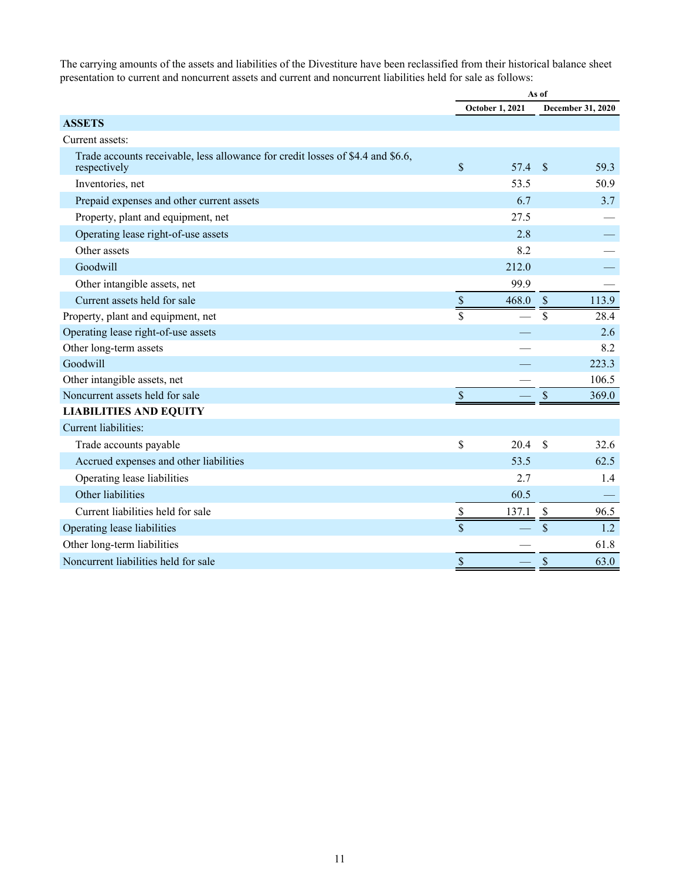The carrying amounts of the assets and liabilities of the Divestiture have been reclassified from their historical balance sheet presentation to current and noncurrent assets and current and noncurrent liabilities held for sale as follows:

|                                                                                                 | As of                       |                        |               |                          |
|-------------------------------------------------------------------------------------------------|-----------------------------|------------------------|---------------|--------------------------|
|                                                                                                 |                             | <b>October 1, 2021</b> |               | <b>December 31, 2020</b> |
| <b>ASSETS</b>                                                                                   |                             |                        |               |                          |
| Current assets:                                                                                 |                             |                        |               |                          |
| Trade accounts receivable, less allowance for credit losses of \$4.4 and \$6.6,<br>respectively | $\mathsf{\$}$               | 57.4                   | $\mathcal{S}$ | 59.3                     |
| Inventories, net                                                                                |                             | 53.5                   |               | 50.9                     |
| Prepaid expenses and other current assets                                                       |                             | 6.7                    |               | 3.7                      |
| Property, plant and equipment, net                                                              |                             | 27.5                   |               |                          |
| Operating lease right-of-use assets                                                             |                             | 2.8                    |               |                          |
| Other assets                                                                                    |                             | 8.2                    |               |                          |
| Goodwill                                                                                        |                             | 212.0                  |               |                          |
| Other intangible assets, net                                                                    |                             | 99.9                   |               |                          |
| Current assets held for sale                                                                    | $\sqrt{\frac{1}{2}}$        | 468.0                  | $\mathcal{S}$ | 113.9                    |
| Property, plant and equipment, net                                                              | $\mathbf{\hat{S}}$          |                        | \$            | 28.4                     |
| Operating lease right-of-use assets                                                             |                             |                        |               | 2.6                      |
| Other long-term assets                                                                          |                             |                        |               | 8.2                      |
| Goodwill                                                                                        |                             |                        |               | 223.3                    |
| Other intangible assets, net                                                                    |                             |                        |               | 106.5                    |
| Noncurrent assets held for sale                                                                 | $\mathcal{S}$               |                        | \$            | 369.0                    |
| <b>LIABILITIES AND EQUITY</b>                                                                   |                             |                        |               |                          |
| Current liabilities:                                                                            |                             |                        |               |                          |
| Trade accounts payable                                                                          | \$                          | 20.4                   | <sup>\$</sup> | 32.6                     |
| Accrued expenses and other liabilities                                                          |                             | 53.5                   |               | 62.5                     |
| Operating lease liabilities                                                                     |                             | 2.7                    |               | 1.4                      |
| Other liabilities                                                                               |                             | 60.5                   |               |                          |
| Current liabilities held for sale                                                               | $\frac{\text{S}}{\text{S}}$ | 137.1                  | \$            | 96.5                     |
| Operating lease liabilities                                                                     | $\mathbf{\hat{S}}$          |                        | \$            | 1.2                      |
| Other long-term liabilities                                                                     |                             |                        |               | 61.8                     |
| Noncurrent liabilities held for sale                                                            | $\mathcal{S}$               |                        | \$            | 63.0                     |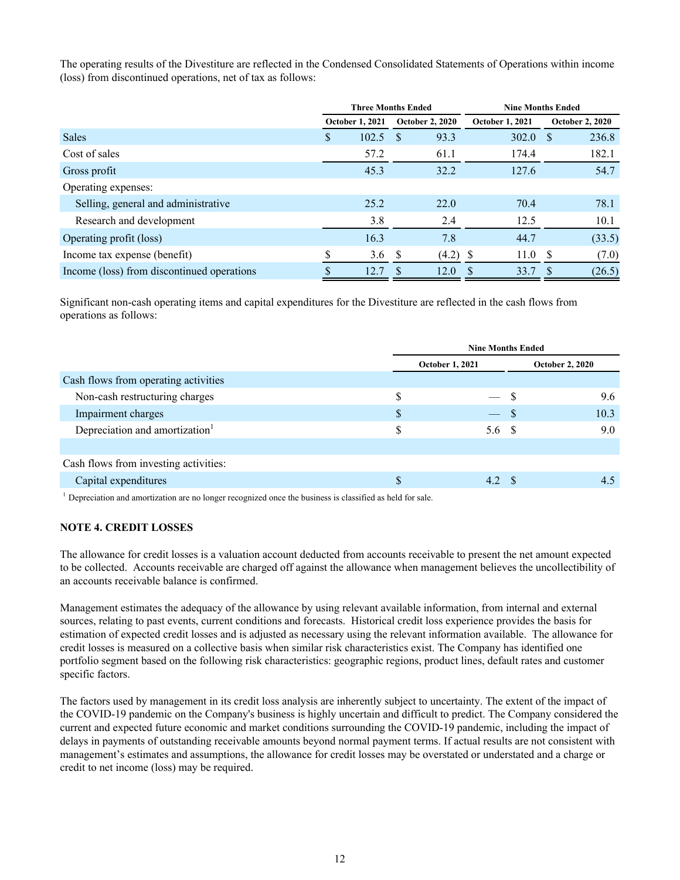The operating results of the Divestiture are reflected in the Condensed Consolidated Statements of Operations within income (loss) from discontinued operations, net of tax as follows:

|                                            | <b>Three Months Ended</b> |                        |                        |            | <b>Nine Months Ended</b> |               |                        |  |                        |
|--------------------------------------------|---------------------------|------------------------|------------------------|------------|--------------------------|---------------|------------------------|--|------------------------|
|                                            |                           | <b>October 1, 2021</b> | <b>October 2, 2020</b> |            |                          |               | <b>October 1, 2021</b> |  | <b>October 2, 2020</b> |
| <b>Sales</b>                               | \$                        | 102.5                  |                        | 93.3       | 302.0                    | <sup>\$</sup> | 236.8                  |  |                        |
| Cost of sales                              |                           | 57.2                   |                        | 61.1       | 174.4                    |               | 182.1                  |  |                        |
| Gross profit                               |                           | 45.3                   |                        | 32.2       | 127.6                    |               | 54.7                   |  |                        |
| Operating expenses:                        |                           |                        |                        |            |                          |               |                        |  |                        |
| Selling, general and administrative        |                           | 25.2                   |                        | 22.0       | 70.4                     |               | 78.1                   |  |                        |
| Research and development                   |                           | 3.8                    |                        | 2.4        | 12.5                     |               | 10.1                   |  |                        |
| Operating profit (loss)                    |                           | 16.3                   |                        | 7.8        | 44.7                     |               | (33.5)                 |  |                        |
| Income tax expense (benefit)               |                           | 3.6                    | - \$                   | $(4.2)$ \$ | 11.0                     | - \$          | (7.0)                  |  |                        |
| Income (loss) from discontinued operations |                           | 12.7                   | <sup>8</sup>           | 12.0       | 33.7 S<br>-S             |               | (26.5)                 |  |                        |

Significant non-cash operating items and capital expenditures for the Divestiture are reflected in the cash flows from operations as follows:

|                                            |    | <b>Nine Months Ended</b> |                        |  |  |  |  |  |
|--------------------------------------------|----|--------------------------|------------------------|--|--|--|--|--|
|                                            |    | <b>October 1, 2021</b>   | <b>October 2, 2020</b> |  |  |  |  |  |
| Cash flows from operating activities       |    |                          |                        |  |  |  |  |  |
| Non-cash restructuring charges             | \$ | — S                      | 9.6                    |  |  |  |  |  |
| Impairment charges                         | \$ | $-$ S                    | 10.3                   |  |  |  |  |  |
| Depreciation and amortization <sup>1</sup> | \$ | 5.6 \$                   | 9.0                    |  |  |  |  |  |
|                                            |    |                          |                        |  |  |  |  |  |
| Cash flows from investing activities:      |    |                          |                        |  |  |  |  |  |
| Capital expenditures                       | S  | 4.2 S                    | 4.5                    |  |  |  |  |  |
|                                            |    |                          |                        |  |  |  |  |  |

 $<sup>1</sup>$  Depreciation and amortization are no longer recognized once the business is classified as held for sale.</sup>

#### **NOTE 4. CREDIT LOSSES**

The allowance for credit losses is a valuation account deducted from accounts receivable to present the net amount expected to be collected. Accounts receivable are charged off against the allowance when management believes the uncollectibility of an accounts receivable balance is confirmed.

Management estimates the adequacy of the allowance by using relevant available information, from internal and external sources, relating to past events, current conditions and forecasts. Historical credit loss experience provides the basis for estimation of expected credit losses and is adjusted as necessary using the relevant information available. The allowance for credit losses is measured on a collective basis when similar risk characteristics exist. The Company has identified one portfolio segment based on the following risk characteristics: geographic regions, product lines, default rates and customer specific factors.

The factors used by management in its credit loss analysis are inherently subject to uncertainty. The extent of the impact of the COVID-19 pandemic on the Company's business is highly uncertain and difficult to predict. The Company considered the current and expected future economic and market conditions surrounding the COVID-19 pandemic, including the impact of delays in payments of outstanding receivable amounts beyond normal payment terms. If actual results are not consistent with management's estimates and assumptions, the allowance for credit losses may be overstated or understated and a charge or credit to net income (loss) may be required.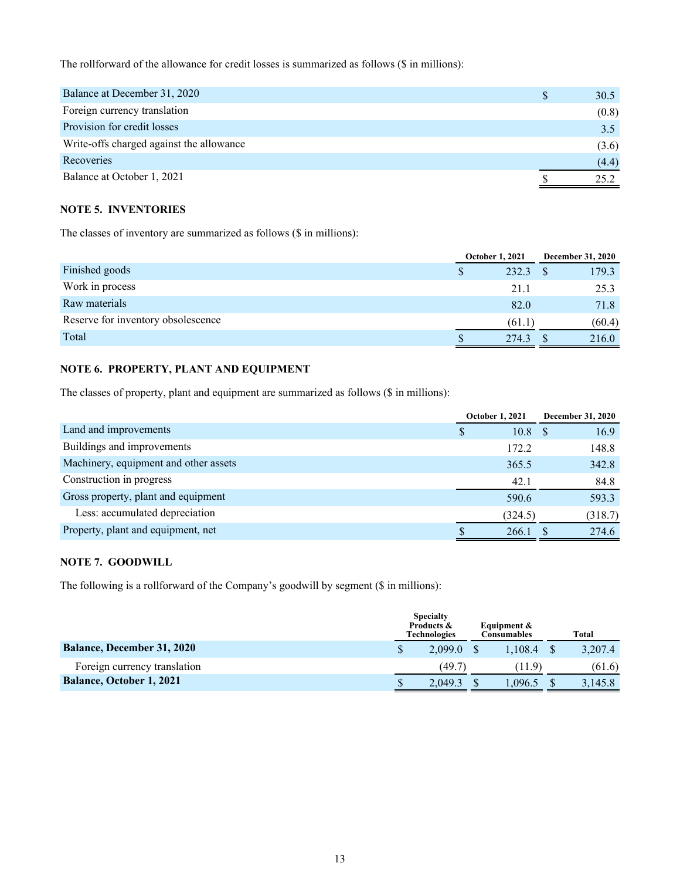The rollforward of the allowance for credit losses is summarized as follows (\$ in millions):

| Balance at December 31, 2020             | S | 30.5  |
|------------------------------------------|---|-------|
| Foreign currency translation             |   | (0.8) |
| Provision for credit losses              |   | 3.5   |
| Write-offs charged against the allowance |   | (3.6) |
| Recoveries                               |   | (4.4) |
| Balance at October 1, 2021               |   | 25.2  |

# **NOTE 5. INVENTORIES**

The classes of inventory are summarized as follows (\$ in millions):

|                                    | <b>October 1, 2021</b> |        | <b>December 31, 2020</b> |        |  |
|------------------------------------|------------------------|--------|--------------------------|--------|--|
| Finished goods                     |                        | 232.3  |                          | 179.3  |  |
| Work in process                    |                        | 21.1   |                          | 25.3   |  |
| Raw materials                      |                        | 82.0   |                          | 71.8   |  |
| Reserve for inventory obsolescence |                        | (61.1) |                          | (60.4) |  |
| Total                              |                        | 274.3  |                          | 216.0  |  |

# **NOTE 6. PROPERTY, PLANT AND EQUIPMENT**

The classes of property, plant and equipment are summarized as follows (\$ in millions):

|                                       | <b>October 1, 2021</b> | <b>December 31, 2020</b> |
|---------------------------------------|------------------------|--------------------------|
| Land and improvements                 | 10.8<br>\$             | 16.9                     |
| Buildings and improvements            | 172.2                  | 148.8                    |
| Machinery, equipment and other assets | 365.5                  | 342.8                    |
| Construction in progress              | 42.1                   | 84.8                     |
| Gross property, plant and equipment   | 590.6                  | 593.3                    |
| Less: accumulated depreciation        | (324.5)                | (318.7)                  |
| Property, plant and equipment, net    | 266.1                  | 274.6                    |

# **NOTE 7. GOODWILL**

The following is a rollforward of the Company's goodwill by segment (\$ in millions):

|                                   | <b>Specialty</b><br>Products &<br><b>Technologies</b> | Equipment $\&$<br>Consumables |         |  | <b>Total</b> |
|-----------------------------------|-------------------------------------------------------|-------------------------------|---------|--|--------------|
| <b>Balance, December 31, 2020</b> | 2.099.0                                               |                               | 1.108.4 |  | 3,207.4      |
| Foreign currency translation      | (49.7)                                                |                               | (11.9)  |  | (61.6)       |
| <b>Balance, October 1, 2021</b>   | 2.049.3                                               |                               | .096.5  |  | 3,145.8      |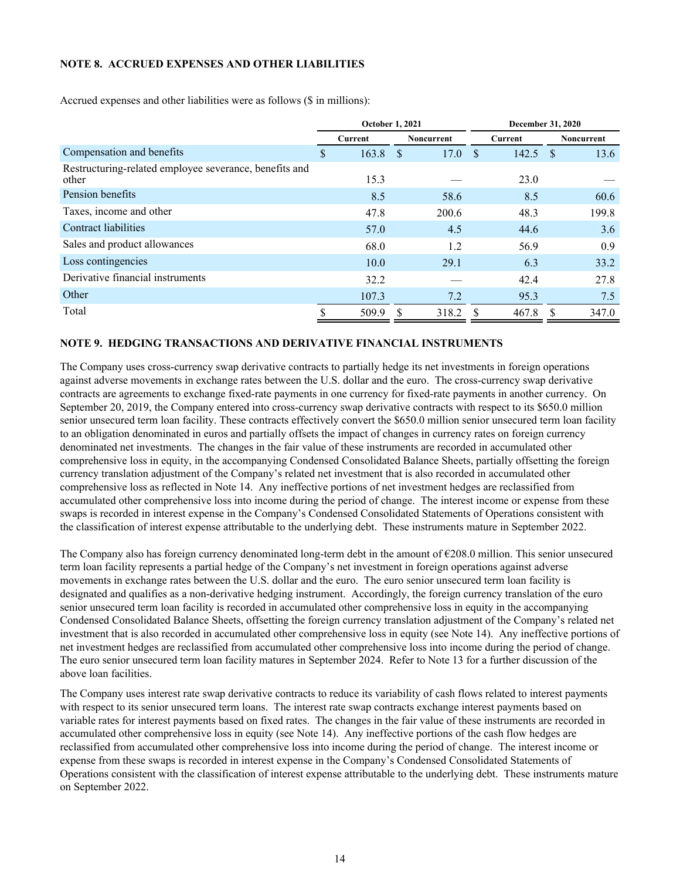# **NOTE 8. ACCRUED EXPENSES AND OTHER LIABILITIES**

Accrued expenses and other liabilities were as follows (\$ in millions):

|                                                                 | <b>October 1, 2021</b> |               |                   |     |         | <b>December 31, 2020</b> |            |
|-----------------------------------------------------------------|------------------------|---------------|-------------------|-----|---------|--------------------------|------------|
|                                                                 | Current                |               | <b>Noncurrent</b> |     | Current |                          | Noncurrent |
| Compensation and benefits                                       | \$<br>163.8            | <sup>\$</sup> | 17.0              | -\$ | 142.5   | - \$                     | 13.6       |
| Restructuring-related employee severance, benefits and<br>other | 15.3                   |               |                   |     | 23.0    |                          |            |
| Pension benefits                                                | 8.5                    |               | 58.6              |     | 8.5     |                          | 60.6       |
| Taxes, income and other                                         | 47.8                   |               | 200.6             |     | 48.3    |                          | 199.8      |
| Contract liabilities                                            | 57.0                   |               | 4.5               |     | 44.6    |                          | 3.6        |
| Sales and product allowances                                    | 68.0                   |               | 1.2               |     | 56.9    |                          | 0.9        |
| Loss contingencies                                              | 10.0                   |               | 29.1              |     | 6.3     |                          | 33.2       |
| Derivative financial instruments                                | 32.2                   |               |                   |     | 42.4    |                          | 27.8       |
| Other                                                           | 107.3                  |               | 7.2               |     | 95.3    |                          | 7.5        |
| Total                                                           | 509.9                  | S             | 318.2             | -S  | 467.8   | S                        | 347.0      |

### **NOTE 9. HEDGING TRANSACTIONS AND DERIVATIVE FINANCIAL INSTRUMENTS**

The Company uses cross-currency swap derivative contracts to partially hedge its net investments in foreign operations against adverse movements in exchange rates between the U.S. dollar and the euro. The cross-currency swap derivative contracts are agreements to exchange fixed-rate payments in one currency for fixed-rate payments in another currency. On September 20, 2019, the Company entered into cross-currency swap derivative contracts with respect to its \$650.0 million senior unsecured term loan facility. These contracts effectively convert the \$650.0 million senior unsecured term loan facility to an obligation denominated in euros and partially offsets the impact of changes in currency rates on foreign currency denominated net investments. The changes in the fair value of these instruments are recorded in accumulated other comprehensive loss in equity, in the accompanying Condensed Consolidated Balance Sheets, partially offsetting the foreign currency translation adjustment of the Company's related net investment that is also recorded in accumulated other comprehensive loss as reflected in Note 14. Any ineffective portions of net investment hedges are reclassified from accumulated other comprehensive loss into income during the period of change. The interest income or expense from these swaps is recorded in interest expense in the Company's Condensed Consolidated Statements of Operations consistent with the classification of interest expense attributable to the underlying debt. These instruments mature in September 2022.

The Company also has foreign currency denominated long-term debt in the amount of  $\epsilon$ 208.0 million. This senior unsecured term loan facility represents a partial hedge of the Company's net investment in foreign operations against adverse movements in exchange rates between the U.S. dollar and the euro. The euro senior unsecured term loan facility is designated and qualifies as a non-derivative hedging instrument. Accordingly, the foreign currency translation of the euro senior unsecured term loan facility is recorded in accumulated other comprehensive loss in equity in the accompanying Condensed Consolidated Balance Sheets, offsetting the foreign currency translation adjustment of the Company's related net investment that is also recorded in accumulated other comprehensive loss in equity (see Note 14). Any ineffective portions of net investment hedges are reclassified from accumulated other comprehensive loss into income during the period of change. The euro senior unsecured term loan facility matures in September 2024. Refer to Note 13 for a further discussion of the above loan facilities.

The Company uses interest rate swap derivative contracts to reduce its variability of cash flows related to interest payments with respect to its senior unsecured term loans. The interest rate swap contracts exchange interest payments based on variable rates for interest payments based on fixed rates. The changes in the fair value of these instruments are recorded in accumulated other comprehensive loss in equity (see Note 14). Any ineffective portions of the cash flow hedges are reclassified from accumulated other comprehensive loss into income during the period of change. The interest income or expense from these swaps is recorded in interest expense in the Company's Condensed Consolidated Statements of Operations consistent with the classification of interest expense attributable to the underlying debt. These instruments mature on September 2022.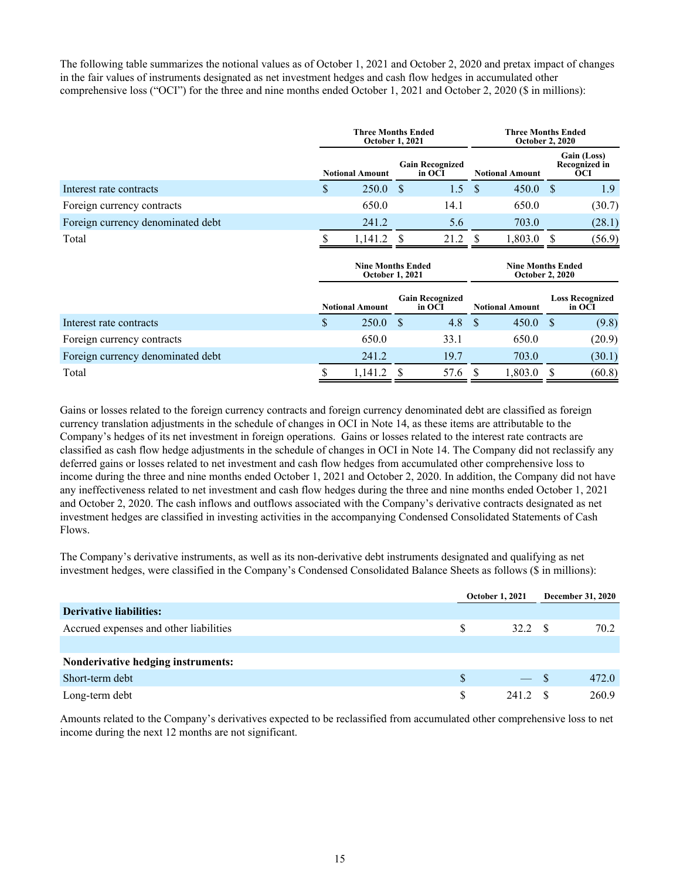The following table summarizes the notional values as of October 1, 2021 and October 2, 2020 and pretax impact of changes in the fair values of instruments designated as net investment hedges and cash flow hedges in accumulated other comprehensive loss ("OCI") for the three and nine months ended October 1, 2021 and October 2, 2020 (\$ in millions):

|                                   | <b>Three Months Ended</b><br><b>October 1, 2021</b> |                                  |               |                                  |               | <b>Three Months Ended</b><br><b>October 2, 2020</b> |     |                                                    |  |  |
|-----------------------------------|-----------------------------------------------------|----------------------------------|---------------|----------------------------------|---------------|-----------------------------------------------------|-----|----------------------------------------------------|--|--|
|                                   |                                                     | <b>Notional Amount</b>           |               | <b>Gain Recognized</b><br>in OCI |               | <b>Notional Amount</b>                              |     | Gain (Loss)<br>Recognized in<br><b>OCI</b>         |  |  |
| Interest rate contracts           | \$                                                  | 250.0                            | <sup>\$</sup> | 1.5                              | <sup>\$</sup> | 450.0                                               | -S  | 1.9                                                |  |  |
| Foreign currency contracts        |                                                     | 650.0                            |               | 14.1                             |               | 650.0                                               |     | (30.7)                                             |  |  |
| Foreign currency denominated debt |                                                     | 241.2                            |               | 5.6                              |               | 703.0                                               |     | (28.1)                                             |  |  |
| Total                             |                                                     | 1,141.2                          | -S            | 21.2                             | <sup>\$</sup> | 1,803.0                                             | -S  | (56.9)                                             |  |  |
|                                   | <b>Nine Months Ended</b><br><b>October 1, 2021</b>  |                                  |               |                                  |               |                                                     |     | <b>Nine Months Ended</b><br><b>October 2, 2020</b> |  |  |
|                                   |                                                     | in OCI<br><b>Notional Amount</b> |               | <b>Gain Recognized</b>           |               | <b>Notional Amount</b>                              |     | <b>Loss Recognized</b><br>in OCI                   |  |  |
| Interest rate contracts           | $\mathbb{S}$                                        | 250.0                            | -S            | 4.8                              | <sup>\$</sup> | 450.0                                               | -\$ | (9.8)                                              |  |  |
| Foreign currency contracts        |                                                     | 650.0                            |               | 33.1                             |               | 650.0                                               |     | (20.9)                                             |  |  |
| Foreign currency denominated debt |                                                     | 241.2                            |               | 19.7                             |               | 703.0                                               |     | (30.1)                                             |  |  |
| Total                             |                                                     | 1,141.2                          | S             | 57.6                             | S             | 1,803.0                                             | S   | (60.8)                                             |  |  |

Gains or losses related to the foreign currency contracts and foreign currency denominated debt are classified as foreign currency translation adjustments in the schedule of changes in OCI in Note 14, as these items are attributable to the Company's hedges of its net investment in foreign operations. Gains or losses related to the interest rate contracts are classified as cash flow hedge adjustments in the schedule of changes in OCI in Note 14. The Company did not reclassify any deferred gains or losses related to net investment and cash flow hedges from accumulated other comprehensive loss to income during the three and nine months ended October 1, 2021 and October 2, 2020. In addition, the Company did not have any ineffectiveness related to net investment and cash flow hedges during the three and nine months ended October 1, 2021 and October 2, 2020. The cash inflows and outflows associated with the Company's derivative contracts designated as net investment hedges are classified in investing activities in the accompanying Condensed Consolidated Statements of Cash Flows.

The Company's derivative instruments, as well as its non-derivative debt instruments designated and qualifying as net investment hedges, were classified in the Company's Condensed Consolidated Balance Sheets as follows (\$ in millions):

|                                        | <b>October 1, 2021</b> |        | <b>December 31, 2020</b> |       |
|----------------------------------------|------------------------|--------|--------------------------|-------|
| <b>Derivative liabilities:</b>         |                        |        |                          |       |
| Accrued expenses and other liabilities | S.                     | 32.2 S |                          | 70.2  |
|                                        |                        |        |                          |       |
| Nonderivative hedging instruments:     |                        |        |                          |       |
| Short-term debt                        | S.                     | $-$ S  |                          | 472.0 |
| Long-term debt                         | S                      | 241.2  |                          | 260.9 |

Amounts related to the Company's derivatives expected to be reclassified from accumulated other comprehensive loss to net income during the next 12 months are not significant.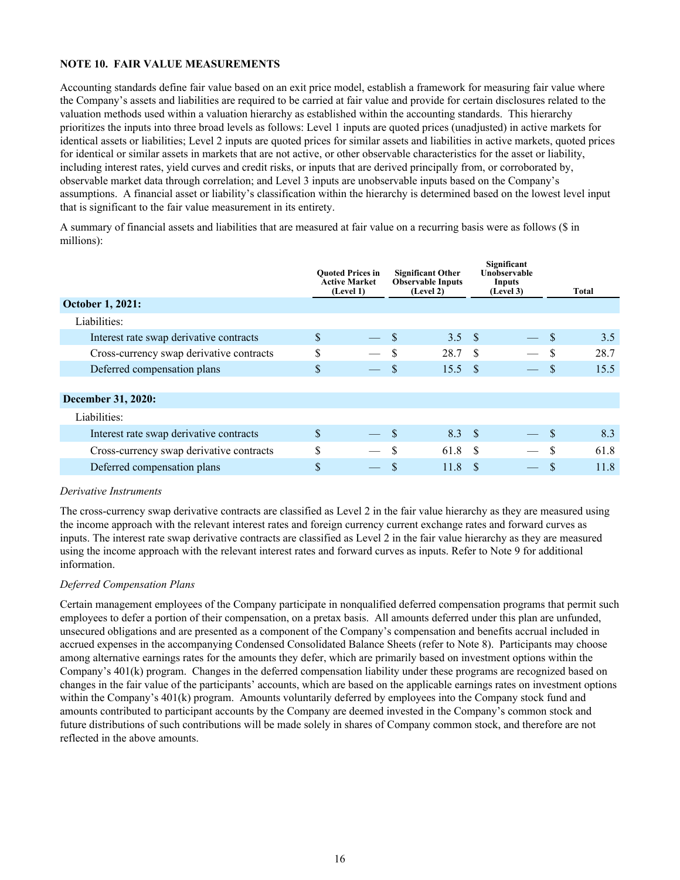# **NOTE 10. FAIR VALUE MEASUREMENTS**

Accounting standards define fair value based on an exit price model, establish a framework for measuring fair value where the Company's assets and liabilities are required to be carried at fair value and provide for certain disclosures related to the valuation methods used within a valuation hierarchy as established within the accounting standards. This hierarchy prioritizes the inputs into three broad levels as follows: Level 1 inputs are quoted prices (unadjusted) in active markets for identical assets or liabilities; Level 2 inputs are quoted prices for similar assets and liabilities in active markets, quoted prices for identical or similar assets in markets that are not active, or other observable characteristics for the asset or liability, including interest rates, yield curves and credit risks, or inputs that are derived principally from, or corroborated by, observable market data through correlation; and Level 3 inputs are unobservable inputs based on the Company's assumptions. A financial asset or liability's classification within the hierarchy is determined based on the lowest level input that is significant to the fair value measurement in its entirety.

A summary of financial assets and liabilities that are measured at fair value on a recurring basis were as follows (\$ in millions):

|                                          | <b>Ouoted Prices in</b><br><b>Active Market</b><br>(Level 1) | <b>Significant Other</b><br><b>Observable Inputs</b><br>(Level 2) |       | Significant<br>Unobservable<br>Inputs<br>(Level 3) |  |               | Total         |
|------------------------------------------|--------------------------------------------------------------|-------------------------------------------------------------------|-------|----------------------------------------------------|--|---------------|---------------|
| <b>October 1, 2021:</b>                  |                                                              |                                                                   |       |                                                    |  |               |               |
| Liabilities:                             |                                                              |                                                                   |       |                                                    |  |               |               |
| Interest rate swap derivative contracts  | \$                                                           | -S                                                                | 3.5 S |                                                    |  | <sup>S</sup>  | $3.5^{\circ}$ |
| Cross-currency swap derivative contracts | \$                                                           | S                                                                 | 28.7  | -S                                                 |  | \$            | 28.7          |
| Deferred compensation plans              | \$                                                           | <sup>\$</sup>                                                     | 15.5  | -S                                                 |  | <b>S</b>      | 15.5          |
|                                          |                                                              |                                                                   |       |                                                    |  |               |               |
| December 31, 2020:                       |                                                              |                                                                   |       |                                                    |  |               |               |
| Liabilities:                             |                                                              |                                                                   |       |                                                    |  |               |               |
| Interest rate swap derivative contracts  | \$                                                           | -S                                                                | 8.3   | - \$                                               |  | -S            | 8.3           |
| Cross-currency swap derivative contracts | \$                                                           | <b>S</b>                                                          | 61.8  | -S                                                 |  | <sup>\$</sup> | 61.8          |
| Deferred compensation plans              | \$                                                           | \$.                                                               | 11.8  |                                                    |  | <b>S</b>      | 11.8          |

#### *Derivative Instruments*

The cross-currency swap derivative contracts are classified as Level 2 in the fair value hierarchy as they are measured using the income approach with the relevant interest rates and foreign currency current exchange rates and forward curves as inputs. The interest rate swap derivative contracts are classified as Level 2 in the fair value hierarchy as they are measured using the income approach with the relevant interest rates and forward curves as inputs. Refer to Note 9 for additional information.

### *Deferred Compensation Plans*

Certain management employees of the Company participate in nonqualified deferred compensation programs that permit such employees to defer a portion of their compensation, on a pretax basis. All amounts deferred under this plan are unfunded, unsecured obligations and are presented as a component of the Company's compensation and benefits accrual included in accrued expenses in the accompanying Condensed Consolidated Balance Sheets (refer to Note 8). Participants may choose among alternative earnings rates for the amounts they defer, which are primarily based on investment options within the Company's 401(k) program. Changes in the deferred compensation liability under these programs are recognized based on changes in the fair value of the participants' accounts, which are based on the applicable earnings rates on investment options within the Company's 401(k) program. Amounts voluntarily deferred by employees into the Company stock fund and amounts contributed to participant accounts by the Company are deemed invested in the Company's common stock and future distributions of such contributions will be made solely in shares of Company common stock, and therefore are not reflected in the above amounts.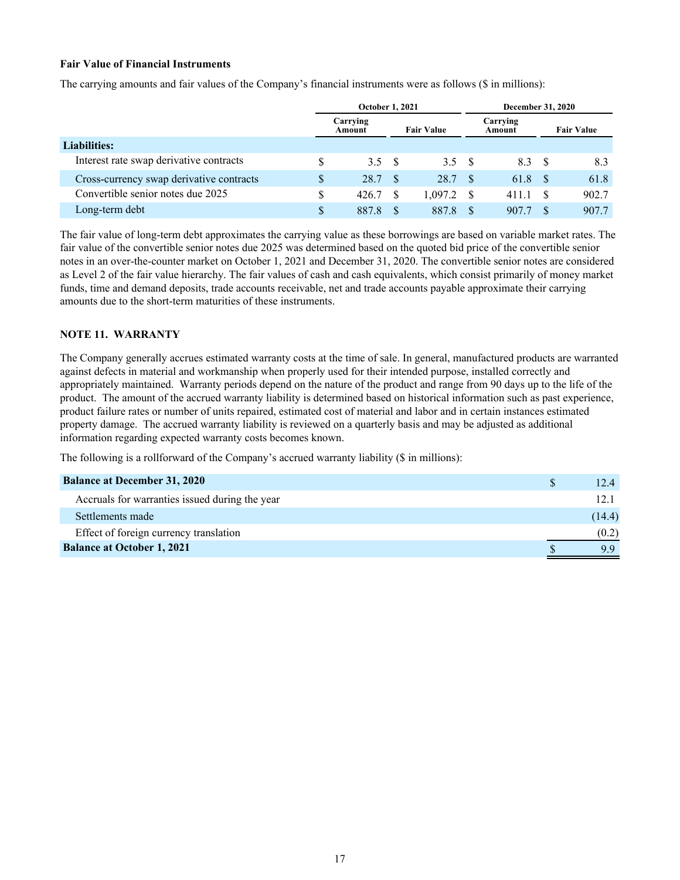#### **Fair Value of Financial Instruments**

The carrying amounts and fair values of the Company's financial instruments were as follows (\$ in millions):

|                                          |    | <b>October 1, 2021</b> |                   |         |     | <b>December 31, 2020</b> |      |                   |  |  |
|------------------------------------------|----|------------------------|-------------------|---------|-----|--------------------------|------|-------------------|--|--|
|                                          |    | Carrying<br>Amount     | <b>Fair Value</b> |         |     |                          |      | <b>Fair Value</b> |  |  |
| <b>Liabilities:</b>                      |    |                        |                   |         |     |                          |      |                   |  |  |
| Interest rate swap derivative contracts  |    | 3.5                    | - S               | 3.5 S   |     | 8.3                      | - \$ | 8.3               |  |  |
| Cross-currency swap derivative contracts |    | 28.7                   | -8                | 28.7    | - S | 61.8                     | - S  | 61.8              |  |  |
| Convertible senior notes due 2025        | S  | 426.7                  |                   | 1.097.2 | -8  | 411.1                    | - \$ | 902.7             |  |  |
| Long-term debt                           | \$ | 887.8                  |                   | 887.8   |     | 907.7                    |      | 907.7             |  |  |

The fair value of long-term debt approximates the carrying value as these borrowings are based on variable market rates. The fair value of the convertible senior notes due 2025 was determined based on the quoted bid price of the convertible senior notes in an over-the-counter market on October 1, 2021 and December 31, 2020. The convertible senior notes are considered as Level 2 of the fair value hierarchy. The fair values of cash and cash equivalents, which consist primarily of money market funds, time and demand deposits, trade accounts receivable, net and trade accounts payable approximate their carrying amounts due to the short-term maturities of these instruments.

#### **NOTE 11. WARRANTY**

The Company generally accrues estimated warranty costs at the time of sale. In general, manufactured products are warranted against defects in material and workmanship when properly used for their intended purpose, installed correctly and appropriately maintained. Warranty periods depend on the nature of the product and range from 90 days up to the life of the product. The amount of the accrued warranty liability is determined based on historical information such as past experience, product failure rates or number of units repaired, estimated cost of material and labor and in certain instances estimated property damage. The accrued warranty liability is reviewed on a quarterly basis and may be adjusted as additional information regarding expected warranty costs becomes known.

The following is a rollforward of the Company's accrued warranty liability (\$ in millions):

| <b>Balance at December 31, 2020</b>            | 12.4   |
|------------------------------------------------|--------|
| Accruals for warranties issued during the year | 12.1   |
| Settlements made                               | (14.4) |
| Effect of foreign currency translation         | (0.2)  |
| <b>Balance at October 1, 2021</b>              | QQ     |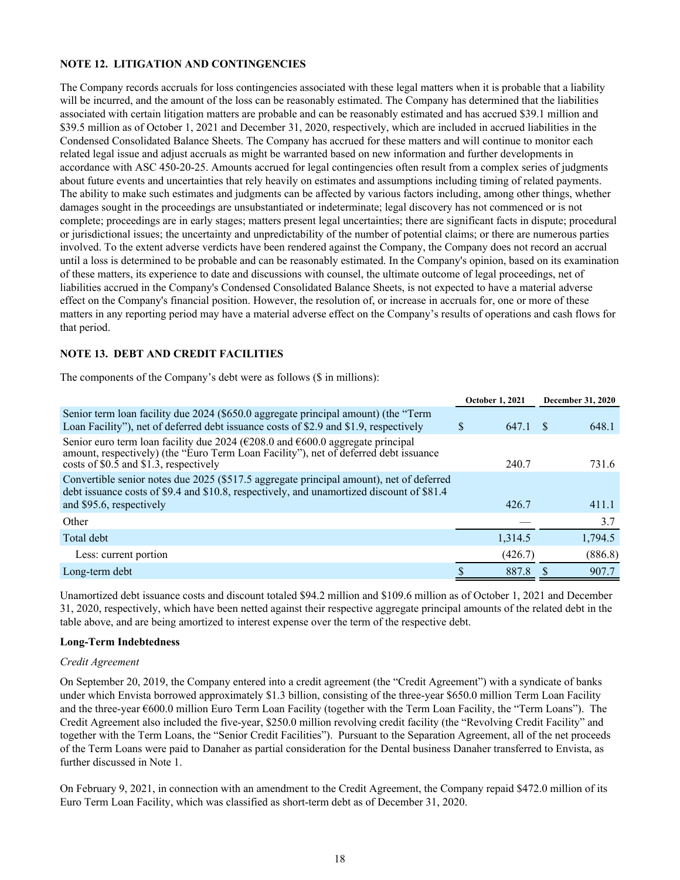# **NOTE 12. LITIGATION AND CONTINGENCIES**

The Company records accruals for loss contingencies associated with these legal matters when it is probable that a liability will be incurred, and the amount of the loss can be reasonably estimated. The Company has determined that the liabilities associated with certain litigation matters are probable and can be reasonably estimated and has accrued \$39.1 million and \$39.5 million as of October 1, 2021 and December 31, 2020, respectively, which are included in accrued liabilities in the Condensed Consolidated Balance Sheets. The Company has accrued for these matters and will continue to monitor each related legal issue and adjust accruals as might be warranted based on new information and further developments in accordance with ASC 450-20-25. Amounts accrued for legal contingencies often result from a complex series of judgments about future events and uncertainties that rely heavily on estimates and assumptions including timing of related payments. The ability to make such estimates and judgments can be affected by various factors including, among other things, whether damages sought in the proceedings are unsubstantiated or indeterminate; legal discovery has not commenced or is not complete; proceedings are in early stages; matters present legal uncertainties; there are significant facts in dispute; procedural or jurisdictional issues; the uncertainty and unpredictability of the number of potential claims; or there are numerous parties involved. To the extent adverse verdicts have been rendered against the Company, the Company does not record an accrual until a loss is determined to be probable and can be reasonably estimated. In the Company's opinion, based on its examination of these matters, its experience to date and discussions with counsel, the ultimate outcome of legal proceedings, net of liabilities accrued in the Company's Condensed Consolidated Balance Sheets, is not expected to have a material adverse effect on the Company's financial position. However, the resolution of, or increase in accruals for, one or more of these matters in any reporting period may have a material adverse effect on the Company's results of operations and cash flows for that period.

# **NOTE 13. DEBT AND CREDIT FACILITIES**

The components of the Company's debt were as follows (\$ in millions):

|                                                                                                                                                                                                                                       | <b>October 1, 2021</b> | December 31, 2020 |
|---------------------------------------------------------------------------------------------------------------------------------------------------------------------------------------------------------------------------------------|------------------------|-------------------|
| Senior term loan facility due 2024 (\$650.0 aggregate principal amount) (the "Term<br>Loan Facility"), net of deferred debt issuance costs of \$2.9 and \$1.9, respectively                                                           | \$<br>647.1            | 648.1             |
| Senior euro term loan facility due 2024 ( $\epsilon$ 208.0 and $\epsilon$ 600.0 aggregate principal<br>amount, respectively) (the "Euro Term Loan Facility"), net of deferred debt issuance<br>costs of \$0.5 and \$1.3, respectively | 240.7                  | 731.6             |
| Convertible senior notes due 2025 (\$517.5 aggregate principal amount), net of deferred<br>debt issuance costs of \$9.4 and \$10.8, respectively, and unamortized discount of \$81.4<br>and \$95.6, respectively                      | 426.7                  | 411.1             |
| Other                                                                                                                                                                                                                                 |                        | 3.7               |
| Total debt                                                                                                                                                                                                                            | 1,314.5                | 1,794.5           |
| Less: current portion                                                                                                                                                                                                                 | (426.7)                | (886.8)           |
| Long-term debt                                                                                                                                                                                                                        | 887.8                  | 907.7             |

Unamortized debt issuance costs and discount totaled \$94.2 million and \$109.6 million as of October 1, 2021 and December 31, 2020, respectively, which have been netted against their respective aggregate principal amounts of the related debt in the table above, and are being amortized to interest expense over the term of the respective debt.

### **Long-Term Indebtedness**

#### *Credit Agreement*

On September 20, 2019, the Company entered into a credit agreement (the "Credit Agreement") with a syndicate of banks under which Envista borrowed approximately \$1.3 billion, consisting of the three-year \$650.0 million Term Loan Facility and the three-year €600.0 million Euro Term Loan Facility (together with the Term Loan Facility, the "Term Loans"). The Credit Agreement also included the five-year, \$250.0 million revolving credit facility (the "Revolving Credit Facility" and together with the Term Loans, the "Senior Credit Facilities"). Pursuant to the Separation Agreement, all of the net proceeds of the Term Loans were paid to Danaher as partial consideration for the Dental business Danaher transferred to Envista, as further discussed in Note 1.

On February 9, 2021, in connection with an amendment to the Credit Agreement, the Company repaid \$472.0 million of its Euro Term Loan Facility, which was classified as short-term debt as of December 31, 2020.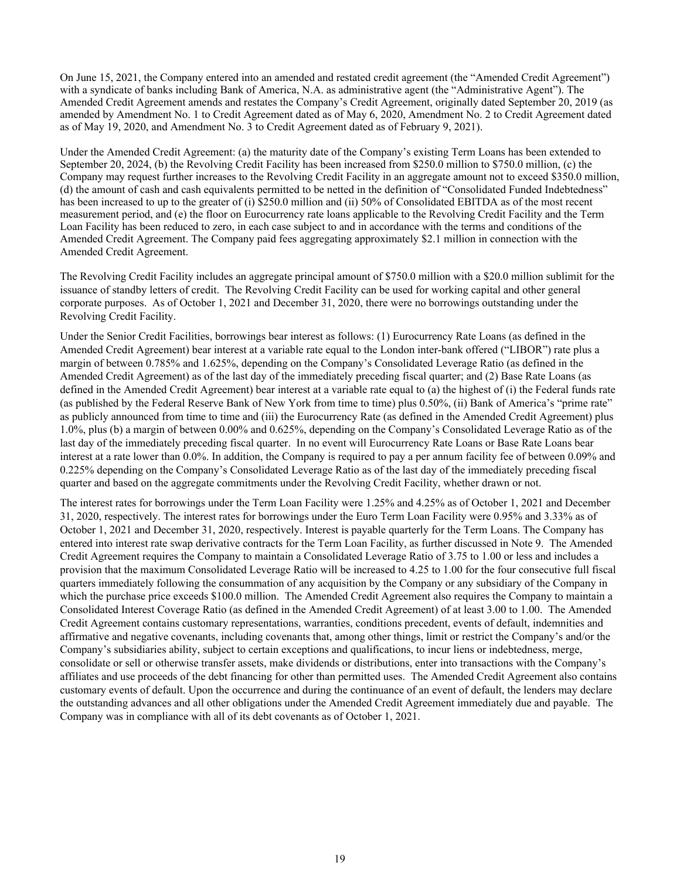On June 15, 2021, the Company entered into an amended and restated credit agreement (the "Amended Credit Agreement") with a syndicate of banks including Bank of America, N.A. as administrative agent (the "Administrative Agent"). The Amended Credit Agreement amends and restates the Company's Credit Agreement, originally dated September 20, 2019 (as amended by Amendment No. 1 to Credit Agreement dated as of May 6, 2020, Amendment No. 2 to Credit Agreement dated as of May 19, 2020, and Amendment No. 3 to Credit Agreement dated as of February 9, 2021).

Under the Amended Credit Agreement: (a) the maturity date of the Company's existing Term Loans has been extended to September 20, 2024, (b) the Revolving Credit Facility has been increased from \$250.0 million to \$750.0 million, (c) the Company may request further increases to the Revolving Credit Facility in an aggregate amount not to exceed \$350.0 million, (d) the amount of cash and cash equivalents permitted to be netted in the definition of "Consolidated Funded Indebtedness" has been increased to up to the greater of (i) \$250.0 million and (ii) 50% of Consolidated EBITDA as of the most recent measurement period, and (e) the floor on Eurocurrency rate loans applicable to the Revolving Credit Facility and the Term Loan Facility has been reduced to zero, in each case subject to and in accordance with the terms and conditions of the Amended Credit Agreement. The Company paid fees aggregating approximately \$2.1 million in connection with the Amended Credit Agreement.

The Revolving Credit Facility includes an aggregate principal amount of \$750.0 million with a \$20.0 million sublimit for the issuance of standby letters of credit. The Revolving Credit Facility can be used for working capital and other general corporate purposes. As of October 1, 2021 and December 31, 2020, there were no borrowings outstanding under the Revolving Credit Facility.

Under the Senior Credit Facilities, borrowings bear interest as follows: (1) Eurocurrency Rate Loans (as defined in the Amended Credit Agreement) bear interest at a variable rate equal to the London inter-bank offered ("LIBOR") rate plus a margin of between 0.785% and 1.625%, depending on the Company's Consolidated Leverage Ratio (as defined in the Amended Credit Agreement) as of the last day of the immediately preceding fiscal quarter; and (2) Base Rate Loans (as defined in the Amended Credit Agreement) bear interest at a variable rate equal to (a) the highest of (i) the Federal funds rate (as published by the Federal Reserve Bank of New York from time to time) plus 0.50%, (ii) Bank of America's "prime rate" as publicly announced from time to time and (iii) the Eurocurrency Rate (as defined in the Amended Credit Agreement) plus 1.0%, plus (b) a margin of between 0.00% and 0.625%, depending on the Company's Consolidated Leverage Ratio as of the last day of the immediately preceding fiscal quarter. In no event will Eurocurrency Rate Loans or Base Rate Loans bear interest at a rate lower than 0.0%. In addition, the Company is required to pay a per annum facility fee of between 0.09% and 0.225% depending on the Company's Consolidated Leverage Ratio as of the last day of the immediately preceding fiscal quarter and based on the aggregate commitments under the Revolving Credit Facility, whether drawn or not.

The interest rates for borrowings under the Term Loan Facility were 1.25% and 4.25% as of October 1, 2021 and December 31, 2020, respectively. The interest rates for borrowings under the Euro Term Loan Facility were 0.95% and 3.33% as of October 1, 2021 and December 31, 2020, respectively. Interest is payable quarterly for the Term Loans. The Company has entered into interest rate swap derivative contracts for the Term Loan Facility, as further discussed in Note 9. The Amended Credit Agreement requires the Company to maintain a Consolidated Leverage Ratio of 3.75 to 1.00 or less and includes a provision that the maximum Consolidated Leverage Ratio will be increased to 4.25 to 1.00 for the four consecutive full fiscal quarters immediately following the consummation of any acquisition by the Company or any subsidiary of the Company in which the purchase price exceeds \$100.0 million. The Amended Credit Agreement also requires the Company to maintain a Consolidated Interest Coverage Ratio (as defined in the Amended Credit Agreement) of at least 3.00 to 1.00. The Amended Credit Agreement contains customary representations, warranties, conditions precedent, events of default, indemnities and affirmative and negative covenants, including covenants that, among other things, limit or restrict the Company's and/or the Company's subsidiaries ability, subject to certain exceptions and qualifications, to incur liens or indebtedness, merge, consolidate or sell or otherwise transfer assets, make dividends or distributions, enter into transactions with the Company's affiliates and use proceeds of the debt financing for other than permitted uses. The Amended Credit Agreement also contains customary events of default. Upon the occurrence and during the continuance of an event of default, the lenders may declare the outstanding advances and all other obligations under the Amended Credit Agreement immediately due and payable. The Company was in compliance with all of its debt covenants as of October 1, 2021.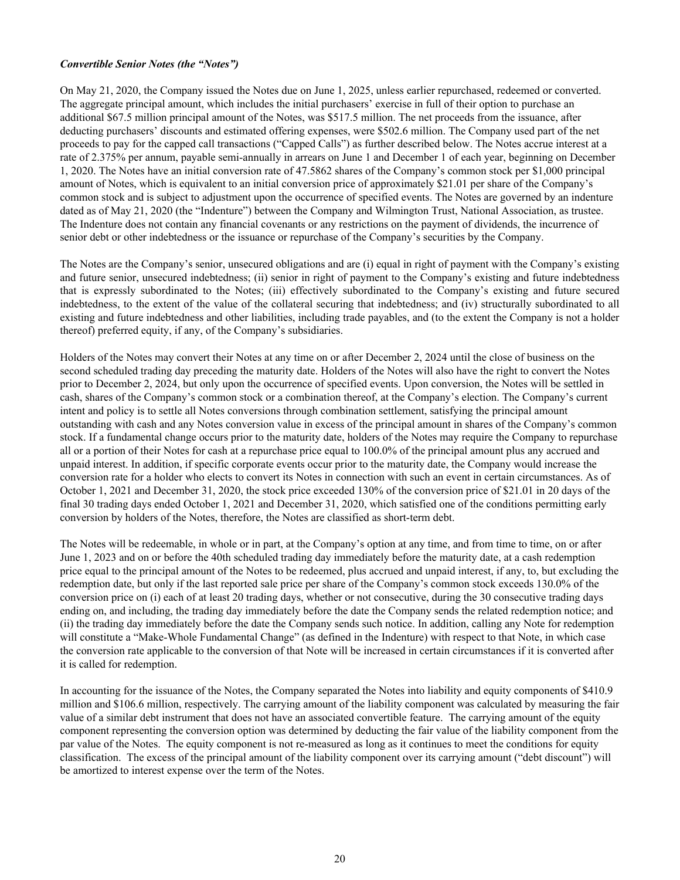#### *Convertible Senior Notes (the "Notes")*

On May 21, 2020, the Company issued the Notes due on June 1, 2025, unless earlier repurchased, redeemed or converted. The aggregate principal amount, which includes the initial purchasers' exercise in full of their option to purchase an additional \$67.5 million principal amount of the Notes, was \$517.5 million. The net proceeds from the issuance, after deducting purchasers' discounts and estimated offering expenses, were \$502.6 million. The Company used part of the net proceeds to pay for the capped call transactions ("Capped Calls") as further described below. The Notes accrue interest at a rate of 2.375% per annum, payable semi-annually in arrears on June 1 and December 1 of each year, beginning on December 1, 2020. The Notes have an initial conversion rate of 47.5862 shares of the Company's common stock per \$1,000 principal amount of Notes, which is equivalent to an initial conversion price of approximately \$21.01 per share of the Company's common stock and is subject to adjustment upon the occurrence of specified events. The Notes are governed by an indenture dated as of May 21, 2020 (the "Indenture") between the Company and Wilmington Trust, National Association, as trustee. The Indenture does not contain any financial covenants or any restrictions on the payment of dividends, the incurrence of senior debt or other indebtedness or the issuance or repurchase of the Company's securities by the Company.

The Notes are the Company's senior, unsecured obligations and are (i) equal in right of payment with the Company's existing and future senior, unsecured indebtedness; (ii) senior in right of payment to the Company's existing and future indebtedness that is expressly subordinated to the Notes; (iii) effectively subordinated to the Company's existing and future secured indebtedness, to the extent of the value of the collateral securing that indebtedness; and (iv) structurally subordinated to all existing and future indebtedness and other liabilities, including trade payables, and (to the extent the Company is not a holder thereof) preferred equity, if any, of the Company's subsidiaries.

Holders of the Notes may convert their Notes at any time on or after December 2, 2024 until the close of business on the second scheduled trading day preceding the maturity date. Holders of the Notes will also have the right to convert the Notes prior to December 2, 2024, but only upon the occurrence of specified events. Upon conversion, the Notes will be settled in cash, shares of the Company's common stock or a combination thereof, at the Company's election. The Company's current intent and policy is to settle all Notes conversions through combination settlement, satisfying the principal amount outstanding with cash and any Notes conversion value in excess of the principal amount in shares of the Company's common stock. If a fundamental change occurs prior to the maturity date, holders of the Notes may require the Company to repurchase all or a portion of their Notes for cash at a repurchase price equal to 100.0% of the principal amount plus any accrued and unpaid interest. In addition, if specific corporate events occur prior to the maturity date, the Company would increase the conversion rate for a holder who elects to convert its Notes in connection with such an event in certain circumstances. As of October 1, 2021 and December 31, 2020, the stock price exceeded 130% of the conversion price of \$21.01 in 20 days of the final 30 trading days ended October 1, 2021 and December 31, 2020, which satisfied one of the conditions permitting early conversion by holders of the Notes, therefore, the Notes are classified as short-term debt.

The Notes will be redeemable, in whole or in part, at the Company's option at any time, and from time to time, on or after June 1, 2023 and on or before the 40th scheduled trading day immediately before the maturity date, at a cash redemption price equal to the principal amount of the Notes to be redeemed, plus accrued and unpaid interest, if any, to, but excluding the redemption date, but only if the last reported sale price per share of the Company's common stock exceeds 130.0% of the conversion price on (i) each of at least 20 trading days, whether or not consecutive, during the 30 consecutive trading days ending on, and including, the trading day immediately before the date the Company sends the related redemption notice; and (ii) the trading day immediately before the date the Company sends such notice. In addition, calling any Note for redemption will constitute a "Make-Whole Fundamental Change" (as defined in the Indenture) with respect to that Note, in which case the conversion rate applicable to the conversion of that Note will be increased in certain circumstances if it is converted after it is called for redemption.

In accounting for the issuance of the Notes, the Company separated the Notes into liability and equity components of \$410.9 million and \$106.6 million, respectively. The carrying amount of the liability component was calculated by measuring the fair value of a similar debt instrument that does not have an associated convertible feature. The carrying amount of the equity component representing the conversion option was determined by deducting the fair value of the liability component from the par value of the Notes. The equity component is not re-measured as long as it continues to meet the conditions for equity classification. The excess of the principal amount of the liability component over its carrying amount ("debt discount") will be amortized to interest expense over the term of the Notes.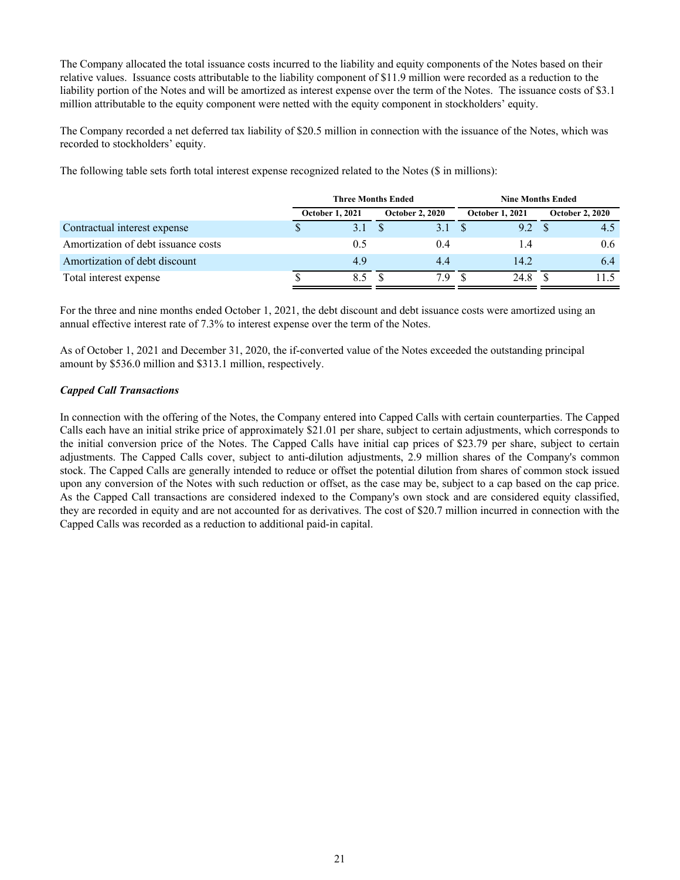The Company allocated the total issuance costs incurred to the liability and equity components of the Notes based on their relative values. Issuance costs attributable to the liability component of \$11.9 million were recorded as a reduction to the liability portion of the Notes and will be amortized as interest expense over the term of the Notes. The issuance costs of \$3.1 million attributable to the equity component were netted with the equity component in stockholders' equity.

The Company recorded a net deferred tax liability of \$20.5 million in connection with the issuance of the Notes, which was recorded to stockholders' equity.

|                                     |                        | <b>Three Months Ended</b> | <b>Nine Months Ended</b> |                        |  |  |  |
|-------------------------------------|------------------------|---------------------------|--------------------------|------------------------|--|--|--|
|                                     | <b>October 1, 2021</b> | <b>October 2, 2020</b>    | <b>October 1, 2021</b>   | <b>October 2, 2020</b> |  |  |  |
| Contractual interest expense        |                        | 3.1                       | 9.2                      | 4.5                    |  |  |  |
| Amortization of debt issuance costs | 0.5                    | 0.4                       | 1.4                      | 0.6                    |  |  |  |
| Amortization of debt discount       | 4.9                    | 4.4                       | 14.2                     | 6.4                    |  |  |  |
| Total interest expense              | 8.5                    | 79                        | 24.8                     |                        |  |  |  |

The following table sets forth total interest expense recognized related to the Notes (\$ in millions):

For the three and nine months ended October 1, 2021, the debt discount and debt issuance costs were amortized using an annual effective interest rate of 7.3% to interest expense over the term of the Notes.

As of October 1, 2021 and December 31, 2020, the if-converted value of the Notes exceeded the outstanding principal amount by \$536.0 million and \$313.1 million, respectively.

#### *Capped Call Transactions*

In connection with the offering of the Notes, the Company entered into Capped Calls with certain counterparties. The Capped Calls each have an initial strike price of approximately \$21.01 per share, subject to certain adjustments, which corresponds to the initial conversion price of the Notes. The Capped Calls have initial cap prices of \$23.79 per share, subject to certain adjustments. The Capped Calls cover, subject to anti-dilution adjustments, 2.9 million shares of the Company's common stock. The Capped Calls are generally intended to reduce or offset the potential dilution from shares of common stock issued upon any conversion of the Notes with such reduction or offset, as the case may be, subject to a cap based on the cap price. As the Capped Call transactions are considered indexed to the Company's own stock and are considered equity classified, they are recorded in equity and are not accounted for as derivatives. The cost of \$20.7 million incurred in connection with the Capped Calls was recorded as a reduction to additional paid-in capital.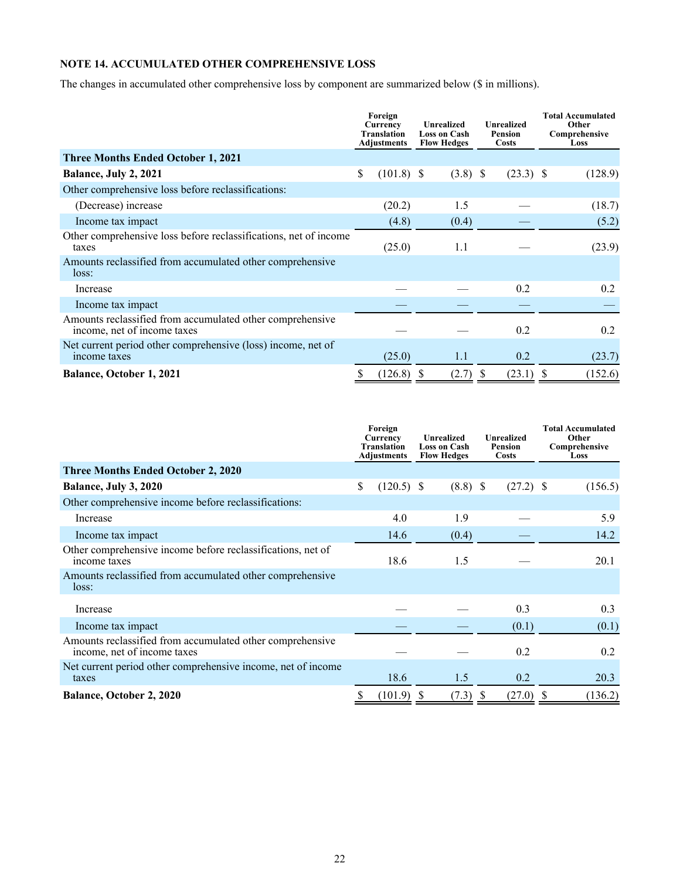# **NOTE 14. ACCUMULATED OTHER COMPREHENSIVE LOSS**

The changes in accumulated other comprehensive loss by component are summarized below (\$ in millions).

|                                                                                          |    | Foreign<br>Currency<br><b>Translation</b><br>Adjustments | <b>Unrealized</b><br><b>Loss on Cash</b><br><b>Flow Hedges</b> |               | <b>Unrealized</b><br><b>Pension</b><br>Costs | <b>Total Accumulated</b><br><b>Other</b><br>Comprehensive<br>Loss |         |  |
|------------------------------------------------------------------------------------------|----|----------------------------------------------------------|----------------------------------------------------------------|---------------|----------------------------------------------|-------------------------------------------------------------------|---------|--|
| <b>Three Months Ended October 1, 2021</b>                                                |    |                                                          |                                                                |               |                                              |                                                                   |         |  |
| Balance, July 2, 2021                                                                    | \$ | $(101.8)$ \$                                             | $(3.8)$ \$                                                     |               | $(23.3)$ \$                                  |                                                                   | (128.9) |  |
| Other comprehensive loss before reclassifications:                                       |    |                                                          |                                                                |               |                                              |                                                                   |         |  |
| (Decrease) increase                                                                      |    | (20.2)                                                   | 1.5                                                            |               |                                              |                                                                   | (18.7)  |  |
| Income tax impact                                                                        |    | (4.8)                                                    | (0.4)                                                          |               |                                              |                                                                   | (5.2)   |  |
| Other comprehensive loss before reclassifications, net of income<br>taxes                |    | (25.0)                                                   | 1.1                                                            |               |                                              |                                                                   | (23.9)  |  |
| Amounts reclassified from accumulated other comprehensive<br>loss:                       |    |                                                          |                                                                |               |                                              |                                                                   |         |  |
| Increase                                                                                 |    |                                                          |                                                                |               | 0.2                                          |                                                                   | 0.2     |  |
| Income tax impact                                                                        |    |                                                          |                                                                |               |                                              |                                                                   |         |  |
| Amounts reclassified from accumulated other comprehensive<br>income, net of income taxes |    |                                                          |                                                                |               | 0.2                                          |                                                                   | 0.2     |  |
| Net current period other comprehensive (loss) income, net of<br>income taxes             |    | (25.0)                                                   | 1.1                                                            |               | 0.2                                          |                                                                   | (23.7)  |  |
| <b>Balance, October 1, 2021</b>                                                          | S  | $(126.8)$ \$                                             | (2.7)                                                          | <sup>\$</sup> | $(23.1)$ \$                                  |                                                                   | (152.6) |  |

|                                                                                          |    | Foreign<br>Currency<br><b>Translation</b><br>Adjustments | <b>Unrealized</b><br><b>Loss on Cash</b><br><b>Flow Hedges</b> |   | <b>Unrealized</b><br><b>Pension</b><br><b>Costs</b> | <b>Total Accumulated</b><br><b>Other</b><br>Comprehensive<br>Loss |
|------------------------------------------------------------------------------------------|----|----------------------------------------------------------|----------------------------------------------------------------|---|-----------------------------------------------------|-------------------------------------------------------------------|
| <b>Three Months Ended October 2, 2020</b>                                                |    |                                                          |                                                                |   |                                                     |                                                                   |
| Balance, July 3, 2020                                                                    | \$ | $(120.5)$ \$                                             | $(8.8)$ \$                                                     |   | $(27.2)$ \$                                         | (156.5)                                                           |
| Other comprehensive income before reclassifications:                                     |    |                                                          |                                                                |   |                                                     |                                                                   |
| Increase                                                                                 |    | 4.0                                                      | 1.9                                                            |   |                                                     | 5.9                                                               |
| Income tax impact                                                                        |    | 14.6                                                     | (0.4)                                                          |   |                                                     | 14.2                                                              |
| Other comprehensive income before reclassifications, net of<br>income taxes              |    | 18.6                                                     | 1.5                                                            |   |                                                     | 20.1                                                              |
| Amounts reclassified from accumulated other comprehensive<br>loss:                       |    |                                                          |                                                                |   |                                                     |                                                                   |
| Increase                                                                                 |    |                                                          |                                                                |   | 0.3                                                 | 0.3                                                               |
| Income tax impact                                                                        |    |                                                          |                                                                |   | (0.1)                                               | (0.1)                                                             |
| Amounts reclassified from accumulated other comprehensive<br>income, net of income taxes |    |                                                          |                                                                |   | 0.2                                                 | 0.2                                                               |
| Net current period other comprehensive income, net of income<br>taxes                    |    | 18.6                                                     | 1.5                                                            |   | 0.2                                                 | 20.3                                                              |
| Balance, October 2, 2020                                                                 |    | (101.9)                                                  | (7.3)<br><sup>8</sup>                                          | S | (27.0)                                              | (136.2)                                                           |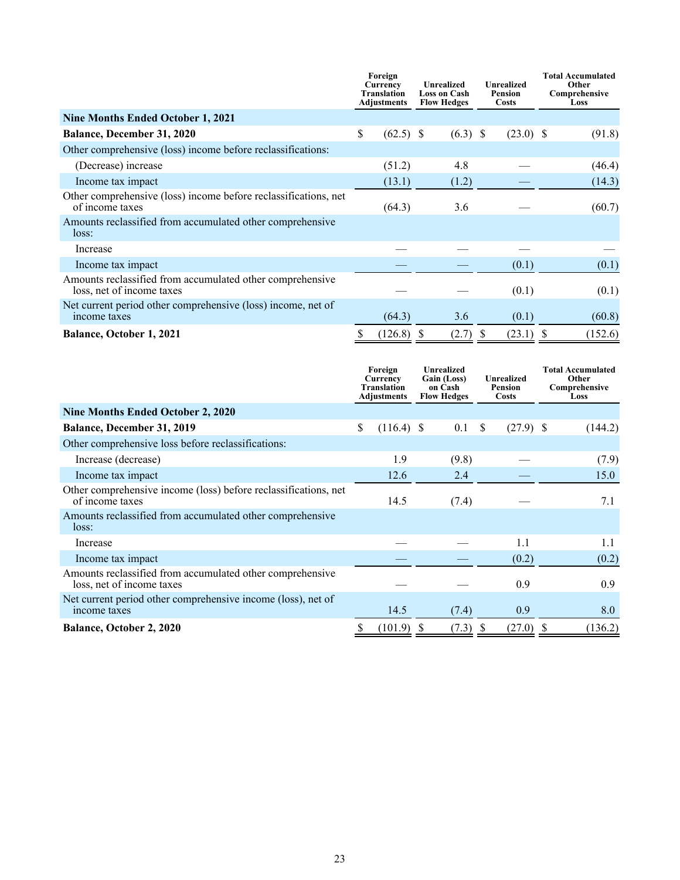|                                                                                        | Foreign<br>Currency<br>Translation<br>Adjustments | <b>Unrealized</b><br><b>Loss on Cash</b><br><b>Flow Hedges</b> | Unrealized<br><b>Pension</b><br>Costs | <b>Total Accumulated</b><br>Other<br>Comprehensive<br>Loss |
|----------------------------------------------------------------------------------------|---------------------------------------------------|----------------------------------------------------------------|---------------------------------------|------------------------------------------------------------|
| <b>Nine Months Ended October 1, 2021</b>                                               |                                                   |                                                                |                                       |                                                            |
| <b>Balance, December 31, 2020</b>                                                      | \$<br>$(62.5)$ \$                                 | $(6.3)$ \$                                                     | $(23.0)$ \$                           | (91.8)                                                     |
| Other comprehensive (loss) income before reclassifications:                            |                                                   |                                                                |                                       |                                                            |
| (Decrease) increase                                                                    | (51.2)                                            | 4.8                                                            |                                       | (46.4)                                                     |
| Income tax impact                                                                      | (13.1)                                            | (1.2)                                                          |                                       | (14.3)                                                     |
| Other comprehensive (loss) income before reclassifications, net<br>of income taxes     | (64.3)                                            | 3.6                                                            |                                       | (60.7)                                                     |
| Amounts reclassified from accumulated other comprehensive<br>loss:                     |                                                   |                                                                |                                       |                                                            |
| Increase                                                                               |                                                   |                                                                |                                       |                                                            |
| Income tax impact                                                                      |                                                   |                                                                | (0.1)                                 | (0.1)                                                      |
| Amounts reclassified from accumulated other comprehensive<br>loss, net of income taxes |                                                   |                                                                | (0.1)                                 | (0.1)                                                      |
| Net current period other comprehensive (loss) income, net of<br>income taxes           | (64.3)                                            | 3.6                                                            | (0.1)                                 | (60.8)                                                     |
| Balance, October 1, 2021                                                               | (126.8)<br>S                                      | (2.7)<br>-S                                                    | (23.1)<br>S                           | (152.6)<br>-S                                              |

|                                                                                        | Foreign<br>Currency<br><b>Translation</b><br><b>Adjustments</b> | <b>Unrealized</b><br>Gain (Loss)<br>on Cash<br><b>Flow Hedges</b> | <b>Unrealized</b><br>Pension<br>Costs |             | <b>Total Accumulated</b><br><b>Other</b><br>Comprehensive<br>Loss |
|----------------------------------------------------------------------------------------|-----------------------------------------------------------------|-------------------------------------------------------------------|---------------------------------------|-------------|-------------------------------------------------------------------|
| Nine Months Ended October 2, 2020                                                      |                                                                 |                                                                   |                                       |             |                                                                   |
| <b>Balance, December 31, 2019</b>                                                      | \$<br>$(116.4)$ \$                                              | 0.1                                                               | <sup>\$</sup>                         | $(27.9)$ \$ | (144.2)                                                           |
| Other comprehensive loss before reclassifications:                                     |                                                                 |                                                                   |                                       |             |                                                                   |
| Increase (decrease)                                                                    | 1.9                                                             | (9.8)                                                             |                                       |             | (7.9)                                                             |
| Income tax impact                                                                      | 12.6                                                            | 2.4                                                               |                                       |             | 15.0                                                              |
| Other comprehensive income (loss) before reclassifications, net<br>of income taxes     | 14.5                                                            | (7.4)                                                             |                                       |             | 7.1                                                               |
| Amounts reclassified from accumulated other comprehensive<br>loss:                     |                                                                 |                                                                   |                                       |             |                                                                   |
| Increase                                                                               |                                                                 |                                                                   |                                       | 1.1         | 1.1                                                               |
| Income tax impact                                                                      |                                                                 |                                                                   |                                       | (0.2)       | (0.2)                                                             |
| Amounts reclassified from accumulated other comprehensive<br>loss, net of income taxes |                                                                 |                                                                   |                                       | 0.9         | 0.9                                                               |
| Net current period other comprehensive income (loss), net of<br>income taxes           | 14.5                                                            | (7.4)                                                             |                                       | 0.9         | 8.0                                                               |
| Balance, October 2, 2020                                                               | (101.9)                                                         | (7.3)                                                             | -S                                    | (27.0)      | (136.2)                                                           |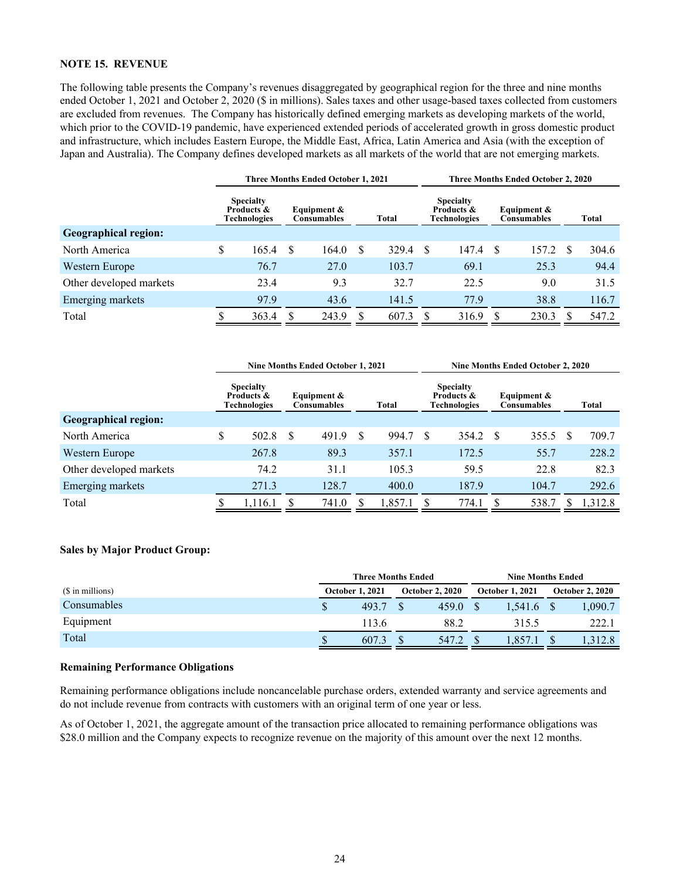### **NOTE 15. REVENUE**

The following table presents the Company's revenues disaggregated by geographical region for the three and nine months ended October 1, 2021 and October 2, 2020 (\$ in millions). Sales taxes and other usage-based taxes collected from customers are excluded from revenues. The Company has historically defined emerging markets as developing markets of the world, which prior to the COVID-19 pandemic, have experienced extended periods of accelerated growth in gross domestic product and infrastructure, which includes Eastern Europe, the Middle East, Africa, Latin America and Asia (with the exception of Japan and Australia). The Company defines developed markets as all markets of the world that are not emerging markets.

|                             |                                                       | <b>Three Months Ended October 1, 2021</b> |                                      | <b>Three Months Ended October 2, 2020</b> |       |    |                                                |          |                                      |     |              |
|-----------------------------|-------------------------------------------------------|-------------------------------------------|--------------------------------------|-------------------------------------------|-------|----|------------------------------------------------|----------|--------------------------------------|-----|--------------|
|                             | <b>Specialty</b><br>Products &<br><b>Technologies</b> |                                           | Equipment $\&$<br><b>Consumables</b> |                                           | Total |    | <b>Specialty</b><br>Products &<br>Technologies |          | Equipment $\&$<br><b>Consumables</b> |     | <b>Total</b> |
| <b>Geographical region:</b> |                                                       |                                           |                                      |                                           |       |    |                                                |          |                                      |     |              |
| North America               | \$<br>165.4                                           | - \$                                      | 164.0                                | S                                         | 329.4 | -S | 147.4                                          | <b>S</b> | 157.2                                | \$. | 304.6        |
| Western Europe              | 76.7                                                  |                                           | 27.0                                 |                                           | 103.7 |    | 69.1                                           |          | 25.3                                 |     | 94.4         |
| Other developed markets     | 23.4                                                  |                                           | 9.3                                  |                                           | 32.7  |    | 22.5                                           |          | 9.0                                  |     | 31.5         |
| Emerging markets            | 97.9                                                  |                                           | 43.6                                 |                                           | 141.5 |    | 77.9                                           |          | 38.8                                 |     | 116.7        |
| Total                       | 363.4                                                 |                                           | 243.9                                | S                                         | 607.3 |    | 316.9                                          | \$.      | 230.3                                |     | 547.2        |

|                             | Nine Months Ended October 1, 2021              |      |                                      |              |         |    | Nine Months Ended October 2, 2020              |      |                                   |  |         |  |  |
|-----------------------------|------------------------------------------------|------|--------------------------------------|--------------|---------|----|------------------------------------------------|------|-----------------------------------|--|---------|--|--|
|                             | <b>Specialty</b><br>Products &<br>Technologies |      | Equipment $\&$<br><b>Consumables</b> |              | Total   |    | <b>Specialty</b><br>Products &<br>Technologies |      | Equipment &<br><b>Consumables</b> |  | Total   |  |  |
| <b>Geographical region:</b> |                                                |      |                                      |              |         |    |                                                |      |                                   |  |         |  |  |
| North America               | \$<br>502.8                                    | - \$ | 491.9                                | <sup>S</sup> | 994.7   | -S | 354.2                                          | - \$ | 355.5                             |  | 709.7   |  |  |
| Western Europe              | 267.8                                          |      | 89.3                                 |              | 357.1   |    | 172.5                                          |      | 55.7                              |  | 228.2   |  |  |
| Other developed markets     | 74.2                                           |      | 31.1                                 |              | 105.3   |    | 59.5                                           |      | 22.8                              |  | 82.3    |  |  |
| Emerging markets            | 271.3                                          |      | 128.7                                |              | 400.0   |    | 187.9                                          |      | 104.7                             |  | 292.6   |  |  |
| Total                       | 1,116.1                                        |      | 741.0                                |              | 1,857.1 |    | 774.1                                          |      | 538.7                             |  | 1,312.8 |  |  |

#### **Sales by Major Product Group:**

|                  |   | <b>Three Months Ended</b> |                        |                        | <b>Nine Months Ended</b> |                        |  |  |
|------------------|---|---------------------------|------------------------|------------------------|--------------------------|------------------------|--|--|
| (\$ in millions) |   | <b>October 1, 2021</b>    | <b>October 2, 2020</b> | <b>October 1, 2021</b> |                          | <b>October 2, 2020</b> |  |  |
| Consumables      | ъ | 493.7                     | 459.0                  | 1.541.6                |                          | 1,090.7                |  |  |
| Equipment        |   | 13.6                      | 88.2                   | 315.5                  |                          | 222.1                  |  |  |
| Total            |   | 607.3                     | 547.2                  | 357.1                  |                          | .312.8                 |  |  |

### **Remaining Performance Obligations**

Remaining performance obligations include noncancelable purchase orders, extended warranty and service agreements and do not include revenue from contracts with customers with an original term of one year or less.

As of October 1, 2021, the aggregate amount of the transaction price allocated to remaining performance obligations was \$28.0 million and the Company expects to recognize revenue on the majority of this amount over the next 12 months.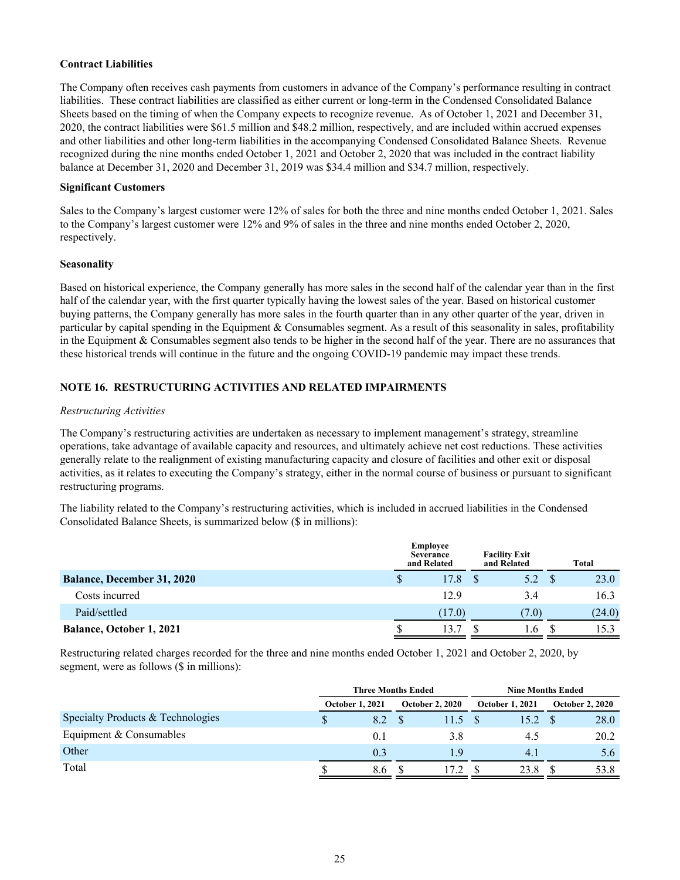#### **Contract Liabilities**

The Company often receives cash payments from customers in advance of the Company's performance resulting in contract liabilities. These contract liabilities are classified as either current or long-term in the Condensed Consolidated Balance Sheets based on the timing of when the Company expects to recognize revenue. As of October 1, 2021 and December 31, 2020, the contract liabilities were \$61.5 million and \$48.2 million, respectively, and are included within accrued expenses and other liabilities and other long-term liabilities in the accompanying Condensed Consolidated Balance Sheets. Revenue recognized during the nine months ended October 1, 2021 and October 2, 2020 that was included in the contract liability balance at December 31, 2020 and December 31, 2019 was \$34.4 million and \$34.7 million, respectively.

#### **Significant Customers**

Sales to the Company's largest customer were 12% of sales for both the three and nine months ended October 1, 2021. Sales to the Company's largest customer were 12% and 9% of sales in the three and nine months ended October 2, 2020, respectively.

#### **Seasonality**

Based on historical experience, the Company generally has more sales in the second half of the calendar year than in the first half of the calendar year, with the first quarter typically having the lowest sales of the year. Based on historical customer buying patterns, the Company generally has more sales in the fourth quarter than in any other quarter of the year, driven in particular by capital spending in the Equipment & Consumables segment. As a result of this seasonality in sales, profitability in the Equipment & Consumables segment also tends to be higher in the second half of the year. There are no assurances that these historical trends will continue in the future and the ongoing COVID-19 pandemic may impact these trends.

# **NOTE 16. RESTRUCTURING ACTIVITIES AND RELATED IMPAIRMENTS**

#### *Restructuring Activities*

The Company's restructuring activities are undertaken as necessary to implement management's strategy, streamline operations, take advantage of available capacity and resources, and ultimately achieve net cost reductions. These activities generally relate to the realignment of existing manufacturing capacity and closure of facilities and other exit or disposal activities, as it relates to executing the Company's strategy, either in the normal course of business or pursuant to significant restructuring programs.

The liability related to the Company's restructuring activities, which is included in accrued liabilities in the Condensed Consolidated Balance Sheets, is summarized below (\$ in millions):

|                                   | <b>Employee</b><br><b>Severance</b><br>and Related | <b>Facility Exit</b><br>and Related | <b>Total</b> |        |  |
|-----------------------------------|----------------------------------------------------|-------------------------------------|--------------|--------|--|
| <b>Balance, December 31, 2020</b> | 17.8                                               | 5.2                                 |              | 23.0   |  |
| Costs incurred                    | 12.9                                               | 3.4                                 |              | 16.3   |  |
| Paid/settled                      | (17.0)                                             | (7.0)                               |              | (24.0) |  |
| Balance, October 1, 2021          | 13.7                                               | . 6                                 |              | 15.3   |  |

Restructuring related charges recorded for the three and nine months ended October 1, 2021 and October 2, 2020, by segment, were as follows (\$ in millions):

|                                   |                                                  | <b>Three Months Ended</b> |                        | <b>Nine Months Ended</b> |                        |             |  |      |
|-----------------------------------|--------------------------------------------------|---------------------------|------------------------|--------------------------|------------------------|-------------|--|------|
|                                   | <b>October 1, 2021</b><br><b>October 2, 2020</b> |                           | <b>October 1, 2021</b> |                          | <b>October 2, 2020</b> |             |  |      |
| Specialty Products & Technologies |                                                  | 8.2                       |                        | 11.5                     |                        |             |  | 28.0 |
| Equipment & Consumables           |                                                  | 0.1                       |                        | 3.8                      |                        | 4.5         |  | 20.2 |
| Other                             |                                                  | 0.3                       |                        | 19                       |                        | $4^{\circ}$ |  | 5.6  |
| Total                             |                                                  | 8.6                       |                        |                          |                        | 23.8        |  | 53.8 |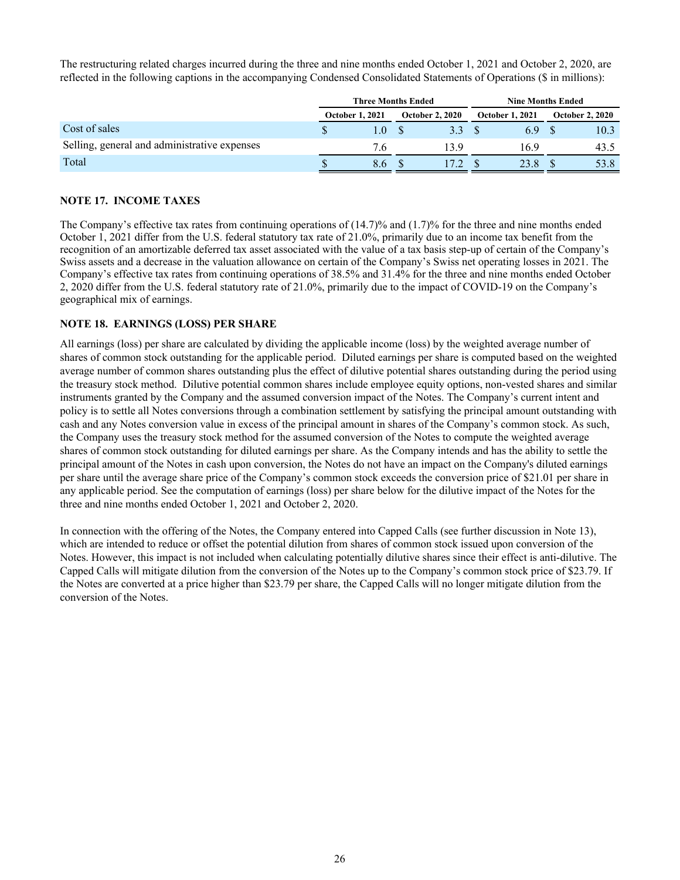The restructuring related charges incurred during the three and nine months ended October 1, 2021 and October 2, 2020, are reflected in the following captions in the accompanying Condensed Consolidated Statements of Operations (\$ in millions):

|                                              |                        |     | <b>Three Months Ended</b> |     | <b>Nine Months Ended</b> |                        |  |      |
|----------------------------------------------|------------------------|-----|---------------------------|-----|--------------------------|------------------------|--|------|
|                                              | <b>October 1, 2021</b> |     | <b>October 2, 2020</b>    |     | <b>October 1, 2021</b>   | <b>October 2, 2020</b> |  |      |
| Cost of sales                                |                        | 10  |                           | 3.3 |                          |                        |  | 10.3 |
| Selling, general and administrative expenses |                        | 76  |                           | 139 |                          | 16.9                   |  | 43.5 |
| Total                                        |                        | 8.6 |                           |     |                          |                        |  | 53.8 |

# **NOTE 17. INCOME TAXES**

The Company's effective tax rates from continuing operations of (14.7)% and (1.7)% for the three and nine months ended October 1, 2021 differ from the U.S. federal statutory tax rate of 21.0%, primarily due to an income tax benefit from the recognition of an amortizable deferred tax asset associated with the value of a tax basis step-up of certain of the Company's Swiss assets and a decrease in the valuation allowance on certain of the Company's Swiss net operating losses in 2021. The Company's effective tax rates from continuing operations of 38.5% and 31.4% for the three and nine months ended October 2, 2020 differ from the U.S. federal statutory rate of 21.0%, primarily due to the impact of COVID-19 on the Company's geographical mix of earnings.

# **NOTE 18. EARNINGS (LOSS) PER SHARE**

All earnings (loss) per share are calculated by dividing the applicable income (loss) by the weighted average number of shares of common stock outstanding for the applicable period. Diluted earnings per share is computed based on the weighted average number of common shares outstanding plus the effect of dilutive potential shares outstanding during the period using the treasury stock method. Dilutive potential common shares include employee equity options, non-vested shares and similar instruments granted by the Company and the assumed conversion impact of the Notes. The Company's current intent and policy is to settle all Notes conversions through a combination settlement by satisfying the principal amount outstanding with cash and any Notes conversion value in excess of the principal amount in shares of the Company's common stock. As such, the Company uses the treasury stock method for the assumed conversion of the Notes to compute the weighted average shares of common stock outstanding for diluted earnings per share. As the Company intends and has the ability to settle the principal amount of the Notes in cash upon conversion, the Notes do not have an impact on the Company's diluted earnings per share until the average share price of the Company's common stock exceeds the conversion price of \$21.01 per share in any applicable period. See the computation of earnings (loss) per share below for the dilutive impact of the Notes for the three and nine months ended October 1, 2021 and October 2, 2020.

In connection with the offering of the Notes, the Company entered into Capped Calls (see further discussion in Note 13), which are intended to reduce or offset the potential dilution from shares of common stock issued upon conversion of the Notes. However, this impact is not included when calculating potentially dilutive shares since their effect is anti-dilutive. The Capped Calls will mitigate dilution from the conversion of the Notes up to the Company's common stock price of \$23.79. If the Notes are converted at a price higher than \$23.79 per share, the Capped Calls will no longer mitigate dilution from the conversion of the Notes.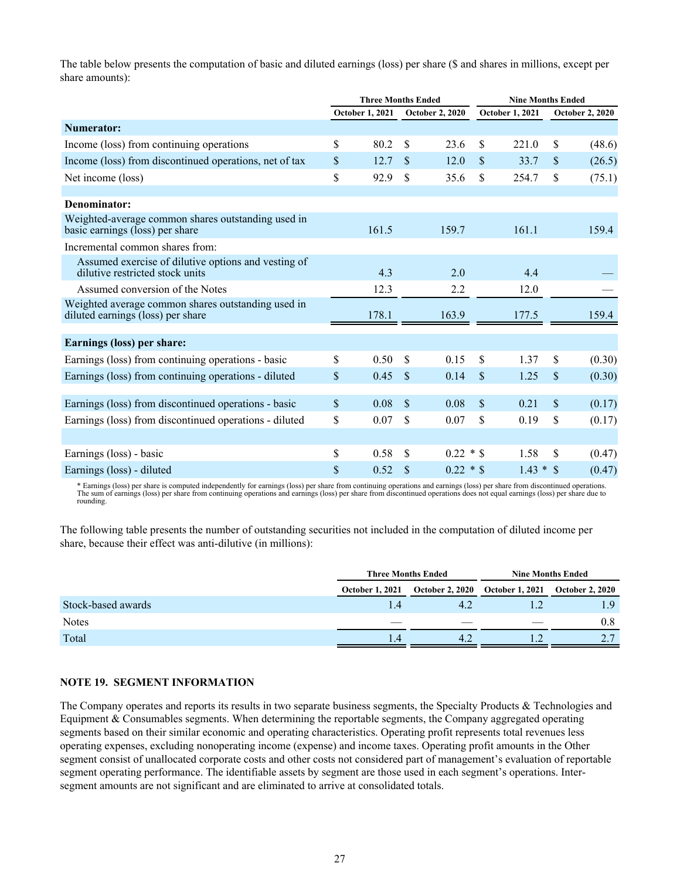The table below presents the computation of basic and diluted earnings (loss) per share (\$ and shares in millions, except per share amounts):

|                                                                                         | <b>Three Months Ended</b> |                        |               |                        |                        | <b>Nine Months Ended</b> |               |                        |  |
|-----------------------------------------------------------------------------------------|---------------------------|------------------------|---------------|------------------------|------------------------|--------------------------|---------------|------------------------|--|
|                                                                                         |                           | <b>October 1, 2021</b> |               | <b>October 2, 2020</b> | <b>October 1, 2021</b> |                          |               | <b>October 2, 2020</b> |  |
| Numerator:                                                                              |                           |                        |               |                        |                        |                          |               |                        |  |
| Income (loss) from continuing operations                                                | \$                        | 80.2                   | S             | 23.6                   | \$                     | 221.0                    | \$            | (48.6)                 |  |
| Income (loss) from discontinued operations, net of tax                                  | $\mathbb{S}$              | 12.7                   | S             | 12.0                   | \$                     | 33.7                     | \$            | (26.5)                 |  |
| Net income (loss)                                                                       | \$                        | 92.9                   | \$            | 35.6                   | \$                     | 254.7                    | \$            | (75.1)                 |  |
|                                                                                         |                           |                        |               |                        |                        |                          |               |                        |  |
| Denominator:                                                                            |                           |                        |               |                        |                        |                          |               |                        |  |
| Weighted-average common shares outstanding used in<br>basic earnings (loss) per share   |                           | 161.5                  |               | 159.7                  |                        | 161.1                    |               | 159.4                  |  |
| Incremental common shares from.                                                         |                           |                        |               |                        |                        |                          |               |                        |  |
| Assumed exercise of dilutive options and vesting of<br>dilutive restricted stock units  |                           | 4.3                    |               | 2 <sub>0</sub>         |                        | 4.4                      |               |                        |  |
| Assumed conversion of the Notes                                                         |                           | 12.3                   |               | 2.2                    |                        | 12.0                     |               |                        |  |
| Weighted average common shares outstanding used in<br>diluted earnings (loss) per share |                           | 178.1                  |               | 163.9                  |                        | 177.5                    |               | 159.4                  |  |
|                                                                                         |                           |                        |               |                        |                        |                          |               |                        |  |
| Earnings (loss) per share:                                                              |                           |                        |               |                        |                        |                          |               |                        |  |
| Earnings (loss) from continuing operations - basic                                      | \$                        | 0.50                   | \$            | 0.15                   | \$                     | 1.37                     | \$            | (0.30)                 |  |
| Earnings (loss) from continuing operations - diluted                                    | \$                        | 0.45                   | <sup>\$</sup> | 0.14                   | \$                     | 1.25                     | \$            | (0.30)                 |  |
|                                                                                         |                           |                        |               |                        |                        |                          |               |                        |  |
| Earnings (loss) from discontinued operations - basic                                    | $\boldsymbol{\mathsf{S}}$ | 0.08                   | $\mathbb{S}$  | 0.08                   | $\mathsf{\$}$          | 0.21                     | \$            | (0.17)                 |  |
| Earnings (loss) from discontinued operations - diluted                                  | \$                        | 0.07                   | \$            | 0.07                   | \$                     | 0.19                     | \$            | (0.17)                 |  |
|                                                                                         |                           |                        |               |                        |                        |                          |               |                        |  |
| Earnings (loss) - basic                                                                 | \$                        | 0.58                   | S             | $0.22 * S$             |                        | 1.58                     | \$            | (0.47)                 |  |
| Earnings (loss) - diluted                                                               | \$                        | 0.52                   | \$            | $0.22 * $$             |                        | $1.43 *$                 | <sup>\$</sup> | (0.47)                 |  |

\* Earnings (loss) per share is computed independently for earnings (loss) per share from continuing operations and earnings (loss) per share from discontinued operations.<br>The sum of earnings (loss) per share from continuin rounding.

The following table presents the number of outstanding securities not included in the computation of diluted income per share, because their effect was anti-dilutive (in millions):

|                    | <b>Three Months Ended</b> |                        | <b>Nine Months Ended</b> |                        |  |  |
|--------------------|---------------------------|------------------------|--------------------------|------------------------|--|--|
|                    | <b>October 1, 2021</b>    | <b>October 2, 2020</b> | <b>October 1, 2021</b>   | <b>October 2, 2020</b> |  |  |
| Stock-based awards | $\overline{1.4}$          | 4.7                    |                          | l.9                    |  |  |
| <b>Notes</b>       |                           |                        |                          | 0.8                    |  |  |
| Total              | I 4                       |                        |                          | $\sim$ $\sim$          |  |  |

### **NOTE 19. SEGMENT INFORMATION**

The Company operates and reports its results in two separate business segments, the Specialty Products & Technologies and Equipment & Consumables segments. When determining the reportable segments, the Company aggregated operating segments based on their similar economic and operating characteristics. Operating profit represents total revenues less operating expenses, excluding nonoperating income (expense) and income taxes. Operating profit amounts in the Other segment consist of unallocated corporate costs and other costs not considered part of management's evaluation of reportable segment operating performance. The identifiable assets by segment are those used in each segment's operations. Intersegment amounts are not significant and are eliminated to arrive at consolidated totals.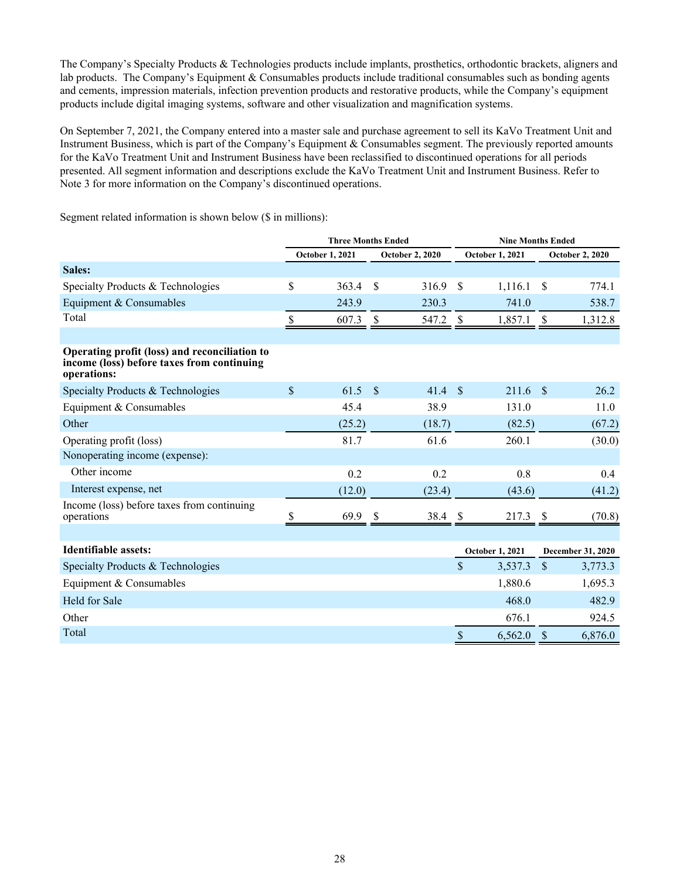The Company's Specialty Products & Technologies products include implants, prosthetics, orthodontic brackets, aligners and lab products. The Company's Equipment & Consumables products include traditional consumables such as bonding agents and cements, impression materials, infection prevention products and restorative products, while the Company's equipment products include digital imaging systems, software and other visualization and magnification systems.

On September 7, 2021, the Company entered into a master sale and purchase agreement to sell its KaVo Treatment Unit and Instrument Business, which is part of the Company's Equipment & Consumables segment. The previously reported amounts for the KaVo Treatment Unit and Instrument Business have been reclassified to discontinued operations for all periods presented. All segment information and descriptions exclude the KaVo Treatment Unit and Instrument Business. Refer to Note 3 for more information on the Company's discontinued operations.

Segment related information is shown below (\$ in millions):

|                                                                                                            |               | <b>Three Months Ended</b> |                           |                        | <b>Nine Months Ended</b> |                        |               |                        |  |  |
|------------------------------------------------------------------------------------------------------------|---------------|---------------------------|---------------------------|------------------------|--------------------------|------------------------|---------------|------------------------|--|--|
|                                                                                                            |               | October 1, 2021           |                           | <b>October 2, 2020</b> |                          | <b>October 1, 2021</b> |               | <b>October 2, 2020</b> |  |  |
| Sales:                                                                                                     |               |                           |                           |                        |                          |                        |               |                        |  |  |
| Specialty Products & Technologies                                                                          | \$            | 363.4                     | \$                        | 316.9                  | \$                       | 1,116.1                | \$            | 774.1                  |  |  |
| Equipment & Consumables                                                                                    |               | 243.9                     |                           | 230.3                  |                          | 741.0                  |               | 538.7                  |  |  |
| Total                                                                                                      | $\mathcal{S}$ | 607.3                     | $\boldsymbol{\mathsf{S}}$ | 547.2                  | \$                       | 1,857.1                | \$            | 1,312.8                |  |  |
|                                                                                                            |               |                           |                           |                        |                          |                        |               |                        |  |  |
| Operating profit (loss) and reconciliation to<br>income (loss) before taxes from continuing<br>operations: |               |                           |                           |                        |                          |                        |               |                        |  |  |
| Specialty Products & Technologies                                                                          | $\mathbb{S}$  | 61.5                      | $\mathsf{\$}$             | 41.4                   | <sup>\$</sup>            | 211.6                  | <sup>\$</sup> | 26.2                   |  |  |
| Equipment & Consumables                                                                                    |               | 45.4                      |                           | 38.9                   |                          | 131.0                  |               | 11.0                   |  |  |
| Other                                                                                                      |               | (25.2)                    |                           | (18.7)                 |                          | (82.5)                 |               | (67.2)                 |  |  |
| Operating profit (loss)                                                                                    |               | 81.7                      |                           | 61.6                   |                          | 260.1                  |               | (30.0)                 |  |  |
| Nonoperating income (expense):                                                                             |               |                           |                           |                        |                          |                        |               |                        |  |  |
| Other income                                                                                               |               | 0.2                       |                           | 0.2                    |                          | 0.8                    |               | 0.4                    |  |  |
| Interest expense, net                                                                                      |               | (12.0)                    |                           | (23.4)                 |                          | (43.6)                 |               | (41.2)                 |  |  |
| Income (loss) before taxes from continuing<br>operations                                                   | \$            | 69.9                      |                           | 38.4                   | S                        | 217.3                  | S             | (70.8)                 |  |  |
|                                                                                                            |               |                           |                           |                        |                          |                        |               |                        |  |  |
| <b>Identifiable assets:</b>                                                                                |               |                           |                           |                        |                          | <b>October 1, 2021</b> |               | December 31, 2020      |  |  |
| Specialty Products & Technologies                                                                          |               |                           |                           |                        | $\mathsf{\$}$            | 3,537.3                | $\mathcal{S}$ | 3,773.3                |  |  |
| Equipment & Consumables                                                                                    |               |                           |                           |                        |                          | 1,880.6                |               | 1,695.3                |  |  |
| Held for Sale                                                                                              |               |                           |                           |                        |                          | 468.0                  |               | 482.9                  |  |  |
| Other                                                                                                      |               |                           |                           |                        |                          | 676.1                  |               | 924.5                  |  |  |
| Total                                                                                                      |               |                           |                           |                        | $\$$                     | 6,562.0                | \$            | 6,876.0                |  |  |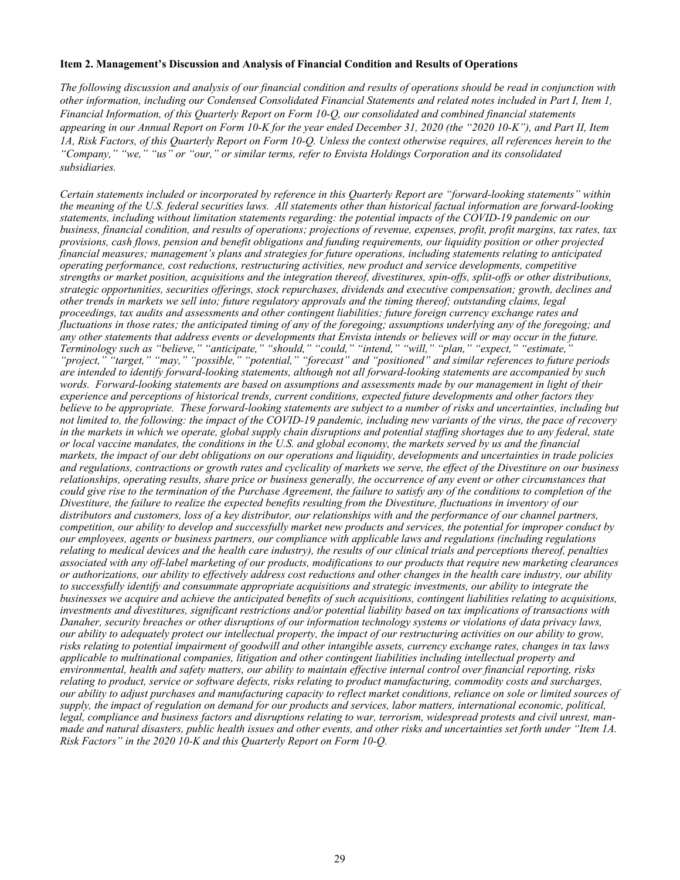#### <span id="page-31-0"></span>**Item 2. Management's Discussion and Analysis of Financial Condition and Results of Operations**

*The following discussion and analysis of our financial condition and results of operations should be read in conjunction with other information, including our Condensed Consolidated Financial Statements and related notes included in Part I, Item 1, Financial Information, of this Quarterly Report on Form 10-Q, our consolidated and combined financial statements appearing in our Annual Report on Form 10-K for the year ended December 31, 2020 (the "2020 10-K"), and Part II, Item 1A, Risk Factors, of this Quarterly Report on Form 10-Q. Unless the context otherwise requires, all references herein to the "Company," "we," "us" or "our," or similar terms, refer to Envista Holdings Corporation and its consolidated subsidiaries.*

*Certain statements included or incorporated by reference in this Quarterly Report are "forward-looking statements" within the meaning of the U.S. federal securities laws. All statements other than historical factual information are forward-looking statements, including without limitation statements regarding: the potential impacts of the COVID-19 pandemic on our business, financial condition, and results of operations; projections of revenue, expenses, profit, profit margins, tax rates, tax provisions, cash flows, pension and benefit obligations and funding requirements, our liquidity position or other projected financial measures; management's plans and strategies for future operations, including statements relating to anticipated operating performance, cost reductions, restructuring activities, new product and service developments, competitive strengths or market position, acquisitions and the integration thereof, divestitures, spin-offs, split-offs or other distributions, strategic opportunities, securities offerings, stock repurchases, dividends and executive compensation; growth, declines and other trends in markets we sell into; future regulatory approvals and the timing thereof; outstanding claims, legal proceedings, tax audits and assessments and other contingent liabilities; future foreign currency exchange rates and fluctuations in those rates; the anticipated timing of any of the foregoing; assumptions underlying any of the foregoing; and any other statements that address events or developments that Envista intends or believes will or may occur in the future. Terminology such as "believe," "anticipate," "should," "could," "intend," "will," "plan," "expect," "estimate," "project," "target," "may," "possible," "potential," "forecast" and "positioned" and similar references to future periods are intended to identify forward-looking statements, although not all forward-looking statements are accompanied by such words. Forward-looking statements are based on assumptions and assessments made by our management in light of their experience and perceptions of historical trends, current conditions, expected future developments and other factors they believe to be appropriate. These forward-looking statements are subject to a number of risks and uncertainties, including but not limited to, the following: the impact of the COVID-19 pandemic, including new variants of the virus, the pace of recovery in the markets in which we operate, global supply chain disruptions and potential staffing shortages due to any federal, state or local vaccine mandates, the conditions in the U.S. and global economy, the markets served by us and the financial markets, the impact of our debt obligations on our operations and liquidity, developments and uncertainties in trade policies and regulations, contractions or growth rates and cyclicality of markets we serve, the effect of the Divestiture on our business relationships, operating results, share price or business generally, the occurrence of any event or other circumstances that could give rise to the termination of the Purchase Agreement, the failure to satisfy any of the conditions to completion of the Divestiture, the failure to realize the expected benefits resulting from the Divestiture, fluctuations in inventory of our distributors and customers, loss of a key distributor, our relationships with and the performance of our channel partners, competition, our ability to develop and successfully market new products and services, the potential for improper conduct by our employees, agents or business partners, our compliance with applicable laws and regulations (including regulations relating to medical devices and the health care industry), the results of our clinical trials and perceptions thereof, penalties associated with any off-label marketing of our products, modifications to our products that require new marketing clearances or authorizations, our ability to effectively address cost reductions and other changes in the health care industry, our ability to successfully identify and consummate appropriate acquisitions and strategic investments, our ability to integrate the businesses we acquire and achieve the anticipated benefits of such acquisitions, contingent liabilities relating to acquisitions, investments and divestitures, significant restrictions and/or potential liability based on tax implications of transactions with Danaher, security breaches or other disruptions of our information technology systems or violations of data privacy laws, our ability to adequately protect our intellectual property, the impact of our restructuring activities on our ability to grow, risks relating to potential impairment of goodwill and other intangible assets, currency exchange rates, changes in tax laws applicable to multinational companies, litigation and other contingent liabilities including intellectual property and environmental, health and safety matters, our ability to maintain effective internal control over financial reporting, risks relating to product, service or software defects, risks relating to product manufacturing, commodity costs and surcharges, our ability to adjust purchases and manufacturing capacity to reflect market conditions, reliance on sole or limited sources of supply, the impact of regulation on demand for our products and services, labor matters, international economic, political, legal, compliance and business factors and disruptions relating to war, terrorism, widespread protests and civil unrest, manmade and natural disasters, public health issues and other events, and other risks and uncertainties set forth under "Item 1A. Risk Factors" in the 2020 10-K and this Quarterly Report on Form 10-Q.*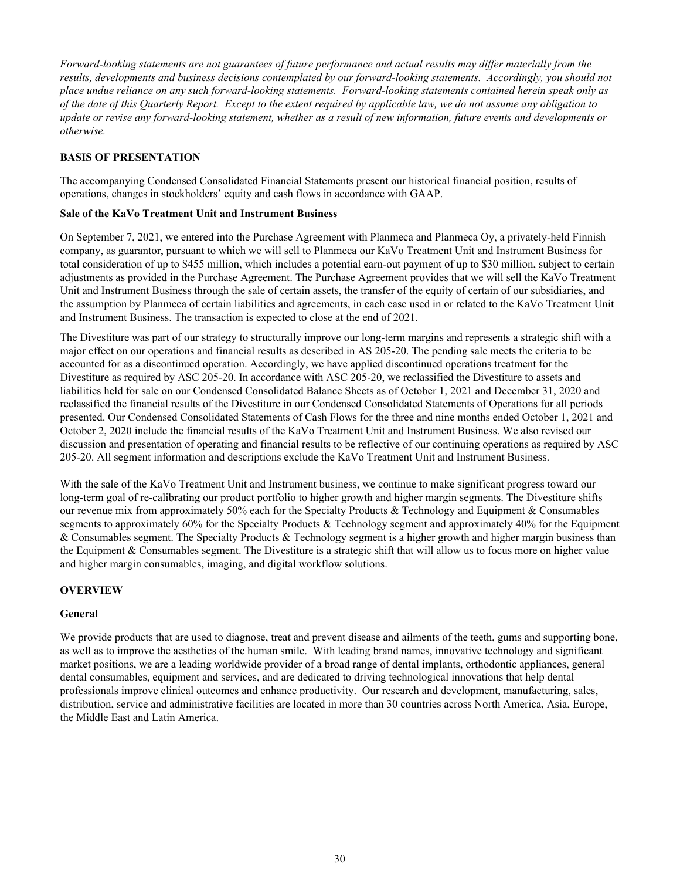*Forward-looking statements are not guarantees of future performance and actual results may differ materially from the*  results, developments and business decisions contemplated by our forward-looking statements. Accordingly, you should not *place undue reliance on any such forward-looking statements. Forward-looking statements contained herein speak only as of the date of this Quarterly Report. Except to the extent required by applicable law, we do not assume any obligation to update or revise any forward-looking statement, whether as a result of new information, future events and developments or otherwise.*

### **BASIS OF PRESENTATION**

The accompanying Condensed Consolidated Financial Statements present our historical financial position, results of operations, changes in stockholders' equity and cash flows in accordance with GAAP.

### **Sale of the KaVo Treatment Unit and Instrument Business**

On September 7, 2021, we entered into the Purchase Agreement with Planmeca and Planmeca Oy, a privately-held Finnish company, as guarantor, pursuant to which we will sell to Planmeca our KaVo Treatment Unit and Instrument Business for total consideration of up to \$455 million, which includes a potential earn-out payment of up to \$30 million, subject to certain adjustments as provided in the Purchase Agreement. The Purchase Agreement provides that we will sell the KaVo Treatment Unit and Instrument Business through the sale of certain assets, the transfer of the equity of certain of our subsidiaries, and the assumption by Planmeca of certain liabilities and agreements, in each case used in or related to the KaVo Treatment Unit and Instrument Business. The transaction is expected to close at the end of 2021.

The Divestiture was part of our strategy to structurally improve our long-term margins and represents a strategic shift with a major effect on our operations and financial results as described in AS 205-20. The pending sale meets the criteria to be accounted for as a discontinued operation. Accordingly, we have applied discontinued operations treatment for the Divestiture as required by ASC 205-20. In accordance with ASC 205-20, we reclassified the Divestiture to assets and liabilities held for sale on our Condensed Consolidated Balance Sheets as of October 1, 2021 and December 31, 2020 and reclassified the financial results of the Divestiture in our Condensed Consolidated Statements of Operations for all periods presented. Our Condensed Consolidated Statements of Cash Flows for the three and nine months ended October 1, 2021 and October 2, 2020 include the financial results of the KaVo Treatment Unit and Instrument Business. We also revised our discussion and presentation of operating and financial results to be reflective of our continuing operations as required by ASC 205-20. All segment information and descriptions exclude the KaVo Treatment Unit and Instrument Business.

With the sale of the KaVo Treatment Unit and Instrument business, we continue to make significant progress toward our long-term goal of re-calibrating our product portfolio to higher growth and higher margin segments. The Divestiture shifts our revenue mix from approximately 50% each for the Specialty Products & Technology and Equipment & Consumables segments to approximately 60% for the Specialty Products & Technology segment and approximately 40% for the Equipment & Consumables segment. The Specialty Products & Technology segment is a higher growth and higher margin business than the Equipment & Consumables segment. The Divestiture is a strategic shift that will allow us to focus more on higher value and higher margin consumables, imaging, and digital workflow solutions.

### **OVERVIEW**

### **General**

We provide products that are used to diagnose, treat and prevent disease and ailments of the teeth, gums and supporting bone, as well as to improve the aesthetics of the human smile. With leading brand names, innovative technology and significant market positions, we are a leading worldwide provider of a broad range of dental implants, orthodontic appliances, general dental consumables, equipment and services, and are dedicated to driving technological innovations that help dental professionals improve clinical outcomes and enhance productivity. Our research and development, manufacturing, sales, distribution, service and administrative facilities are located in more than 30 countries across North America, Asia, Europe, the Middle East and Latin America.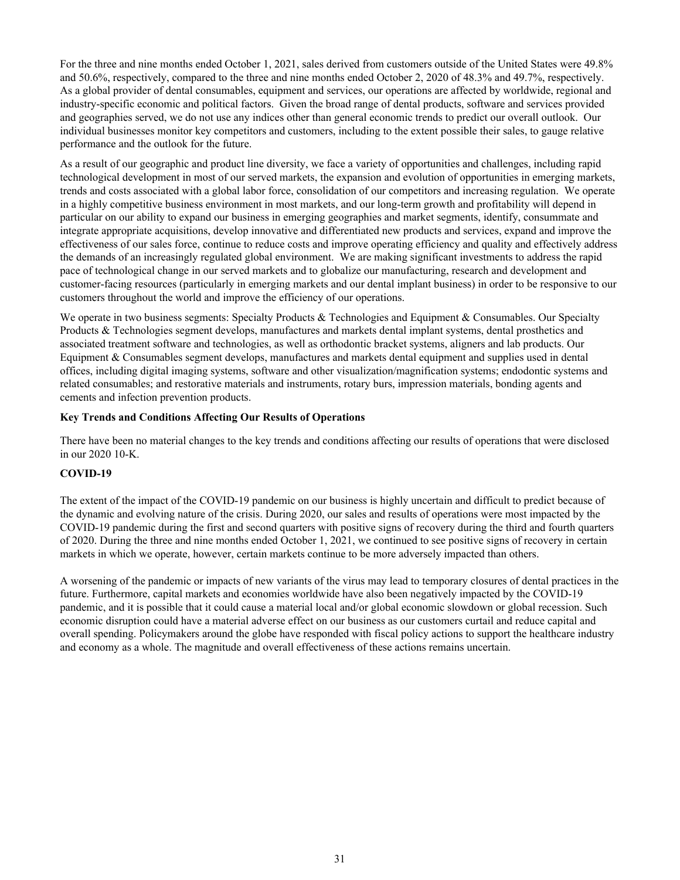For the three and nine months ended October 1, 2021, sales derived from customers outside of the United States were 49.8% and 50.6%, respectively, compared to the three and nine months ended October 2, 2020 of 48.3% and 49.7%, respectively. As a global provider of dental consumables, equipment and services, our operations are affected by worldwide, regional and industry-specific economic and political factors. Given the broad range of dental products, software and services provided and geographies served, we do not use any indices other than general economic trends to predict our overall outlook. Our individual businesses monitor key competitors and customers, including to the extent possible their sales, to gauge relative performance and the outlook for the future.

As a result of our geographic and product line diversity, we face a variety of opportunities and challenges, including rapid technological development in most of our served markets, the expansion and evolution of opportunities in emerging markets, trends and costs associated with a global labor force, consolidation of our competitors and increasing regulation. We operate in a highly competitive business environment in most markets, and our long-term growth and profitability will depend in particular on our ability to expand our business in emerging geographies and market segments, identify, consummate and integrate appropriate acquisitions, develop innovative and differentiated new products and services, expand and improve the effectiveness of our sales force, continue to reduce costs and improve operating efficiency and quality and effectively address the demands of an increasingly regulated global environment. We are making significant investments to address the rapid pace of technological change in our served markets and to globalize our manufacturing, research and development and customer-facing resources (particularly in emerging markets and our dental implant business) in order to be responsive to our customers throughout the world and improve the efficiency of our operations.

We operate in two business segments: Specialty Products & Technologies and Equipment & Consumables. Our Specialty Products & Technologies segment develops, manufactures and markets dental implant systems, dental prosthetics and associated treatment software and technologies, as well as orthodontic bracket systems, aligners and lab products. Our Equipment & Consumables segment develops, manufactures and markets dental equipment and supplies used in dental offices, including digital imaging systems, software and other visualization/magnification systems; endodontic systems and related consumables; and restorative materials and instruments, rotary burs, impression materials, bonding agents and cements and infection prevention products.

### **Key Trends and Conditions Affecting Our Results of Operations**

There have been no material changes to the key trends and conditions affecting our results of operations that were disclosed in our 2020 10-K.

### **COVID-19**

The extent of the impact of the COVID-19 pandemic on our business is highly uncertain and difficult to predict because of the dynamic and evolving nature of the crisis. During 2020, our sales and results of operations were most impacted by the COVID-19 pandemic during the first and second quarters with positive signs of recovery during the third and fourth quarters of 2020. During the three and nine months ended October 1, 2021, we continued to see positive signs of recovery in certain markets in which we operate, however, certain markets continue to be more adversely impacted than others.

A worsening of the pandemic or impacts of new variants of the virus may lead to temporary closures of dental practices in the future. Furthermore, capital markets and economies worldwide have also been negatively impacted by the COVID-19 pandemic, and it is possible that it could cause a material local and/or global economic slowdown or global recession. Such economic disruption could have a material adverse effect on our business as our customers curtail and reduce capital and overall spending. Policymakers around the globe have responded with fiscal policy actions to support the healthcare industry and economy as a whole. The magnitude and overall effectiveness of these actions remains uncertain.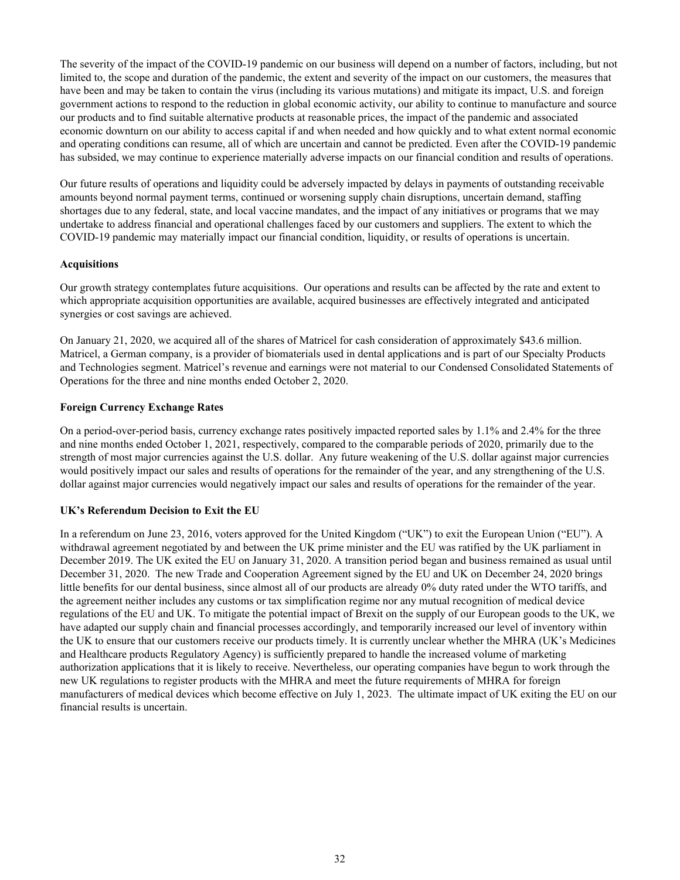The severity of the impact of the COVID-19 pandemic on our business will depend on a number of factors, including, but not limited to, the scope and duration of the pandemic, the extent and severity of the impact on our customers, the measures that have been and may be taken to contain the virus (including its various mutations) and mitigate its impact, U.S. and foreign government actions to respond to the reduction in global economic activity, our ability to continue to manufacture and source our products and to find suitable alternative products at reasonable prices, the impact of the pandemic and associated economic downturn on our ability to access capital if and when needed and how quickly and to what extent normal economic and operating conditions can resume, all of which are uncertain and cannot be predicted. Even after the COVID-19 pandemic has subsided, we may continue to experience materially adverse impacts on our financial condition and results of operations.

Our future results of operations and liquidity could be adversely impacted by delays in payments of outstanding receivable amounts beyond normal payment terms, continued or worsening supply chain disruptions, uncertain demand, staffing shortages due to any federal, state, and local vaccine mandates, and the impact of any initiatives or programs that we may undertake to address financial and operational challenges faced by our customers and suppliers. The extent to which the COVID-19 pandemic may materially impact our financial condition, liquidity, or results of operations is uncertain.

### **Acquisitions**

Our growth strategy contemplates future acquisitions. Our operations and results can be affected by the rate and extent to which appropriate acquisition opportunities are available, acquired businesses are effectively integrated and anticipated synergies or cost savings are achieved.

On January 21, 2020, we acquired all of the shares of Matricel for cash consideration of approximately \$43.6 million. Matricel, a German company, is a provider of biomaterials used in dental applications and is part of our Specialty Products and Technologies segment. Matricel's revenue and earnings were not material to our Condensed Consolidated Statements of Operations for the three and nine months ended October 2, 2020.

# **Foreign Currency Exchange Rates**

On a period-over-period basis, currency exchange rates positively impacted reported sales by 1.1% and 2.4% for the three and nine months ended October 1, 2021, respectively, compared to the comparable periods of 2020, primarily due to the strength of most major currencies against the U.S. dollar. Any future weakening of the U.S. dollar against major currencies would positively impact our sales and results of operations for the remainder of the year, and any strengthening of the U.S. dollar against major currencies would negatively impact our sales and results of operations for the remainder of the year.

### **UK's Referendum Decision to Exit the EU**

In a referendum on June 23, 2016, voters approved for the United Kingdom ("UK") to exit the European Union ("EU"). A withdrawal agreement negotiated by and between the UK prime minister and the EU was ratified by the UK parliament in December 2019. The UK exited the EU on January 31, 2020. A transition period began and business remained as usual until December 31, 2020. The new Trade and Cooperation Agreement signed by the EU and UK on December 24, 2020 brings little benefits for our dental business, since almost all of our products are already 0% duty rated under the WTO tariffs, and the agreement neither includes any customs or tax simplification regime nor any mutual recognition of medical device regulations of the EU and UK. To mitigate the potential impact of Brexit on the supply of our European goods to the UK, we have adapted our supply chain and financial processes accordingly, and temporarily increased our level of inventory within the UK to ensure that our customers receive our products timely. It is currently unclear whether the MHRA (UK's Medicines and Healthcare products Regulatory Agency) is sufficiently prepared to handle the increased volume of marketing authorization applications that it is likely to receive. Nevertheless, our operating companies have begun to work through the new UK regulations to register products with the MHRA and meet the future requirements of MHRA for foreign manufacturers of medical devices which become effective on July 1, 2023. The ultimate impact of UK exiting the EU on our financial results is uncertain.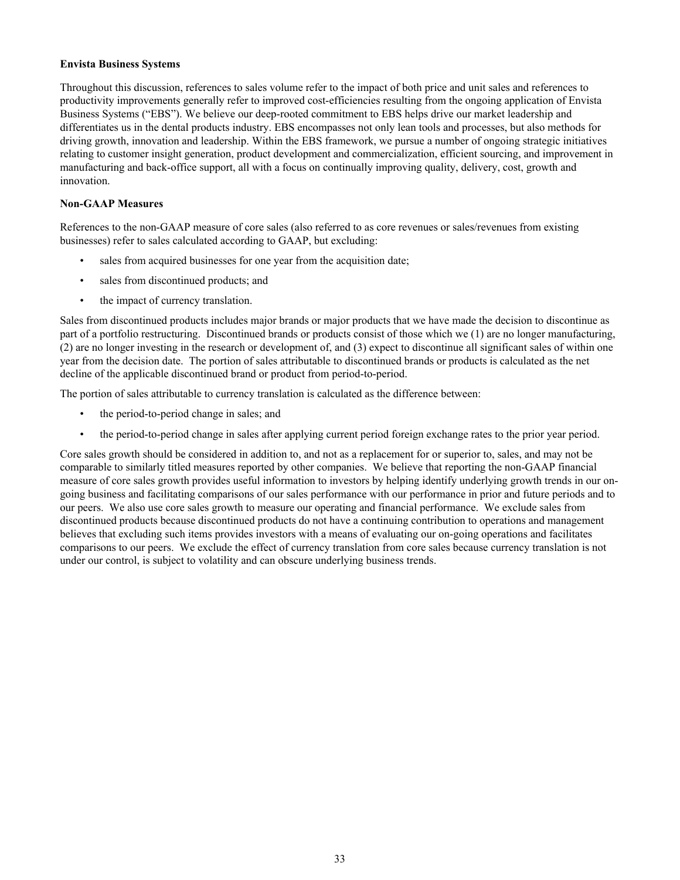#### **Envista Business Systems**

Throughout this discussion, references to sales volume refer to the impact of both price and unit sales and references to productivity improvements generally refer to improved cost-efficiencies resulting from the ongoing application of Envista Business Systems ("EBS"). We believe our deep-rooted commitment to EBS helps drive our market leadership and differentiates us in the dental products industry. EBS encompasses not only lean tools and processes, but also methods for driving growth, innovation and leadership. Within the EBS framework, we pursue a number of ongoing strategic initiatives relating to customer insight generation, product development and commercialization, efficient sourcing, and improvement in manufacturing and back-office support, all with a focus on continually improving quality, delivery, cost, growth and innovation.

#### **Non-GAAP Measures**

References to the non-GAAP measure of core sales (also referred to as core revenues or sales/revenues from existing businesses) refer to sales calculated according to GAAP, but excluding:

- sales from acquired businesses for one year from the acquisition date;
- sales from discontinued products; and
- the impact of currency translation.

Sales from discontinued products includes major brands or major products that we have made the decision to discontinue as part of a portfolio restructuring. Discontinued brands or products consist of those which we (1) are no longer manufacturing, (2) are no longer investing in the research or development of, and (3) expect to discontinue all significant sales of within one year from the decision date. The portion of sales attributable to discontinued brands or products is calculated as the net decline of the applicable discontinued brand or product from period-to-period.

The portion of sales attributable to currency translation is calculated as the difference between:

- the period-to-period change in sales; and
- the period-to-period change in sales after applying current period foreign exchange rates to the prior year period.

Core sales growth should be considered in addition to, and not as a replacement for or superior to, sales, and may not be comparable to similarly titled measures reported by other companies. We believe that reporting the non-GAAP financial measure of core sales growth provides useful information to investors by helping identify underlying growth trends in our ongoing business and facilitating comparisons of our sales performance with our performance in prior and future periods and to our peers. We also use core sales growth to measure our operating and financial performance. We exclude sales from discontinued products because discontinued products do not have a continuing contribution to operations and management believes that excluding such items provides investors with a means of evaluating our on-going operations and facilitates comparisons to our peers. We exclude the effect of currency translation from core sales because currency translation is not under our control, is subject to volatility and can obscure underlying business trends.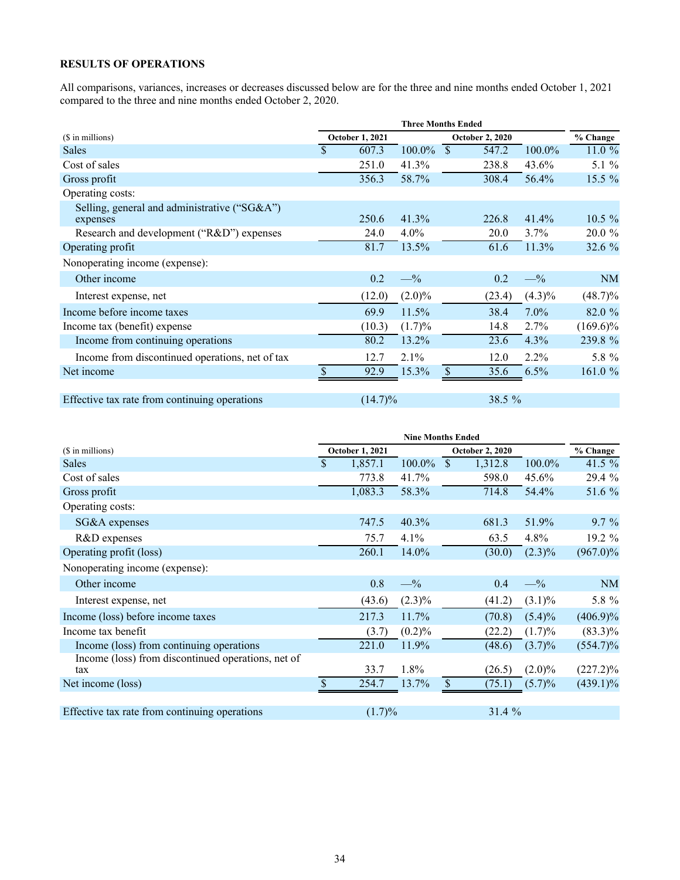# **RESULTS OF OPERATIONS**

All comparisons, variances, increases or decreases discussed below are for the three and nine months ended October 1, 2021 compared to the three and nine months ended October 2, 2020.

| (\$ in millions)                                         |    | <b>October 1, 2021</b> |           |                          | <b>October 2, 2020</b> |           | % Change    |
|----------------------------------------------------------|----|------------------------|-----------|--------------------------|------------------------|-----------|-------------|
| <b>Sales</b>                                             | \$ | 607.3                  | 100.0%    | $\overline{\mathcal{S}}$ | 547.2                  | 100.0%    | 11.0 %      |
| Cost of sales                                            |    | 251.0                  | 41.3%     |                          | 238.8                  | 43.6%     | 5.1 %       |
| Gross profit                                             |    | 356.3                  | 58.7%     |                          | 308.4                  | 56.4%     | 15.5 %      |
| Operating costs:                                         |    |                        |           |                          |                        |           |             |
| Selling, general and administrative ("SG&A")<br>expenses |    | 250.6                  | 41.3%     |                          | 226.8                  | 41.4%     | $10.5 \%$   |
| Research and development ("R&D") expenses                |    | 24.0                   | $4.0\%$   |                          | 20.0                   | $3.7\%$   | $20.0 \%$   |
| Operating profit                                         |    | 81.7                   | 13.5%     |                          | 61.6                   | 11.3%     | 32.6 $%$    |
| Nonoperating income (expense):                           |    |                        |           |                          |                        |           |             |
| Other income                                             |    | 0.2                    | $-$ %     |                          | 0.2                    | $-$ %     | <b>NM</b>   |
| Interest expense, net                                    |    | (12.0)                 | $(2.0)\%$ |                          | (23.4)                 | $(4.3)\%$ | $(48.7)\%$  |
| Income before income taxes                               |    | 69.9                   | 11.5%     |                          | 38.4                   | $7.0\%$   | 82.0 %      |
| Income tax (benefit) expense                             |    | (10.3)                 | $(1.7)\%$ |                          | 14.8                   | 2.7%      | $(169.6)\%$ |
| Income from continuing operations                        |    | 80.2                   | 13.2%     |                          | 23.6                   | 4.3%      | 239.8 %     |
| Income from discontinued operations, net of tax          |    | 12.7                   | 2.1%      |                          | 12.0                   | 2.2%      | 5.8 %       |
| Net income                                               |    | 92.9                   | 15.3%     | $\mathbb{S}$             | 35.6                   | 6.5%      | 161.0 %     |
|                                                          |    |                        |           |                          |                        |           |             |
| Effective tax rate from continuing operations            |    | $(14.7)\%$             |           |                          | 38.5 $%$               |           |             |

| (\$ in millions)                                   |    | <b>October 1, 2021</b> |           |              | <b>October 2, 2020</b> |                 | % Change    |
|----------------------------------------------------|----|------------------------|-----------|--------------|------------------------|-----------------|-------------|
| <b>Sales</b>                                       | \$ | 1,857.1                | 100.0%    | $\mathbb{S}$ | 1,312.8                | 100.0%          | 41.5 %      |
| Cost of sales                                      |    | 773.8                  | 41.7%     |              | 598.0                  | 45.6%           | 29.4 %      |
| Gross profit                                       |    | 1,083.3                | 58.3%     |              | 714.8                  | 54.4%           | 51.6 %      |
| Operating costs:                                   |    |                        |           |              |                        |                 |             |
| SG&A expenses                                      |    | 747.5                  | 40.3%     |              | 681.3                  | 51.9%           | 9.7%        |
| R&D expenses                                       |    | 75.7                   | 4.1%      |              | 63.5                   | 4.8%            | 19.2 %      |
| Operating profit (loss)                            |    | 260.1                  | 14.0%     |              | (30.0)                 | $(2.3)\%$       | $(967.0)\%$ |
| Nonoperating income (expense):                     |    |                        |           |              |                        |                 |             |
| Other income                                       |    | 0.8                    | $-$ %     |              | 0.4                    | $- \frac{9}{6}$ | <b>NM</b>   |
| Interest expense, net                              |    | (43.6)                 | $(2.3)\%$ |              | (41.2)                 | $(3.1)\%$       | 5.8 %       |
| Income (loss) before income taxes                  |    | 217.3                  | 11.7%     |              | (70.8)                 | $(5.4)\%$       | $(406.9)\%$ |
| Income tax benefit                                 |    | (3.7)                  | $(0.2)\%$ |              | (22.2)                 | $(1.7)\%$       | $(83.3)\%$  |
| Income (loss) from continuing operations           |    | 221.0                  | 11.9%     |              | (48.6)                 | $(3.7)\%$       | $(554.7)\%$ |
| Income (loss) from discontinued operations, net of |    |                        |           |              |                        |                 |             |
| tax                                                |    | 33.7                   | $1.8\%$   |              | (26.5)                 | $(2.0)\%$       | $(227.2)\%$ |
| Net income (loss)                                  |    | 254.7                  | 13.7%     | $\mathbb{S}$ | (75.1)                 | $(5.7)\%$       | $(439.1)\%$ |
|                                                    |    |                        |           |              |                        |                 |             |
| Effective tax rate from continuing operations      |    | (1.7)%                 |           |              | 31.4%                  |                 |             |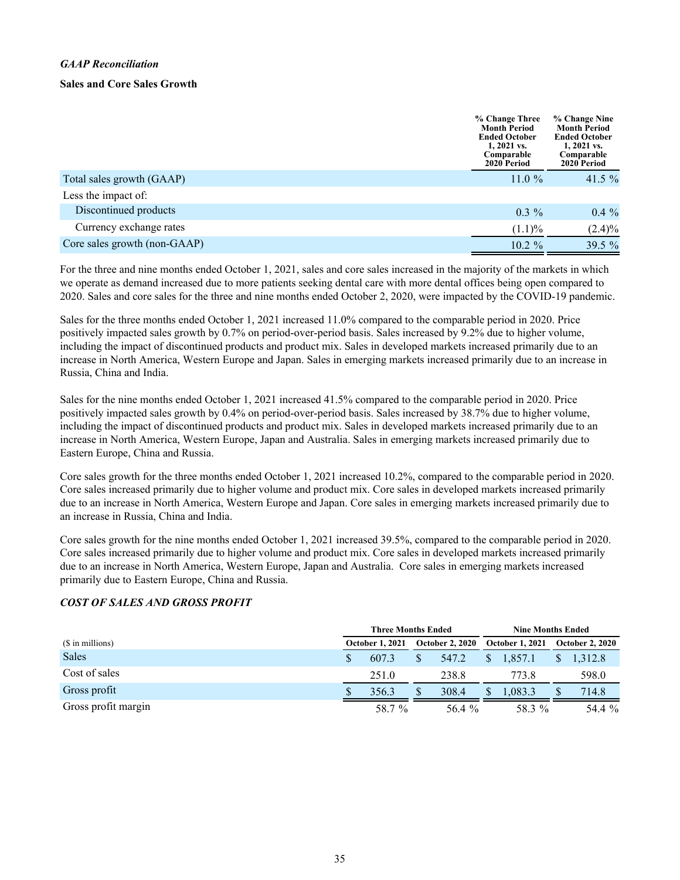### *GAAP Reconciliation*

### **Sales and Core Sales Growth**

|                              | % Change Three<br><b>Month Period</b><br><b>Ended October</b><br>1, 2021 vs.<br>Comparable<br>2020 Period | % Change Nine<br><b>Month Period</b><br><b>Ended October</b><br>$1,2021$ vs.<br>Comparable<br>2020 Period |
|------------------------------|-----------------------------------------------------------------------------------------------------------|-----------------------------------------------------------------------------------------------------------|
| Total sales growth (GAAP)    | 11.0%                                                                                                     | 41.5 $%$                                                                                                  |
| Less the impact of:          |                                                                                                           |                                                                                                           |
| Discontinued products        | $0.3\%$                                                                                                   | $0.4 \%$                                                                                                  |
| Currency exchange rates      | $(1.1)\%$                                                                                                 | $(2.4)\%$                                                                                                 |
| Core sales growth (non-GAAP) | $10.2 \%$                                                                                                 | 39.5 %                                                                                                    |

For the three and nine months ended October 1, 2021, sales and core sales increased in the majority of the markets in which we operate as demand increased due to more patients seeking dental care with more dental offices being open compared to 2020. Sales and core sales for the three and nine months ended October 2, 2020, were impacted by the COVID-19 pandemic.

Sales for the three months ended October 1, 2021 increased 11.0% compared to the comparable period in 2020. Price positively impacted sales growth by 0.7% on period-over-period basis. Sales increased by 9.2% due to higher volume, including the impact of discontinued products and product mix. Sales in developed markets increased primarily due to an increase in North America, Western Europe and Japan. Sales in emerging markets increased primarily due to an increase in Russia, China and India.

Sales for the nine months ended October 1, 2021 increased 41.5% compared to the comparable period in 2020. Price positively impacted sales growth by 0.4% on period-over-period basis. Sales increased by 38.7% due to higher volume, including the impact of discontinued products and product mix. Sales in developed markets increased primarily due to an increase in North America, Western Europe, Japan and Australia. Sales in emerging markets increased primarily due to Eastern Europe, China and Russia.

Core sales growth for the three months ended October 1, 2021 increased 10.2%, compared to the comparable period in 2020. Core sales increased primarily due to higher volume and product mix. Core sales in developed markets increased primarily due to an increase in North America, Western Europe and Japan. Core sales in emerging markets increased primarily due to an increase in Russia, China and India.

Core sales growth for the nine months ended October 1, 2021 increased 39.5%, compared to the comparable period in 2020. Core sales increased primarily due to higher volume and product mix. Core sales in developed markets increased primarily due to an increase in North America, Western Europe, Japan and Australia. Core sales in emerging markets increased primarily due to Eastern Europe, China and Russia.

# *COST OF SALES AND GROSS PROFIT*

|                     | <b>Three Months Ended</b> |        |                        |        |  | <b>Nine Months Ended</b> |                        |         |  |
|---------------------|---------------------------|--------|------------------------|--------|--|--------------------------|------------------------|---------|--|
| (\$ in millions)    | <b>October 1, 2021</b>    |        | <b>October 2, 2020</b> |        |  | <b>October 1, 2021</b>   | <b>October 2, 2020</b> |         |  |
| Sales               | S                         | 607.3  |                        | 547.2  |  | 1,857.1                  |                        | 1,312.8 |  |
| Cost of sales       |                           | 251.0  |                        | 238.8  |  | 773.8                    |                        | 598.0   |  |
| Gross profit        |                           | 356.3  |                        | 308.4  |  | 1.083.3                  |                        | 714.8   |  |
| Gross profit margin |                           | 58.7 % |                        | 56.4 % |  | 58.3 %                   |                        | 54.4 %  |  |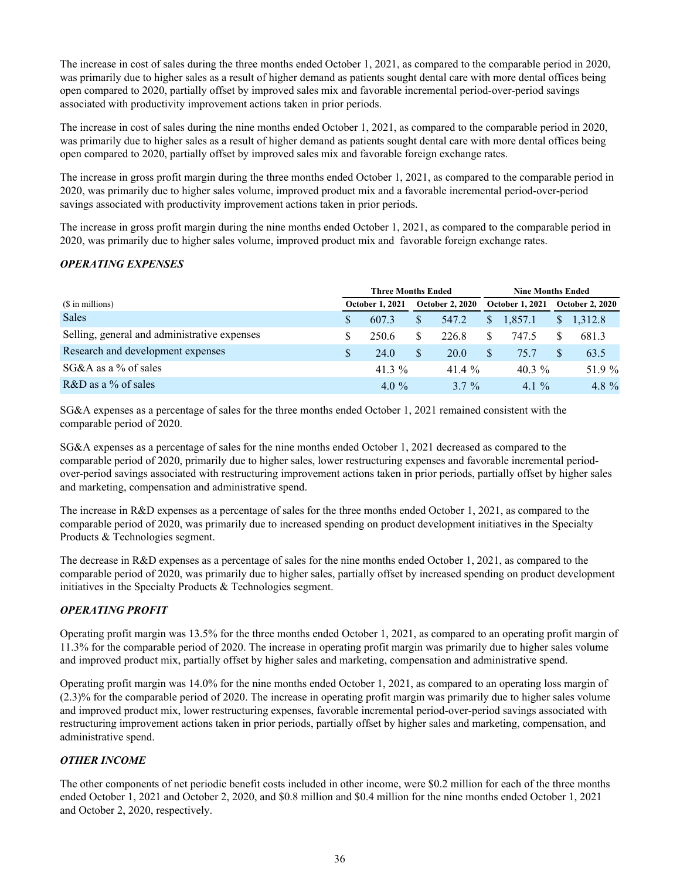The increase in cost of sales during the three months ended October 1, 2021, as compared to the comparable period in 2020, was primarily due to higher sales as a result of higher demand as patients sought dental care with more dental offices being open compared to 2020, partially offset by improved sales mix and favorable incremental period-over-period savings associated with productivity improvement actions taken in prior periods.

The increase in cost of sales during the nine months ended October 1, 2021, as compared to the comparable period in 2020, was primarily due to higher sales as a result of higher demand as patients sought dental care with more dental offices being open compared to 2020, partially offset by improved sales mix and favorable foreign exchange rates.

The increase in gross profit margin during the three months ended October 1, 2021, as compared to the comparable period in 2020, was primarily due to higher sales volume, improved product mix and a favorable incremental period-over-period savings associated with productivity improvement actions taken in prior periods.

The increase in gross profit margin during the nine months ended October 1, 2021, as compared to the comparable period in 2020, was primarily due to higher sales volume, improved product mix and favorable foreign exchange rates.

# *OPERATING EXPENSES*

|                                              | <b>Three Months Ended</b> |           |                        |             |                        | <b>Nine Months Ended</b> |                        |          |  |  |
|----------------------------------------------|---------------------------|-----------|------------------------|-------------|------------------------|--------------------------|------------------------|----------|--|--|
| (\$ in millions)                             | <b>October 1, 2021</b>    |           | <b>October 2, 2020</b> |             | <b>October 1, 2021</b> |                          | <b>October 2, 2020</b> |          |  |  |
| <b>Sales</b>                                 | \$                        | 607.3     |                        | 547.2       | \$                     | 1.857.1                  |                        | 1.312.8  |  |  |
| Selling, general and administrative expenses | S.                        | 250.6     | \$.                    | 226.8       |                        | 747.5                    |                        | 681.3    |  |  |
| Research and development expenses            | \$                        | 24.0      | <b>S</b>               | <b>20.0</b> | S                      | 75.7                     |                        | 63.5     |  |  |
| $SG&A$ as a % of sales                       |                           | 41.3 $\%$ |                        | 41.4 $\%$   |                        | 40.3 $\%$                |                        | 51.9 %   |  |  |
| $R&D$ as a % of sales                        |                           | $4.0\%$   |                        | $37\%$      |                        | 4.1 %                    |                        | 4.8 $\%$ |  |  |

SG&A expenses as a percentage of sales for the three months ended October 1, 2021 remained consistent with the comparable period of 2020.

SG&A expenses as a percentage of sales for the nine months ended October 1, 2021 decreased as compared to the comparable period of 2020, primarily due to higher sales, lower restructuring expenses and favorable incremental periodover-period savings associated with restructuring improvement actions taken in prior periods, partially offset by higher sales and marketing, compensation and administrative spend.

The increase in R&D expenses as a percentage of sales for the three months ended October 1, 2021, as compared to the comparable period of 2020, was primarily due to increased spending on product development initiatives in the Specialty Products & Technologies segment.

The decrease in R&D expenses as a percentage of sales for the nine months ended October 1, 2021, as compared to the comparable period of 2020, was primarily due to higher sales, partially offset by increased spending on product development initiatives in the Specialty Products & Technologies segment.

### *OPERATING PROFIT*

Operating profit margin was 13.5% for the three months ended October 1, 2021, as compared to an operating profit margin of 11.3% for the comparable period of 2020. The increase in operating profit margin was primarily due to higher sales volume and improved product mix, partially offset by higher sales and marketing, compensation and administrative spend.

Operating profit margin was 14.0% for the nine months ended October 1, 2021, as compared to an operating loss margin of (2.3)% for the comparable period of 2020. The increase in operating profit margin was primarily due to higher sales volume and improved product mix, lower restructuring expenses, favorable incremental period-over-period savings associated with restructuring improvement actions taken in prior periods, partially offset by higher sales and marketing, compensation, and administrative spend.

# *OTHER INCOME*

The other components of net periodic benefit costs included in other income, were \$0.2 million for each of the three months ended October 1, 2021 and October 2, 2020, and \$0.8 million and \$0.4 million for the nine months ended October 1, 2021 and October 2, 2020, respectively.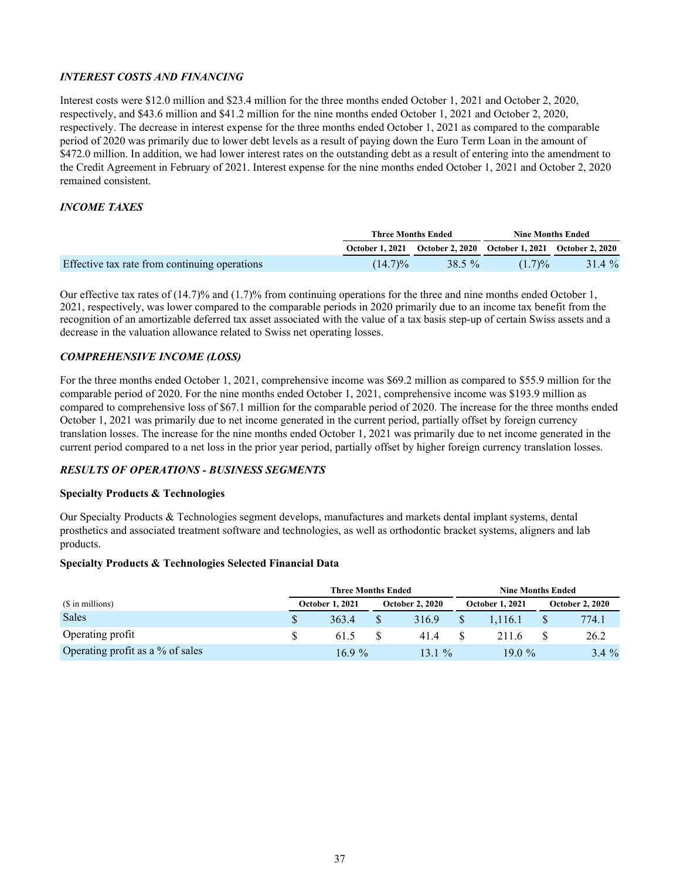# *INTEREST COSTS AND FINANCING*

Interest costs were \$12.0 million and \$23.4 million for the three months ended October 1, 2021 and October 2, 2020, respectively, and \$43.6 million and \$41.2 million for the nine months ended October 1, 2021 and October 2, 2020, respectively. The decrease in interest expense for the three months ended October 1, 2021 as compared to the comparable period of 2020 was primarily due to lower debt levels as a result of paying down the Euro Term Loan in the amount of \$472.0 million. In addition, we had lower interest rates on the outstanding debt as a result of entering into the amendment to the Credit Agreement in February of 2021. Interest expense for the nine months ended October 1, 2021 and October 2, 2020 remained consistent.

# *INCOME TAXES*

|                                               |            | <b>Three Months Ended</b>                                       | <b>Nine Months Ended</b> |       |  |  |
|-----------------------------------------------|------------|-----------------------------------------------------------------|--------------------------|-------|--|--|
|                                               |            | October 1, 2021 October 2, 2020 October 1, 2021 October 2, 2020 |                          |       |  |  |
| Effective tax rate from continuing operations | $(14.7)\%$ | $38.5 \%$                                                       | (1.7)%                   | 31.4% |  |  |

Our effective tax rates of  $(14.7)$ % and  $(1.7)$ % from continuing operations for the three and nine months ended October 1, 2021, respectively, was lower compared to the comparable periods in 2020 primarily due to an income tax benefit from the recognition of an amortizable deferred tax asset associated with the value of a tax basis step-up of certain Swiss assets and a decrease in the valuation allowance related to Swiss net operating losses.

# *COMPREHENSIVE INCOME (LOSS)*

For the three months ended October 1, 2021, comprehensive income was \$69.2 million as compared to \$55.9 million for the comparable period of 2020. For the nine months ended October 1, 2021, comprehensive income was \$193.9 million as compared to comprehensive loss of \$67.1 million for the comparable period of 2020. The increase for the three months ended October 1, 2021 was primarily due to net income generated in the current period, partially offset by foreign currency translation losses. The increase for the nine months ended October 1, 2021 was primarily due to net income generated in the current period compared to a net loss in the prior year period, partially offset by higher foreign currency translation losses.

# *RESULTS OF OPERATIONS - BUSINESS SEGMENTS*

### **Specialty Products & Technologies**

Our Specialty Products & Technologies segment develops, manufactures and markets dental implant systems, dental prosthetics and associated treatment software and technologies, as well as orthodontic bracket systems, aligners and lab products.

### **Specialty Products & Technologies Selected Financial Data**

|                                  | <b>Three Months Ended</b> |                        |  | <b>Nine Months Ended</b> |                        |         |
|----------------------------------|---------------------------|------------------------|--|--------------------------|------------------------|---------|
| (\$ in millions)                 | <b>October 1, 2021</b>    | <b>October 2, 2020</b> |  | <b>October 1, 2021</b>   | <b>October 2, 2020</b> |         |
| Sales                            | 363.4                     | 316.9                  |  | 1.116.1                  |                        | 774.1   |
| Operating profit                 | 61.5                      | 41.4                   |  | 211.6                    |                        | 26.2    |
| Operating profit as a % of sales | $16.9\%$                  | $131\%$                |  | 19.0%                    |                        | $3.4\%$ |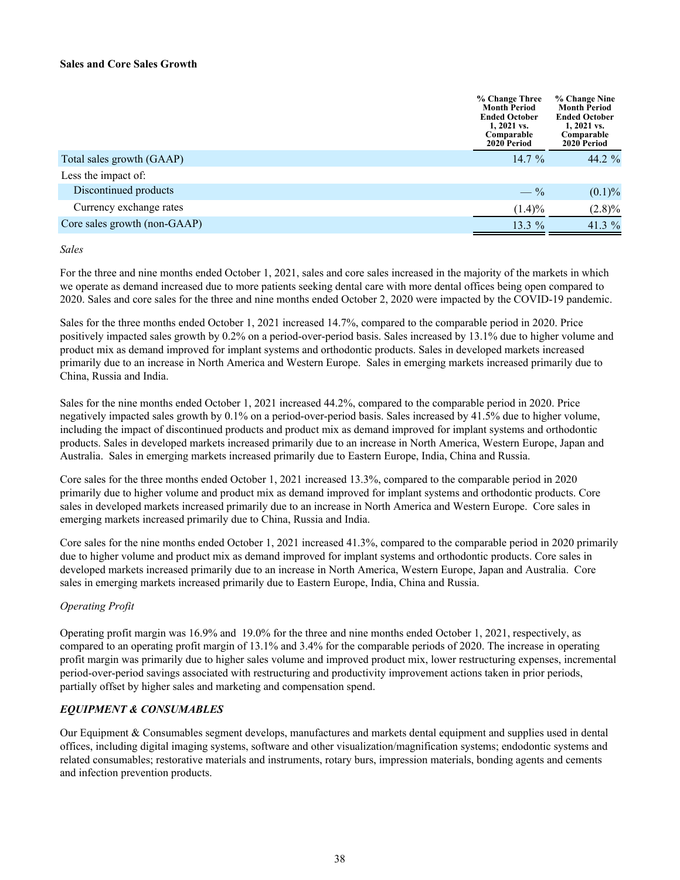|                              | % Change Three<br><b>Month Period</b><br><b>Ended October</b><br>$1,2021$ vs.<br>Comparable<br>2020 Period | % Change Nine<br><b>Month Period</b><br><b>Ended October</b><br>1, 2021 vs.<br>Comparable<br>2020 Period |
|------------------------------|------------------------------------------------------------------------------------------------------------|----------------------------------------------------------------------------------------------------------|
| Total sales growth (GAAP)    | 14.7 $%$                                                                                                   | 44.2 %                                                                                                   |
| Less the impact of:          |                                                                                                            |                                                                                                          |
| Discontinued products        | $- \frac{9}{6}$                                                                                            | $(0.1)\%$                                                                                                |
| Currency exchange rates      | $(1.4)\%$                                                                                                  | $(2.8)\%$                                                                                                |
| Core sales growth (non-GAAP) | 13.3 %                                                                                                     | 41.3 %                                                                                                   |

#### *Sales*

For the three and nine months ended October 1, 2021, sales and core sales increased in the majority of the markets in which we operate as demand increased due to more patients seeking dental care with more dental offices being open compared to 2020. Sales and core sales for the three and nine months ended October 2, 2020 were impacted by the COVID-19 pandemic.

Sales for the three months ended October 1, 2021 increased 14.7%, compared to the comparable period in 2020. Price positively impacted sales growth by 0.2% on a period-over-period basis. Sales increased by 13.1% due to higher volume and product mix as demand improved for implant systems and orthodontic products. Sales in developed markets increased primarily due to an increase in North America and Western Europe. Sales in emerging markets increased primarily due to China, Russia and India.

Sales for the nine months ended October 1, 2021 increased 44.2%, compared to the comparable period in 2020. Price negatively impacted sales growth by 0.1% on a period-over-period basis. Sales increased by 41.5% due to higher volume, including the impact of discontinued products and product mix as demand improved for implant systems and orthodontic products. Sales in developed markets increased primarily due to an increase in North America, Western Europe, Japan and Australia. Sales in emerging markets increased primarily due to Eastern Europe, India, China and Russia.

Core sales for the three months ended October 1, 2021 increased 13.3%, compared to the comparable period in 2020 primarily due to higher volume and product mix as demand improved for implant systems and orthodontic products. Core sales in developed markets increased primarily due to an increase in North America and Western Europe. Core sales in emerging markets increased primarily due to China, Russia and India.

Core sales for the nine months ended October 1, 2021 increased 41.3%, compared to the comparable period in 2020 primarily due to higher volume and product mix as demand improved for implant systems and orthodontic products. Core sales in developed markets increased primarily due to an increase in North America, Western Europe, Japan and Australia. Core sales in emerging markets increased primarily due to Eastern Europe, India, China and Russia.

### *Operating Profit*

Operating profit margin was 16.9% and 19.0% for the three and nine months ended October 1, 2021, respectively, as compared to an operating profit margin of 13.1% and 3.4% for the comparable periods of 2020. The increase in operating profit margin was primarily due to higher sales volume and improved product mix, lower restructuring expenses, incremental period-over-period savings associated with restructuring and productivity improvement actions taken in prior periods, partially offset by higher sales and marketing and compensation spend.

### *EQUIPMENT & CONSUMABLES*

Our Equipment & Consumables segment develops, manufactures and markets dental equipment and supplies used in dental offices, including digital imaging systems, software and other visualization/magnification systems; endodontic systems and related consumables; restorative materials and instruments, rotary burs, impression materials, bonding agents and cements and infection prevention products.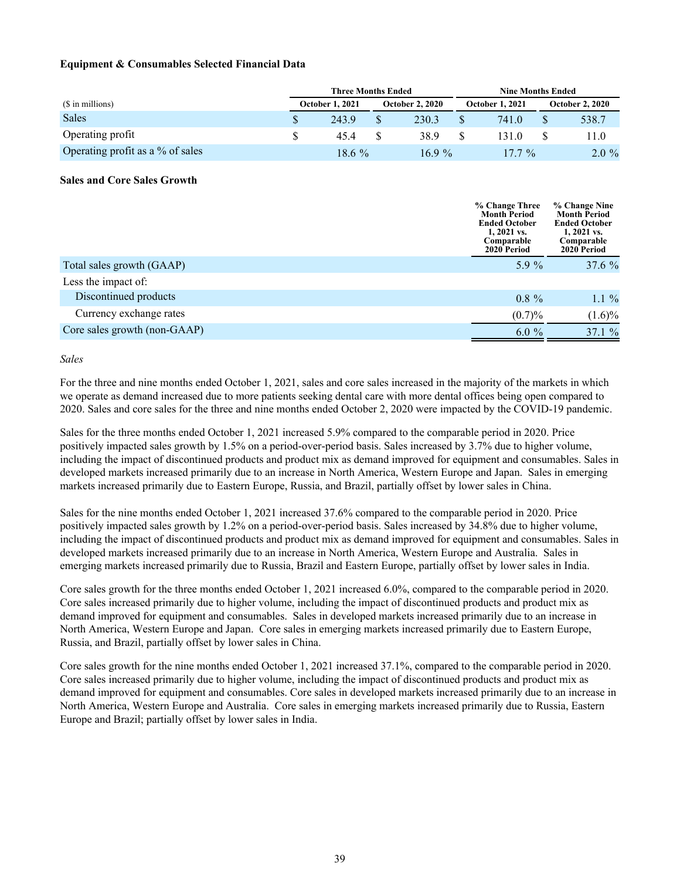#### **Equipment & Consumables Selected Financial Data**

|                                  | <b>Three Months Ended</b> |  |                        | <b>Nine Months Ended</b> |  |                        |
|----------------------------------|---------------------------|--|------------------------|--------------------------|--|------------------------|
| (\$ in millions)                 | <b>October 1, 2021</b>    |  | <b>October 2, 2020</b> | <b>October 1, 2021</b>   |  | <b>October 2, 2020</b> |
| Sales                            | 243.9                     |  | 230.3                  | 741.0                    |  | 538.7                  |
| Operating profit                 | 45.4                      |  | 38.9                   | 1310                     |  | l 1.0                  |
| Operating profit as a % of sales | $18.6 \%$                 |  | 16.9 $\%$              | $17.7\%$                 |  | $2.0\%$                |

#### **Sales and Core Sales Growth**

|                              | % Change Three<br><b>Month Period</b><br><b>Ended October</b><br>$1,2021$ vs.<br>Comparable<br>2020 Period | % Change Nine<br><b>Month Period</b><br><b>Ended October</b><br>1, 2021 vs.<br>Comparable<br>2020 Period |
|------------------------------|------------------------------------------------------------------------------------------------------------|----------------------------------------------------------------------------------------------------------|
| Total sales growth (GAAP)    | 5.9 $%$                                                                                                    | 37.6 $%$                                                                                                 |
| Less the impact of:          |                                                                                                            |                                                                                                          |
| Discontinued products        | $0.8 \%$                                                                                                   | $1.1\%$                                                                                                  |
| Currency exchange rates      | (0.7)%                                                                                                     | $(1.6)\%$                                                                                                |
| Core sales growth (non-GAAP) | $6.0\%$                                                                                                    | $37.1 \%$                                                                                                |

#### *Sales*

For the three and nine months ended October 1, 2021, sales and core sales increased in the majority of the markets in which we operate as demand increased due to more patients seeking dental care with more dental offices being open compared to 2020. Sales and core sales for the three and nine months ended October 2, 2020 were impacted by the COVID-19 pandemic.

Sales for the three months ended October 1, 2021 increased 5.9% compared to the comparable period in 2020. Price positively impacted sales growth by 1.5% on a period-over-period basis. Sales increased by 3.7% due to higher volume, including the impact of discontinued products and product mix as demand improved for equipment and consumables. Sales in developed markets increased primarily due to an increase in North America, Western Europe and Japan. Sales in emerging markets increased primarily due to Eastern Europe, Russia, and Brazil, partially offset by lower sales in China.

Sales for the nine months ended October 1, 2021 increased 37.6% compared to the comparable period in 2020. Price positively impacted sales growth by 1.2% on a period-over-period basis. Sales increased by 34.8% due to higher volume, including the impact of discontinued products and product mix as demand improved for equipment and consumables. Sales in developed markets increased primarily due to an increase in North America, Western Europe and Australia. Sales in emerging markets increased primarily due to Russia, Brazil and Eastern Europe, partially offset by lower sales in India.

Core sales growth for the three months ended October 1, 2021 increased 6.0%, compared to the comparable period in 2020. Core sales increased primarily due to higher volume, including the impact of discontinued products and product mix as demand improved for equipment and consumables. Sales in developed markets increased primarily due to an increase in North America, Western Europe and Japan. Core sales in emerging markets increased primarily due to Eastern Europe, Russia, and Brazil, partially offset by lower sales in China.

Core sales growth for the nine months ended October 1, 2021 increased 37.1%, compared to the comparable period in 2020. Core sales increased primarily due to higher volume, including the impact of discontinued products and product mix as demand improved for equipment and consumables. Core sales in developed markets increased primarily due to an increase in North America, Western Europe and Australia. Core sales in emerging markets increased primarily due to Russia, Eastern Europe and Brazil; partially offset by lower sales in India.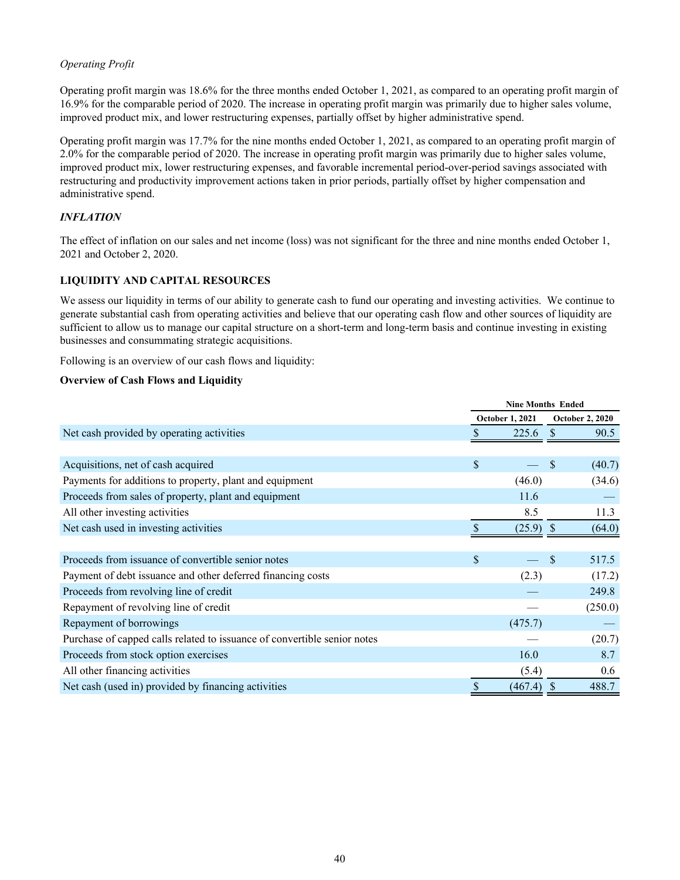# *Operating Profit*

Operating profit margin was 18.6% for the three months ended October 1, 2021, as compared to an operating profit margin of 16.9% for the comparable period of 2020. The increase in operating profit margin was primarily due to higher sales volume, improved product mix, and lower restructuring expenses, partially offset by higher administrative spend.

Operating profit margin was 17.7% for the nine months ended October 1, 2021, as compared to an operating profit margin of 2.0% for the comparable period of 2020. The increase in operating profit margin was primarily due to higher sales volume, improved product mix, lower restructuring expenses, and favorable incremental period-over-period savings associated with restructuring and productivity improvement actions taken in prior periods, partially offset by higher compensation and administrative spend.

# *INFLATION*

The effect of inflation on our sales and net income (loss) was not significant for the three and nine months ended October 1, 2021 and October 2, 2020.

# **LIQUIDITY AND CAPITAL RESOURCES**

We assess our liquidity in terms of our ability to generate cash to fund our operating and investing activities. We continue to generate substantial cash from operating activities and believe that our operating cash flow and other sources of liquidity are sufficient to allow us to manage our capital structure on a short-term and long-term basis and continue investing in existing businesses and consummating strategic acquisitions.

Following is an overview of our cash flows and liquidity:

#### **Overview of Cash Flows and Liquidity**

|                                                                          | <b>Nine Months Ended</b> |              |                        |         |
|--------------------------------------------------------------------------|--------------------------|--------------|------------------------|---------|
|                                                                          | <b>October 1, 2021</b>   |              | <b>October 2, 2020</b> |         |
| Net cash provided by operating activities                                | S                        | 225.6        | <b>S</b>               | 90.5    |
|                                                                          |                          |              |                        |         |
| Acquisitions, net of cash acquired                                       | \$                       |              | <sup>S</sup>           | (40.7)  |
| Payments for additions to property, plant and equipment                  |                          | (46.0)       |                        | (34.6)  |
| Proceeds from sales of property, plant and equipment                     |                          | 11.6         |                        |         |
| All other investing activities                                           |                          | 8.5          |                        | 11.3    |
| Net cash used in investing activities                                    |                          | (25.9)       |                        | (64.0)  |
|                                                                          |                          |              |                        |         |
| Proceeds from issuance of convertible senior notes                       | \$                       |              | <sup>S</sup>           | 517.5   |
| Payment of debt issuance and other deferred financing costs              |                          | (2.3)        |                        | (17.2)  |
| Proceeds from revolving line of credit                                   |                          |              |                        | 249.8   |
| Repayment of revolving line of credit                                    |                          |              |                        | (250.0) |
| Repayment of borrowings                                                  |                          | (475.7)      |                        |         |
| Purchase of capped calls related to issuance of convertible senior notes |                          |              |                        | (20.7)  |
| Proceeds from stock option exercises                                     |                          | 16.0         |                        | 8.7     |
| All other financing activities                                           |                          | (5.4)        |                        | 0.6     |
| Net cash (used in) provided by financing activities                      | \$                       | $(467.4)$ \$ |                        | 488.7   |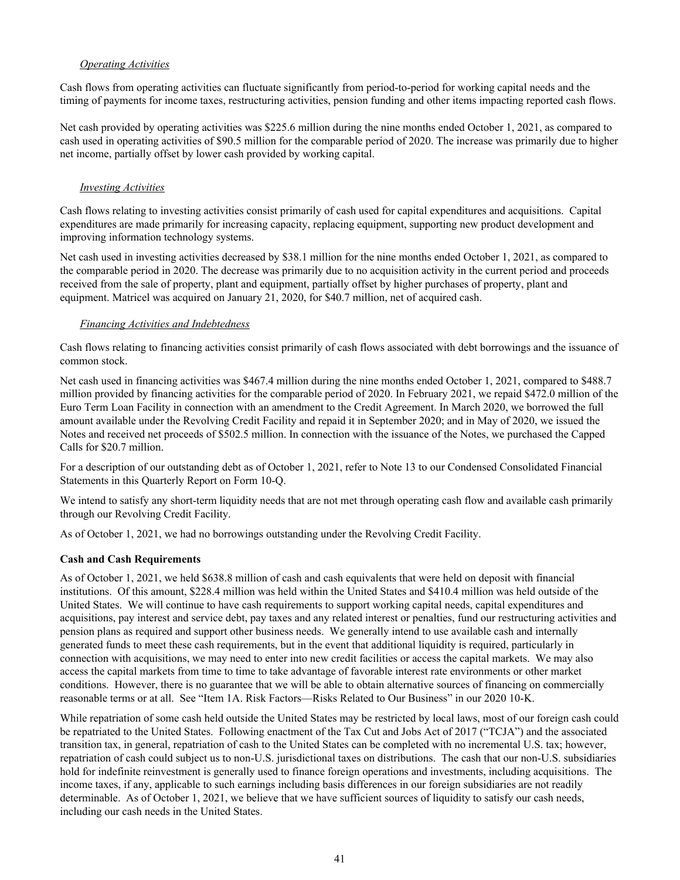### *Operating Activities*

Cash flows from operating activities can fluctuate significantly from period-to-period for working capital needs and the timing of payments for income taxes, restructuring activities, pension funding and other items impacting reported cash flows.

Net cash provided by operating activities was \$225.6 million during the nine months ended October 1, 2021, as compared to cash used in operating activities of \$90.5 million for the comparable period of 2020. The increase was primarily due to higher net income, partially offset by lower cash provided by working capital.

### *Investing Activities*

Cash flows relating to investing activities consist primarily of cash used for capital expenditures and acquisitions. Capital expenditures are made primarily for increasing capacity, replacing equipment, supporting new product development and improving information technology systems.

Net cash used in investing activities decreased by \$38.1 million for the nine months ended October 1, 2021, as compared to the comparable period in 2020. The decrease was primarily due to no acquisition activity in the current period and proceeds received from the sale of property, plant and equipment, partially offset by higher purchases of property, plant and equipment. Matricel was acquired on January 21, 2020, for \$40.7 million, net of acquired cash.

# *Financing Activities and Indebtedness*

Cash flows relating to financing activities consist primarily of cash flows associated with debt borrowings and the issuance of common stock.

Net cash used in financing activities was \$467.4 million during the nine months ended October 1, 2021, compared to \$488.7 million provided by financing activities for the comparable period of 2020. In February 2021, we repaid \$472.0 million of the Euro Term Loan Facility in connection with an amendment to the Credit Agreement. In March 2020, we borrowed the full amount available under the Revolving Credit Facility and repaid it in September 2020; and in May of 2020, we issued the Notes and received net proceeds of \$502.5 million. In connection with the issuance of the Notes, we purchased the Capped Calls for \$20.7 million.

For a description of our outstanding debt as of October 1, 2021, refer to Note 13 to our Condensed Consolidated Financial Statements in this Quarterly Report on Form 10-Q.

We intend to satisfy any short-term liquidity needs that are not met through operating cash flow and available cash primarily through our Revolving Credit Facility.

As of October 1, 2021, we had no borrowings outstanding under the Revolving Credit Facility.

### **Cash and Cash Requirements**

As of October 1, 2021, we held \$638.8 million of cash and cash equivalents that were held on deposit with financial institutions. Of this amount, \$228.4 million was held within the United States and \$410.4 million was held outside of the United States. We will continue to have cash requirements to support working capital needs, capital expenditures and acquisitions, pay interest and service debt, pay taxes and any related interest or penalties, fund our restructuring activities and pension plans as required and support other business needs. We generally intend to use available cash and internally generated funds to meet these cash requirements, but in the event that additional liquidity is required, particularly in connection with acquisitions, we may need to enter into new credit facilities or access the capital markets. We may also access the capital markets from time to time to take advantage of favorable interest rate environments or other market conditions. However, there is no guarantee that we will be able to obtain alternative sources of financing on commercially reasonable terms or at all. See "Item 1A. Risk Factors—Risks Related to Our Business" in our 2020 10-K.

While repatriation of some cash held outside the United States may be restricted by local laws, most of our foreign cash could be repatriated to the United States. Following enactment of the Tax Cut and Jobs Act of 2017 ("TCJA") and the associated transition tax, in general, repatriation of cash to the United States can be completed with no incremental U.S. tax; however, repatriation of cash could subject us to non-U.S. jurisdictional taxes on distributions. The cash that our non-U.S. subsidiaries hold for indefinite reinvestment is generally used to finance foreign operations and investments, including acquisitions. The income taxes, if any, applicable to such earnings including basis differences in our foreign subsidiaries are not readily determinable. As of October 1, 2021, we believe that we have sufficient sources of liquidity to satisfy our cash needs, including our cash needs in the United States.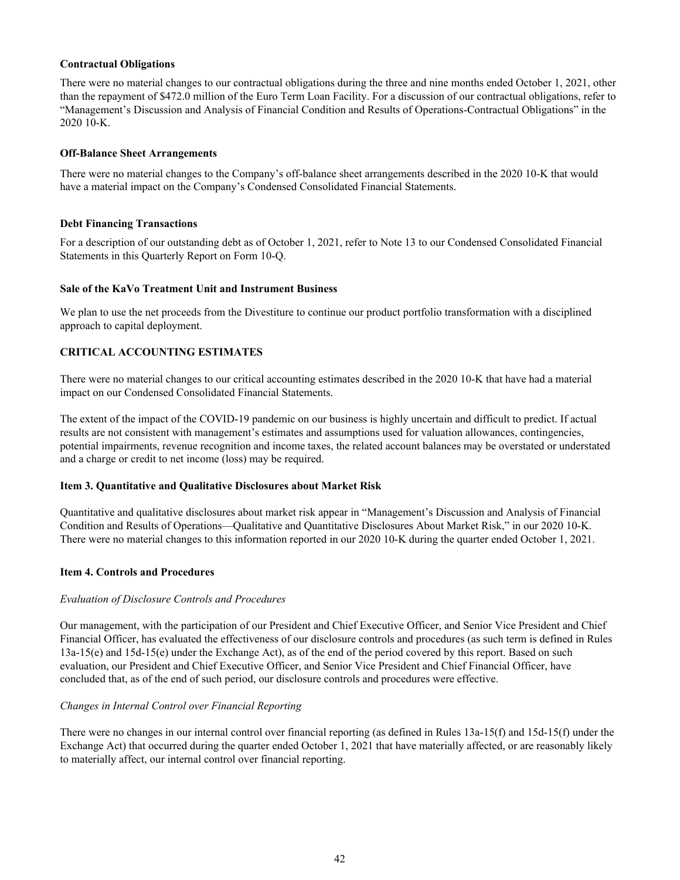#### <span id="page-44-0"></span>**Contractual Obligations**

There were no material changes to our contractual obligations during the three and nine months ended October 1, 2021, other than the repayment of \$472.0 million of the Euro Term Loan Facility. For a discussion of our contractual obligations, refer to "Management's Discussion and Analysis of Financial Condition and Results of Operations-Contractual Obligations" in the 2020 10-K.

#### **Off-Balance Sheet Arrangements**

There were no material changes to the Company's off-balance sheet arrangements described in the 2020 10-K that would have a material impact on the Company's Condensed Consolidated Financial Statements.

#### **Debt Financing Transactions**

For a description of our outstanding debt as of October 1, 2021, refer to Note 13 to our Condensed Consolidated Financial Statements in this Quarterly Report on Form 10-Q.

#### **Sale of the KaVo Treatment Unit and Instrument Business**

We plan to use the net proceeds from the Divestiture to continue our product portfolio transformation with a disciplined approach to capital deployment.

### **CRITICAL ACCOUNTING ESTIMATES**

There were no material changes to our critical accounting estimates described in the 2020 10-K that have had a material impact on our Condensed Consolidated Financial Statements.

The extent of the impact of the COVID-19 pandemic on our business is highly uncertain and difficult to predict. If actual results are not consistent with management's estimates and assumptions used for valuation allowances, contingencies, potential impairments, revenue recognition and income taxes, the related account balances may be overstated or understated and a charge or credit to net income (loss) may be required.

### **Item 3. Quantitative and Qualitative Disclosures about Market Risk**

Quantitative and qualitative disclosures about market risk appear in "Management's Discussion and Analysis of Financial Condition and Results of Operations—Qualitative and Quantitative Disclosures About Market Risk," in our 2020 10-K. There were no material changes to this information reported in our 2020 10-K during the quarter ended October 1, 2021.

### **Item 4. Controls and Procedures**

#### *Evaluation of Disclosure Controls and Procedures*

Our management, with the participation of our President and Chief Executive Officer, and Senior Vice President and Chief Financial Officer, has evaluated the effectiveness of our disclosure controls and procedures (as such term is defined in Rules 13a-15(e) and 15d-15(e) under the Exchange Act), as of the end of the period covered by this report. Based on such evaluation, our President and Chief Executive Officer, and Senior Vice President and Chief Financial Officer, have concluded that, as of the end of such period, our disclosure controls and procedures were effective.

#### *Changes in Internal Control over Financial Reporting*

There were no changes in our internal control over financial reporting (as defined in Rules 13a-15(f) and 15d-15(f) under the Exchange Act) that occurred during the quarter ended October 1, 2021 that have materially affected, or are reasonably likely to materially affect, our internal control over financial reporting.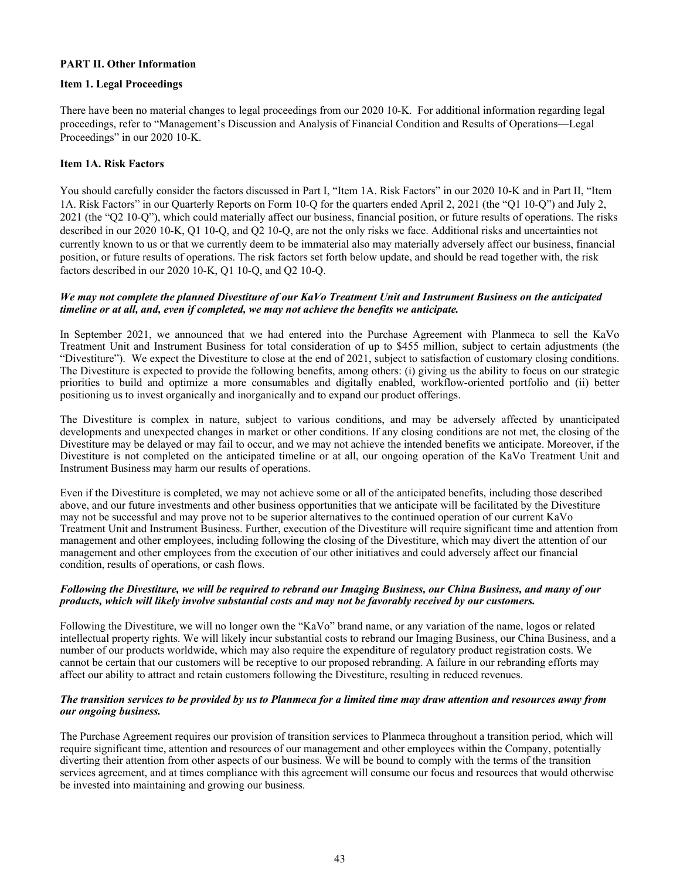### <span id="page-45-0"></span>**PART II. Other Information**

### **Item 1. Legal Proceedings**

There have been no material changes to legal proceedings from our 2020 10-K. For additional information regarding legal proceedings, refer to "Management's Discussion and Analysis of Financial Condition and Results of Operations—Legal Proceedings" in our 2020 10-K.

### **Item 1A. Risk Factors**

You should carefully consider the factors discussed in Part I, "Item 1A. Risk Factors" in our 2020 10-K and in Part II, "Item 1A. Risk Factors" in our Quarterly Reports on Form 10-Q for the quarters ended April 2, 2021 (the "Q1 10-Q") and July 2, 2021 (the "Q2 10-Q"), which could materially affect our business, financial position, or future results of operations. The risks described in our 2020 10-K, Q1 10-Q, and Q2 10-Q, are not the only risks we face. Additional risks and uncertainties not currently known to us or that we currently deem to be immaterial also may materially adversely affect our business, financial position, or future results of operations. The risk factors set forth below update, and should be read together with, the risk factors described in our 2020 10-K, Q1 10-Q, and Q2 10-Q.

### *We may not complete the planned Divestiture of our KaVo Treatment Unit and Instrument Business on the anticipated timeline or at all, and, even if completed, we may not achieve the benefits we anticipate.*

In September 2021, we announced that we had entered into the Purchase Agreement with Planmeca to sell the KaVo Treatment Unit and Instrument Business for total consideration of up to \$455 million, subject to certain adjustments (the "Divestiture"). We expect the Divestiture to close at the end of 2021, subject to satisfaction of customary closing conditions. The Divestiture is expected to provide the following benefits, among others: (i) giving us the ability to focus on our strategic priorities to build and optimize a more consumables and digitally enabled, workflow-oriented portfolio and (ii) better positioning us to invest organically and inorganically and to expand our product offerings.

The Divestiture is complex in nature, subject to various conditions, and may be adversely affected by unanticipated developments and unexpected changes in market or other conditions. If any closing conditions are not met, the closing of the Divestiture may be delayed or may fail to occur, and we may not achieve the intended benefits we anticipate. Moreover, if the Divestiture is not completed on the anticipated timeline or at all, our ongoing operation of the KaVo Treatment Unit and Instrument Business may harm our results of operations.

Even if the Divestiture is completed, we may not achieve some or all of the anticipated benefits, including those described above, and our future investments and other business opportunities that we anticipate will be facilitated by the Divestiture may not be successful and may prove not to be superior alternatives to the continued operation of our current KaVo Treatment Unit and Instrument Business. Further, execution of the Divestiture will require significant time and attention from management and other employees, including following the closing of the Divestiture, which may divert the attention of our management and other employees from the execution of our other initiatives and could adversely affect our financial condition, results of operations, or cash flows.

#### *Following the Divestiture, we will be required to rebrand our Imaging Business, our China Business, and many of our products, which will likely involve substantial costs and may not be favorably received by our customers.*

Following the Divestiture, we will no longer own the "KaVo" brand name, or any variation of the name, logos or related intellectual property rights. We will likely incur substantial costs to rebrand our Imaging Business, our China Business, and a number of our products worldwide, which may also require the expenditure of regulatory product registration costs. We cannot be certain that our customers will be receptive to our proposed rebranding. A failure in our rebranding efforts may affect our ability to attract and retain customers following the Divestiture, resulting in reduced revenues.

#### *The transition services to be provided by us to Planmeca for a limited time may draw attention and resources away from our ongoing business.*

The Purchase Agreement requires our provision of transition services to Planmeca throughout a transition period, which will require significant time, attention and resources of our management and other employees within the Company, potentially diverting their attention from other aspects of our business. We will be bound to comply with the terms of the transition services agreement, and at times compliance with this agreement will consume our focus and resources that would otherwise be invested into maintaining and growing our business.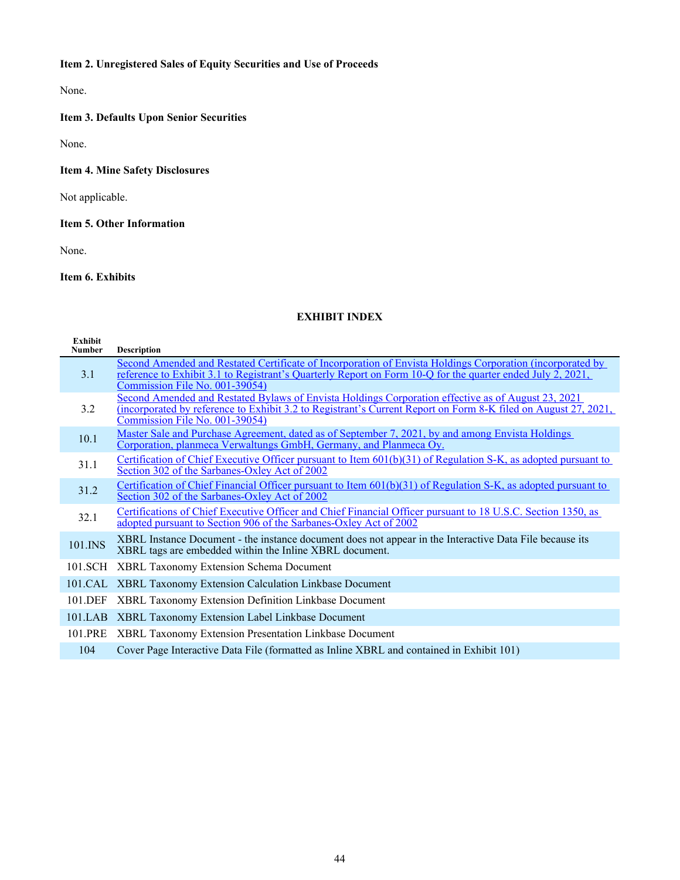# <span id="page-46-0"></span>**Item 2. Unregistered Sales of Equity Securities and Use of Proceeds**

None.

# **Item 3. Defaults Upon Senior Securities**

None.

#### **Item 4. Mine Safety Disclosures**

Not applicable.

# **Item 5. Other Information**

None.

# **Item 6. Exhibits**

#### **EXHIBIT INDEX**

| <b>Exhibit</b><br><b>Number</b> | <b>Description</b>                                                                                                                                                                                                                                        |
|---------------------------------|-----------------------------------------------------------------------------------------------------------------------------------------------------------------------------------------------------------------------------------------------------------|
| 3.1                             | Second Amended and Restated Certificate of Incorporation of Envista Holdings Corporation (incorporated by<br>reference to Exhibit 3.1 to Registrant's Quarterly Report on Form 10-Q for the quarter ended July 2, 2021,<br>Commission File No. 001-39054) |
| 3.2                             | Second Amended and Restated Bylaws of Envista Holdings Corporation effective as of August 23, 2021<br>(incorporated by reference to Exhibit 3.2 to Registrant's Current Report on Form 8-K filed on August 27, 2021,<br>Commission File No. 001-39054)    |
| 10.1                            | Master Sale and Purchase Agreement, dated as of September 7, 2021, by and among Envista Holdings<br>Corporation, planmeca Verwaltungs GmbH, Germany, and Planmeca Oy.                                                                                     |
| 31.1                            | Certification of Chief Executive Officer pursuant to Item $601(b)(31)$ of Regulation S-K, as adopted pursuant to<br>Section 302 of the Sarbanes-Oxley Act of 2002                                                                                         |
| 31.2                            | Certification of Chief Financial Officer pursuant to Item $601(b)(31)$ of Regulation S-K, as adopted pursuant to<br>Section 302 of the Sarbanes-Oxley Act of 2002                                                                                         |
| 32.1                            | Certifications of Chief Executive Officer and Chief Financial Officer pursuant to 18 U.S.C. Section 1350, as<br>adopted pursuant to Section 906 of the Sarbanes-Oxley Act of 2002                                                                         |
| 101.INS                         | XBRL Instance Document - the instance document does not appear in the Interactive Data File because its<br>XBRL tags are embedded within the Inline XBRL document.                                                                                        |
| 101.SCH                         | XBRL Taxonomy Extension Schema Document                                                                                                                                                                                                                   |
| 101.CAL                         | XBRL Taxonomy Extension Calculation Linkbase Document                                                                                                                                                                                                     |
| 101.DEF                         | XBRL Taxonomy Extension Definition Linkbase Document                                                                                                                                                                                                      |
| $101$ .LAB                      | <b>XBRL Taxonomy Extension Label Linkbase Document</b>                                                                                                                                                                                                    |
| 101.PRE                         | XBRL Taxonomy Extension Presentation Linkbase Document                                                                                                                                                                                                    |
| 104                             | Cover Page Interactive Data File (formatted as Inline XBRL and contained in Exhibit 101)                                                                                                                                                                  |